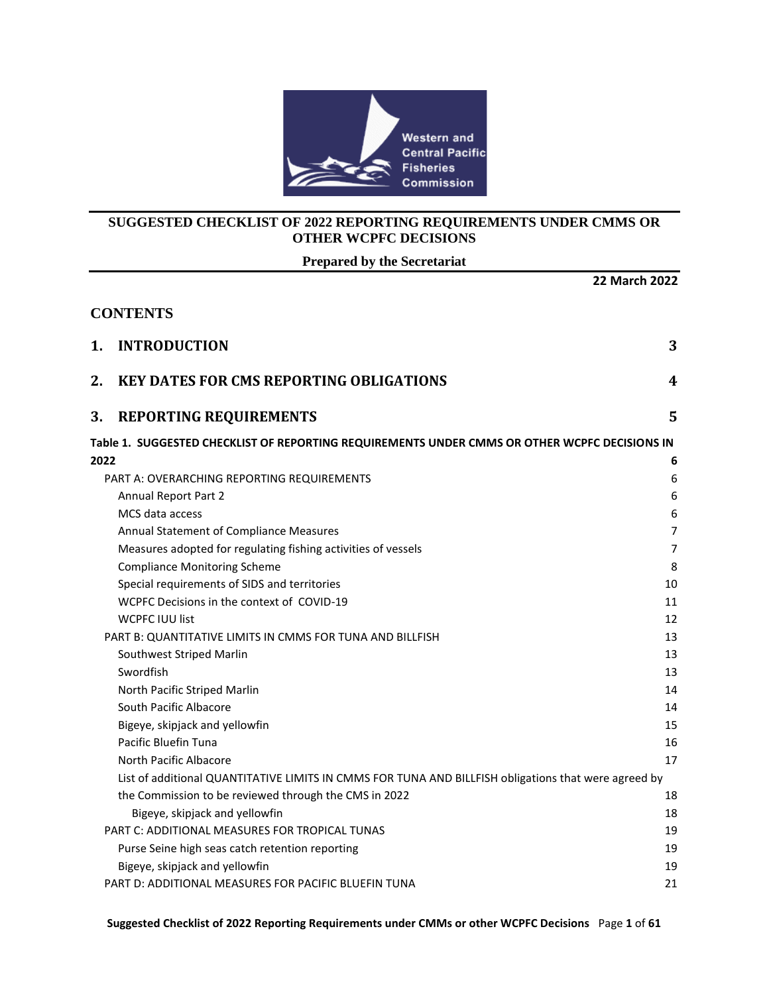

## **SUGGESTED CHECKLIST OF 2022 REPORTING REQUIREMENTS UNDER CMMS OR OTHER WCPFC DECISIONS**

**Prepared by the Secretariat**

|      |                                                                                                      | <b>22 March 2022</b> |
|------|------------------------------------------------------------------------------------------------------|----------------------|
|      | <b>CONTENTS</b>                                                                                      |                      |
| 1.   | <b>INTRODUCTION</b>                                                                                  | 3                    |
| 2.   | <b>KEY DATES FOR CMS REPORTING OBLIGATIONS</b>                                                       | 4                    |
| 3.   | <b>REPORTING REQUIREMENTS</b>                                                                        | 5                    |
|      | Table 1. SUGGESTED CHECKLIST OF REPORTING REQUIREMENTS UNDER CMMS OR OTHER WCPFC DECISIONS IN        |                      |
| 2022 |                                                                                                      | 6                    |
|      | PART A: OVERARCHING REPORTING REQUIREMENTS                                                           | $\boldsymbol{6}$     |
|      | <b>Annual Report Part 2</b>                                                                          | 6                    |
|      | MCS data access                                                                                      | 6                    |
|      | Annual Statement of Compliance Measures                                                              | $\overline{7}$       |
|      | Measures adopted for regulating fishing activities of vessels                                        | $\overline{7}$       |
|      | <b>Compliance Monitoring Scheme</b>                                                                  | 8                    |
|      | Special requirements of SIDS and territories                                                         | 10                   |
|      | WCPFC Decisions in the context of COVID-19                                                           | 11                   |
|      | <b>WCPFC IUU list</b>                                                                                | 12                   |
|      | PART B: QUANTITATIVE LIMITS IN CMMS FOR TUNA AND BILLFISH                                            | 13                   |
|      | Southwest Striped Marlin                                                                             | 13                   |
|      | Swordfish                                                                                            | 13                   |
|      | North Pacific Striped Marlin                                                                         | 14                   |
|      | South Pacific Albacore                                                                               | 14                   |
|      | Bigeye, skipjack and yellowfin                                                                       | 15                   |
|      | Pacific Bluefin Tuna                                                                                 | 16                   |
|      | North Pacific Albacore                                                                               | 17                   |
|      | List of additional QUANTITATIVE LIMITS IN CMMS FOR TUNA AND BILLFISH obligations that were agreed by |                      |
|      | the Commission to be reviewed through the CMS in 2022                                                | 18                   |
|      | Bigeye, skipjack and yellowfin                                                                       | 18                   |
|      | <b>PART C: ADDITIONAL MEASURES FOR TROPICAL TUNAS</b>                                                | 19                   |
|      | Purse Seine high seas catch retention reporting                                                      | 19                   |
|      | Bigeye, skipjack and yellowfin                                                                       | 19                   |
|      | PART D: ADDITIONAL MEASURES FOR PACIFIC BLUEFIN TUNA                                                 | 21                   |

**Suggested Checklist of 2022 Reporting Requirements under CMMs or other WCPFC Decisions** Page **1** of **61**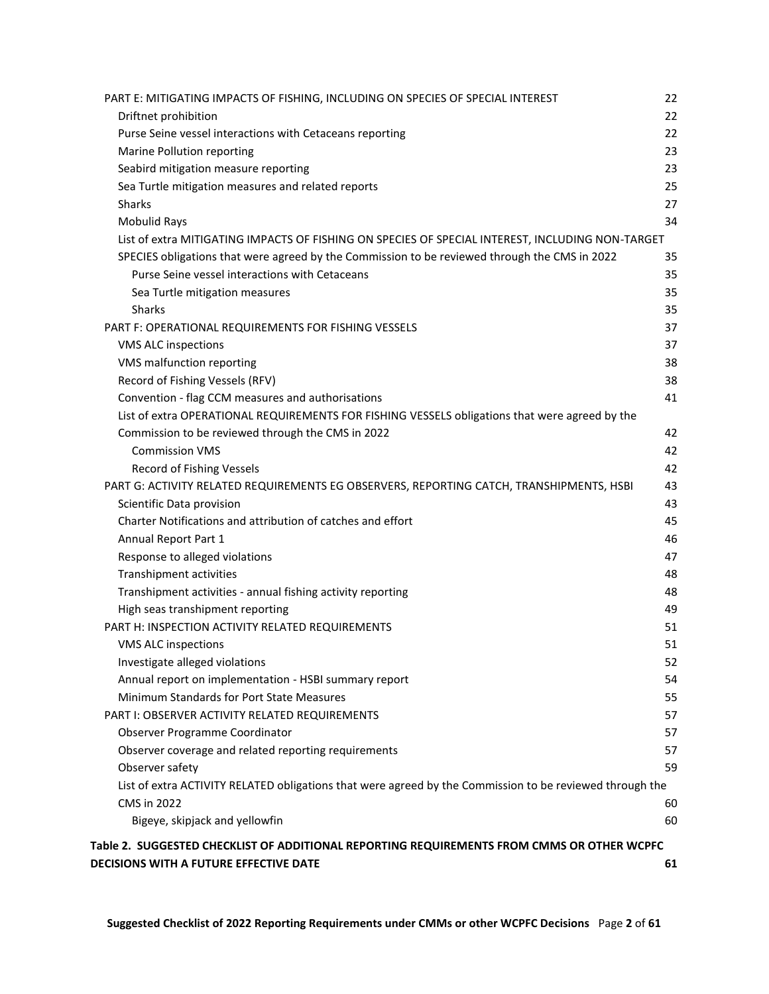| PART E: MITIGATING IMPACTS OF FISHING, INCLUDING ON SPECIES OF SPECIAL INTEREST                          | 22 |
|----------------------------------------------------------------------------------------------------------|----|
| Driftnet prohibition                                                                                     | 22 |
| Purse Seine vessel interactions with Cetaceans reporting                                                 | 22 |
| Marine Pollution reporting                                                                               | 23 |
| Seabird mitigation measure reporting                                                                     | 23 |
| Sea Turtle mitigation measures and related reports                                                       | 25 |
| <b>Sharks</b>                                                                                            | 27 |
| <b>Mobulid Rays</b>                                                                                      | 34 |
| List of extra MITIGATING IMPACTS OF FISHING ON SPECIES OF SPECIAL INTEREST, INCLUDING NON-TARGET         |    |
| SPECIES obligations that were agreed by the Commission to be reviewed through the CMS in 2022            | 35 |
| Purse Seine vessel interactions with Cetaceans                                                           | 35 |
| Sea Turtle mitigation measures                                                                           | 35 |
| <b>Sharks</b>                                                                                            | 35 |
| PART F: OPERATIONAL REQUIREMENTS FOR FISHING VESSELS                                                     | 37 |
| VMS ALC inspections                                                                                      | 37 |
| VMS malfunction reporting                                                                                | 38 |
| Record of Fishing Vessels (RFV)                                                                          | 38 |
| Convention - flag CCM measures and authorisations                                                        | 41 |
| List of extra OPERATIONAL REQUIREMENTS FOR FISHING VESSELS obligations that were agreed by the           |    |
| Commission to be reviewed through the CMS in 2022                                                        | 42 |
| <b>Commission VMS</b>                                                                                    | 42 |
| Record of Fishing Vessels                                                                                | 42 |
| PART G: ACTIVITY RELATED REQUIREMENTS EG OBSERVERS, REPORTING CATCH, TRANSHIPMENTS, HSBI                 | 43 |
| Scientific Data provision                                                                                | 43 |
| Charter Notifications and attribution of catches and effort                                              | 45 |
| Annual Report Part 1                                                                                     | 46 |
| Response to alleged violations                                                                           | 47 |
| Transhipment activities                                                                                  | 48 |
| Transhipment activities - annual fishing activity reporting                                              | 48 |
| High seas transhipment reporting                                                                         | 49 |
| PART H: INSPECTION ACTIVITY RELATED REQUIREMENTS                                                         | 51 |
| VMS ALC inspections                                                                                      | 51 |
| Investigate alleged violations                                                                           | 52 |
| Annual report on implementation - HSBI summary report                                                    | 54 |
| Minimum Standards for Port State Measures                                                                | 55 |
| PART I: OBSERVER ACTIVITY RELATED REQUIREMENTS                                                           | 57 |
| Observer Programme Coordinator                                                                           | 57 |
| Observer coverage and related reporting requirements                                                     | 57 |
| Observer safety                                                                                          | 59 |
| List of extra ACTIVITY RELATED obligations that were agreed by the Commission to be reviewed through the |    |
| <b>CMS in 2022</b>                                                                                       | 60 |
| Bigeye, skipjack and yellowfin                                                                           | 60 |
| Table 2. SUGGESTED CHECKLIST OF ADDITIONAL REPORTING REQUIREMENTS FROM CMMS OR OTHER WCPFC               |    |
| DECISIONS WITH A FUTURE EFFECTIVE DATE                                                                   | 61 |
|                                                                                                          |    |

**Suggested Checklist of 2022 Reporting Requirements under CMMs or other WCPFC Decisions** Page **2** of **61**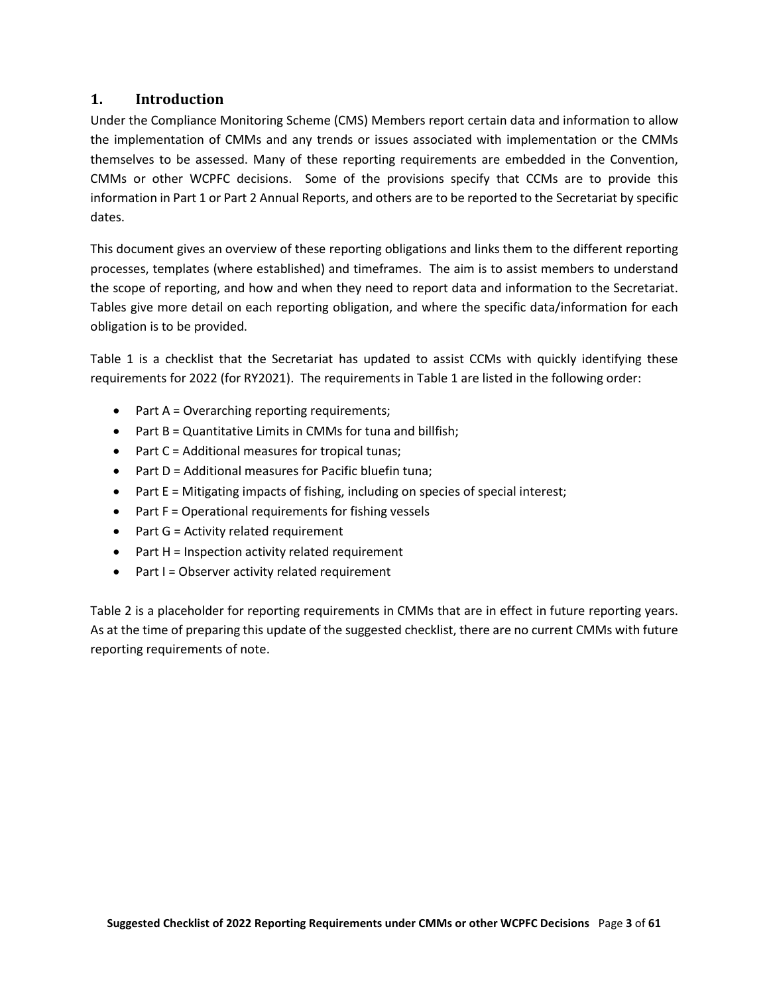### <span id="page-2-0"></span>**1. Introduction**

Under the Compliance Monitoring Scheme (CMS) Members report certain data and information to allow the implementation of CMMs and any trends or issues associated with implementation or the CMMs themselves to be assessed. Many of these reporting requirements are embedded in the Convention, CMMs or other WCPFC decisions. Some of the provisions specify that CCMs are to provide this information in Part 1 or Part 2 Annual Reports, and others are to be reported to the Secretariat by specific dates.

This document gives an overview of these reporting obligations and links them to the different reporting processes, templates (where established) and timeframes. The aim is to assist members to understand the scope of reporting, and how and when they need to report data and information to the Secretariat. Tables give more detail on each reporting obligation, and where the specific data/information for each obligation is to be provided.

Table 1 is a checklist that the Secretariat has updated to assist CCMs with quickly identifying these requirements for 2022 (for RY2021). The requirements in Table 1 are listed in the following order:

- Part A = Overarching reporting requirements;
- Part B = Quantitative Limits in CMMs for tuna and billfish;
- Part C = Additional measures for tropical tunas;
- Part D = Additional measures for Pacific bluefin tuna;
- Part E = Mitigating impacts of fishing, including on species of special interest;
- Part F = Operational requirements for fishing vessels
- Part G = Activity related requirement
- Part H = Inspection activity related requirement
- Part I = Observer activity related requirement

Table 2 is a placeholder for reporting requirements in CMMs that are in effect in future reporting years. As at the time of preparing this update of the suggested checklist, there are no current CMMs with future reporting requirements of note.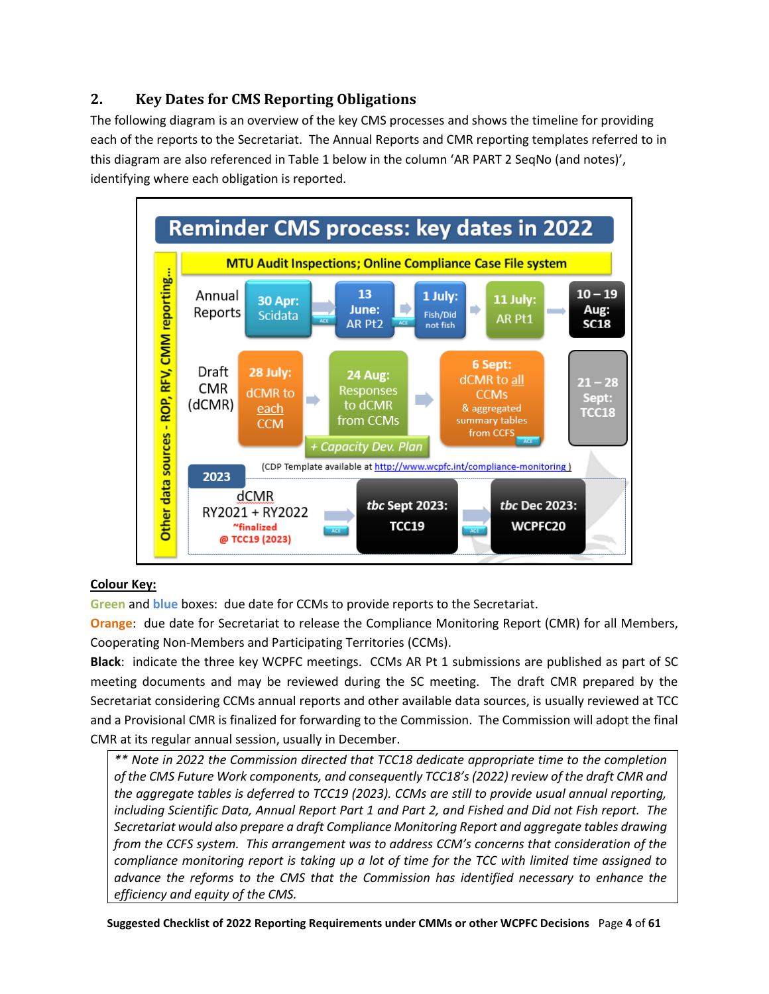## <span id="page-3-0"></span>**2. Key Dates for CMS Reporting Obligations**

The following diagram is an overview of the key CMS processes and shows the timeline for providing each of the reports to the Secretariat. The Annual Reports and CMR reporting templates referred to in this diagram are also referenced in Table 1 below in the column 'AR PART 2 SeqNo (and notes)', identifying where each obligation is reported.



## **Colour Key:**

**Green** and **blue** boxes: due date for CCMs to provide reports to the Secretariat.

**Orange**: due date for Secretariat to release the Compliance Monitoring Report (CMR) for all Members, Cooperating Non-Members and Participating Territories (CCMs).

**Black**: indicate the three key WCPFC meetings. CCMs AR Pt 1 submissions are published as part of SC meeting documents and may be reviewed during the SC meeting. The draft CMR prepared by the Secretariat considering CCMs annual reports and other available data sources, is usually reviewed at TCC and a Provisional CMR is finalized for forwarding to the Commission. The Commission will adopt the final CMR at its regular annual session, usually in December.

*\*\* Note in 2022 the Commission directed that TCC18 dedicate appropriate time to the completion of the CMS Future Work components, and consequently TCC18's (2022) review of the draft CMR and the aggregate tables is deferred to TCC19 (2023). CCMs are still to provide usual annual reporting, including Scientific Data, Annual Report Part 1 and Part 2, and Fished and Did not Fish report. The Secretariat would also prepare a draft Compliance Monitoring Report and aggregate tables drawing from the CCFS system. This arrangement was to address CCM's concerns that consideration of the compliance monitoring report is taking up a lot of time for the TCC with limited time assigned to advance the reforms to the CMS that the Commission has identified necessary to enhance the efficiency and equity of the CMS.*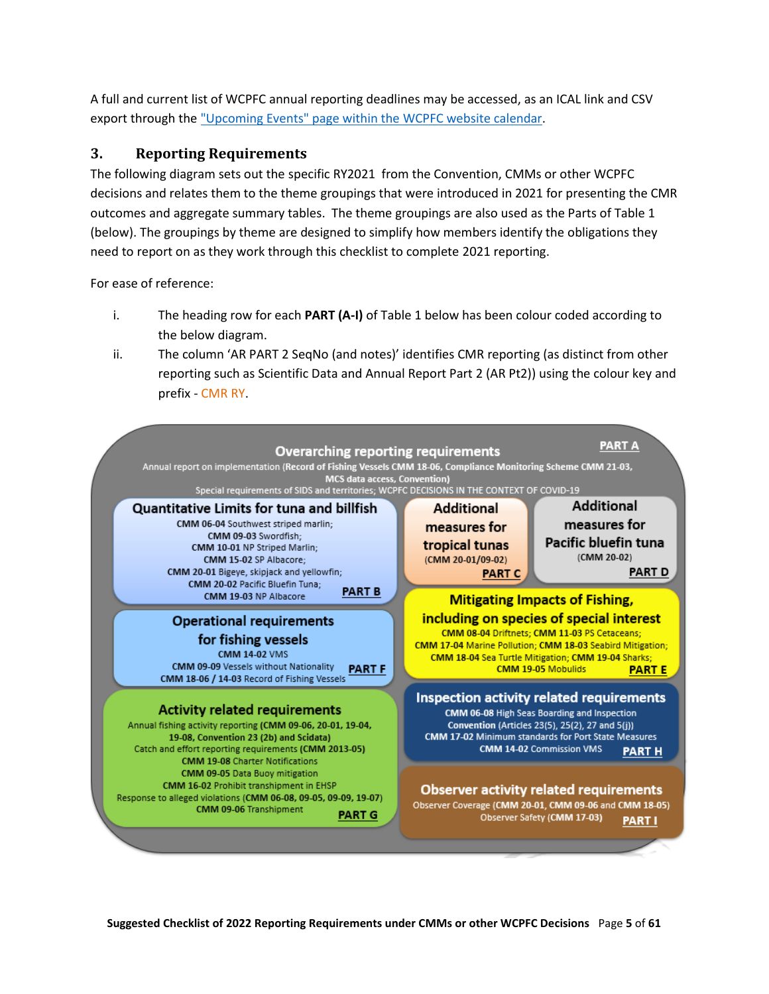A full and current list of WCPFC annual reporting deadlines may be accessed, as an ICAL link and CSV export through the ["Upcoming Events" page within the](https://www.wcpfc.int/calendar/upcoming) [WCPFC website calendar.](https://www.wcpfc.int/calendar/all)

## <span id="page-4-0"></span>**3. Reporting Requirements**

The following diagram sets out the specific RY2021 from the Convention, CMMs or other WCPFC decisions and relates them to the theme groupings that were introduced in 2021 for presenting the CMR outcomes and aggregate summary tables. The theme groupings are also used as the Parts of Table 1 (below). The groupings by theme are designed to simplify how members identify the obligations they need to report on as they work through this checklist to complete 2021 reporting.

For ease of reference:

- i. The heading row for each **PART (A-I)** of Table 1 below has been colour coded according to the below diagram.
- ii. The column 'AR PART 2 SeqNo (and notes)' identifies CMR reporting (as distinct from other reporting such as Scientific Data and Annual Report Part 2 (AR Pt2)) using the colour key and prefix - CMR RY.

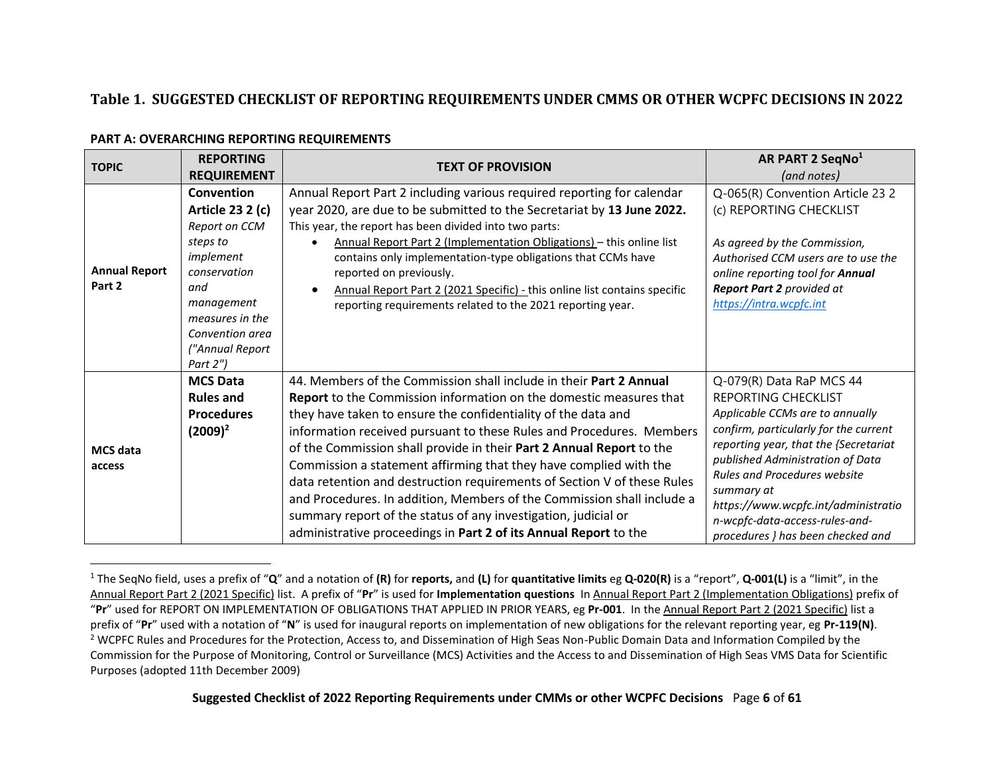## **Table 1. SUGGESTED CHECKLIST OF REPORTING REQUIREMENTS UNDER CMMS OR OTHER WCPFC DECISIONS IN 2022**

#### **PART A: OVERARCHING REPORTING REQUIREMENTS**

<span id="page-5-1"></span><span id="page-5-0"></span>

| <b>TOPIC</b>                   | <b>REPORTING</b>                                                                                                                                                                   | <b>TEXT OF PROVISION</b>                                                                                                                                                                                                                                                                                                                                                                                                                                                                                                                                                                                                                                                                                                         | AR PART 2 SeqNo <sup>1</sup>                                                                                                                                                                                                                                                                                                                                                |
|--------------------------------|------------------------------------------------------------------------------------------------------------------------------------------------------------------------------------|----------------------------------------------------------------------------------------------------------------------------------------------------------------------------------------------------------------------------------------------------------------------------------------------------------------------------------------------------------------------------------------------------------------------------------------------------------------------------------------------------------------------------------------------------------------------------------------------------------------------------------------------------------------------------------------------------------------------------------|-----------------------------------------------------------------------------------------------------------------------------------------------------------------------------------------------------------------------------------------------------------------------------------------------------------------------------------------------------------------------------|
|                                | <b>REQUIREMENT</b>                                                                                                                                                                 |                                                                                                                                                                                                                                                                                                                                                                                                                                                                                                                                                                                                                                                                                                                                  | (and notes)                                                                                                                                                                                                                                                                                                                                                                 |
| <b>Annual Report</b><br>Part 2 | Convention<br>Article 23 2 (c)<br>Report on CCM<br>steps to<br>implement<br>conservation<br>and<br>management<br>measures in the<br>Convention area<br>("Annual Report<br>Part 2") | Annual Report Part 2 including various required reporting for calendar<br>year 2020, are due to be submitted to the Secretariat by 13 June 2022.<br>This year, the report has been divided into two parts:<br>Annual Report Part 2 (Implementation Obligations) - this online list<br>contains only implementation-type obligations that CCMs have<br>reported on previously.<br>Annual Report Part 2 (2021 Specific) - this online list contains specific<br>reporting requirements related to the 2021 reporting year.                                                                                                                                                                                                         | Q-065(R) Convention Article 23 2<br>(c) REPORTING CHECKLIST<br>As agreed by the Commission,<br>Authorised CCM users are to use the<br>online reporting tool for Annual<br>Report Part 2 provided at<br>https://intra.wcpfc.int                                                                                                                                              |
| <b>MCS</b> data<br>access      | <b>MCS Data</b><br><b>Rules and</b><br><b>Procedures</b><br>$(2009)^2$                                                                                                             | 44. Members of the Commission shall include in their Part 2 Annual<br><b>Report</b> to the Commission information on the domestic measures that<br>they have taken to ensure the confidentiality of the data and<br>information received pursuant to these Rules and Procedures. Members<br>of the Commission shall provide in their Part 2 Annual Report to the<br>Commission a statement affirming that they have complied with the<br>data retention and destruction requirements of Section V of these Rules<br>and Procedures. In addition, Members of the Commission shall include a<br>summary report of the status of any investigation, judicial or<br>administrative proceedings in Part 2 of its Annual Report to the | Q-079(R) Data RaP MCS 44<br>REPORTING CHECKLIST<br>Applicable CCMs are to annually<br>confirm, particularly for the current<br>reporting year, that the {Secretariat<br>published Administration of Data<br><b>Rules and Procedures website</b><br>summary at<br>https://www.wcpfc.int/administratio<br>n-wcpfc-data-access-rules-and-<br>procedures } has been checked and |

<span id="page-5-3"></span><span id="page-5-2"></span><sup>1</sup> The SeqNo field, uses a prefix of "**Q**" and a notation of **(R)** for **reports,** and **(L)** for **quantitative limits** eg **Q-020(R)** is a "report", **Q-001(L)** is a "limit", in the Annual Report Part 2 (2021 Specific) list. A prefix of "**Pr**" is used for **Implementation questions** In Annual Report Part 2 (Implementation Obligations) prefix of "**Pr**" used for REPORT ON IMPLEMENTATION OF OBLIGATIONS THAT APPLIED IN PRIOR YEARS, eg **Pr-001**. In the Annual Report Part 2 (2021 Specific) list a prefix of "**Pr**" used with a notation of "**N**" is used for inaugural reports on implementation of new obligations for the relevant reporting year, eg **Pr-119(N)**. <sup>2</sup> WCPFC Rules and Procedures for the Protection, Access to, and Dissemination of High Seas Non-Public Domain Data and Information Compiled by the Commission for the Purpose of Monitoring, Control or Surveillance (MCS) Activities and the Access to and Dissemination of High Seas VMS Data for Scientific Purposes (adopted 11th December 2009)

**Suggested Checklist of 2022 Reporting Requirements under CMMs or other WCPFC Decisions** Page **6** of **61**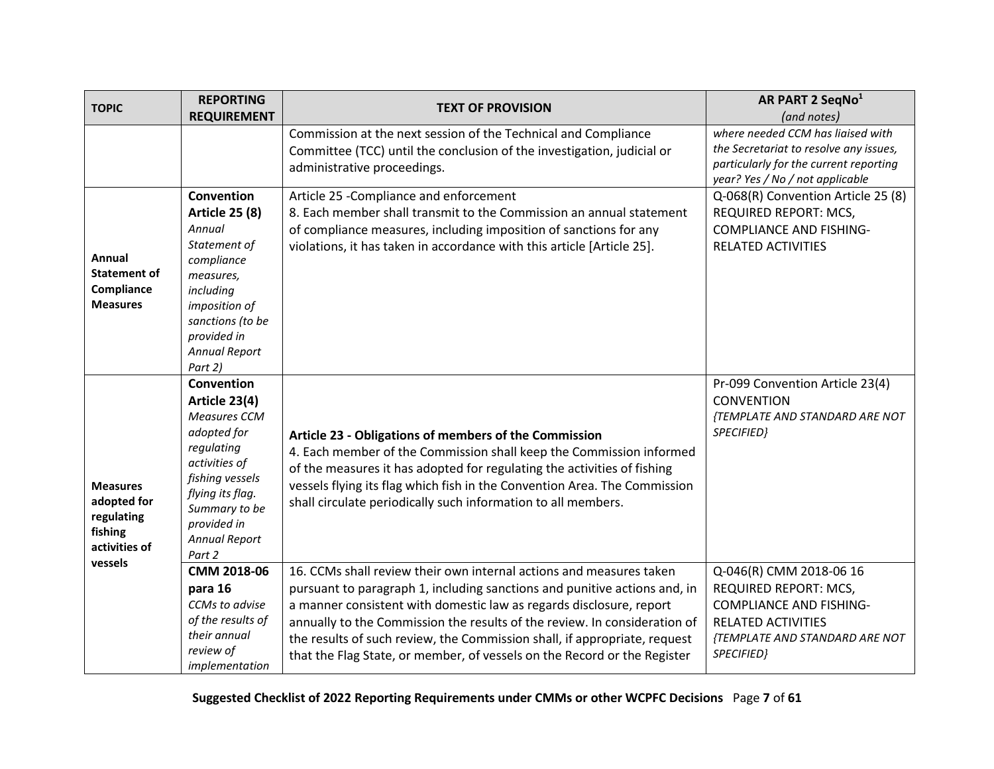<span id="page-6-1"></span><span id="page-6-0"></span>

| <b>TOPIC</b>                                                             | <b>REPORTING</b>                                                                                                                                                                                   | <b>TEXT OF PROVISION</b>                                                                                                                                                                                                                                                                                                                                                                                                                                      | AR PART 2 SeqNo <sup>1</sup>                                                                                                                             |
|--------------------------------------------------------------------------|----------------------------------------------------------------------------------------------------------------------------------------------------------------------------------------------------|---------------------------------------------------------------------------------------------------------------------------------------------------------------------------------------------------------------------------------------------------------------------------------------------------------------------------------------------------------------------------------------------------------------------------------------------------------------|----------------------------------------------------------------------------------------------------------------------------------------------------------|
|                                                                          | <b>REQUIREMENT</b>                                                                                                                                                                                 |                                                                                                                                                                                                                                                                                                                                                                                                                                                               | (and notes)<br>where needed CCM has liaised with                                                                                                         |
|                                                                          |                                                                                                                                                                                                    | Commission at the next session of the Technical and Compliance<br>Committee (TCC) until the conclusion of the investigation, judicial or<br>administrative proceedings.                                                                                                                                                                                                                                                                                       | the Secretariat to resolve any issues,<br>particularly for the current reporting<br>year? Yes / No / not applicable                                      |
| Annual<br><b>Statement of</b><br>Compliance<br><b>Measures</b>           | Convention<br><b>Article 25 (8)</b><br>Annual<br>Statement of<br>compliance<br>measures,<br>including<br>imposition of<br>sanctions (to be<br>provided in<br><b>Annual Report</b><br>Part 2)       | Article 25 - Compliance and enforcement<br>8. Each member shall transmit to the Commission an annual statement<br>of compliance measures, including imposition of sanctions for any<br>violations, it has taken in accordance with this article [Article 25].                                                                                                                                                                                                 | Q-068(R) Convention Article 25 (8)<br>REQUIRED REPORT: MCS,<br><b>COMPLIANCE AND FISHING-</b><br><b>RELATED ACTIVITIES</b>                               |
| <b>Measures</b><br>adopted for<br>regulating<br>fishing<br>activities of | Convention<br>Article 23(4)<br>Measures CCM<br>adopted for<br>regulating<br>activities of<br>fishing vessels<br>flying its flag.<br>Summary to be<br>provided in<br><b>Annual Report</b><br>Part 2 | Article 23 - Obligations of members of the Commission<br>4. Each member of the Commission shall keep the Commission informed<br>of the measures it has adopted for regulating the activities of fishing<br>vessels flying its flag which fish in the Convention Area. The Commission<br>shall circulate periodically such information to all members.                                                                                                         | Pr-099 Convention Article 23(4)<br><b>CONVENTION</b><br>{TEMPLATE AND STANDARD ARE NOT<br>SPECIFIED}                                                     |
| vessels                                                                  | CMM 2018-06<br>para 16<br>CCMs to advise<br>of the results of<br>their annual<br>review of<br>implementation                                                                                       | 16. CCMs shall review their own internal actions and measures taken<br>pursuant to paragraph 1, including sanctions and punitive actions and, in<br>a manner consistent with domestic law as regards disclosure, report<br>annually to the Commission the results of the review. In consideration of<br>the results of such review, the Commission shall, if appropriate, request<br>that the Flag State, or member, of vessels on the Record or the Register | Q-046(R) CMM 2018-06 16<br>REQUIRED REPORT: MCS,<br><b>COMPLIANCE AND FISHING-</b><br>RELATED ACTIVITIES<br>{TEMPLATE AND STANDARD ARE NOT<br>SPECIFIED} |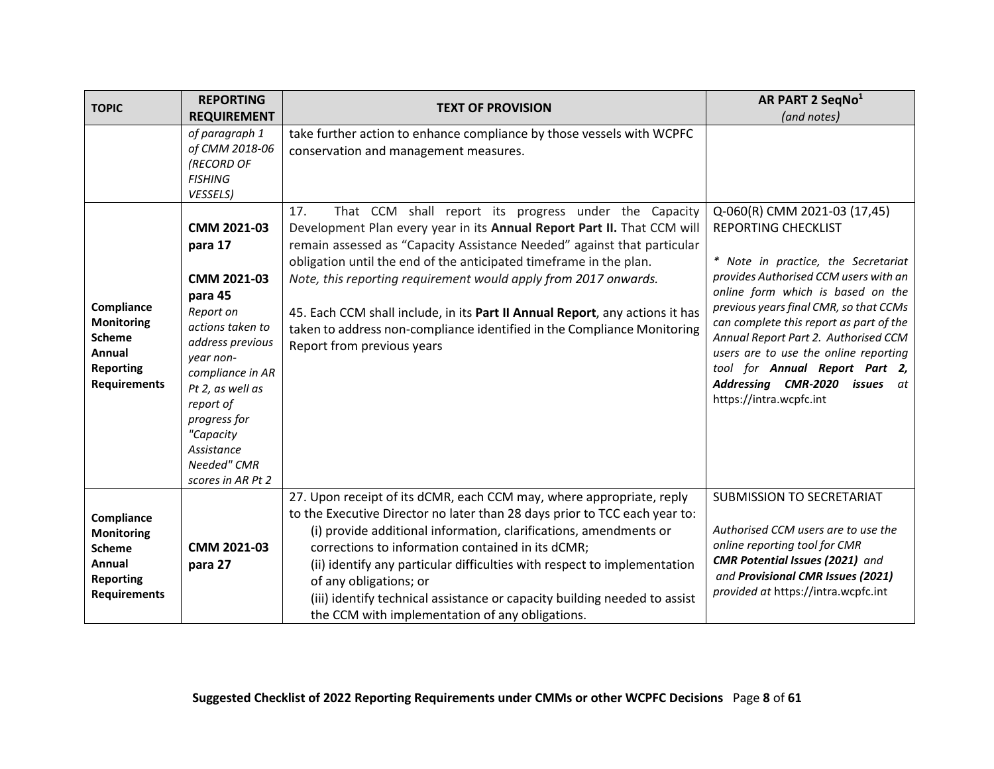<span id="page-7-0"></span>

| <b>TOPIC</b>                                                                                          | <b>REPORTING</b>                                                                                                                                                                                                                                       | <b>TEXT OF PROVISION</b>                                                                                                                                                                                                                                                                                                                                                                                                                                                                                                                             | AR PART 2 SeqNo <sup>1</sup>                                                                                                                                                                                                                                                                                                                                                                                                                                  |
|-------------------------------------------------------------------------------------------------------|--------------------------------------------------------------------------------------------------------------------------------------------------------------------------------------------------------------------------------------------------------|------------------------------------------------------------------------------------------------------------------------------------------------------------------------------------------------------------------------------------------------------------------------------------------------------------------------------------------------------------------------------------------------------------------------------------------------------------------------------------------------------------------------------------------------------|---------------------------------------------------------------------------------------------------------------------------------------------------------------------------------------------------------------------------------------------------------------------------------------------------------------------------------------------------------------------------------------------------------------------------------------------------------------|
|                                                                                                       | <b>REQUIREMENT</b>                                                                                                                                                                                                                                     |                                                                                                                                                                                                                                                                                                                                                                                                                                                                                                                                                      | (and notes)                                                                                                                                                                                                                                                                                                                                                                                                                                                   |
|                                                                                                       | of paragraph 1<br>of CMM 2018-06<br>(RECORD OF<br><b>FISHING</b><br>VESSELS)                                                                                                                                                                           | take further action to enhance compliance by those vessels with WCPFC<br>conservation and management measures.                                                                                                                                                                                                                                                                                                                                                                                                                                       |                                                                                                                                                                                                                                                                                                                                                                                                                                                               |
| Compliance<br><b>Monitoring</b><br><b>Scheme</b><br>Annual<br><b>Reporting</b><br><b>Requirements</b> | CMM 2021-03<br>para 17<br>CMM 2021-03<br>para 45<br>Report on<br>actions taken to<br>address previous<br>year non-<br>compliance in AR<br>Pt 2, as well as<br>report of<br>progress for<br>"Capacity<br>Assistance<br>Needed" CMR<br>scores in AR Pt 2 | 17.<br>That CCM shall report its progress under the Capacity<br>Development Plan every year in its Annual Report Part II. That CCM will<br>remain assessed as "Capacity Assistance Needed" against that particular<br>obligation until the end of the anticipated timeframe in the plan.<br>Note, this reporting requirement would apply from 2017 onwards.<br>45. Each CCM shall include, in its Part II Annual Report, any actions it has<br>taken to address non-compliance identified in the Compliance Monitoring<br>Report from previous years | Q-060(R) CMM 2021-03 (17,45)<br><b>REPORTING CHECKLIST</b><br>* Note in practice, the Secretariat<br>provides Authorised CCM users with an<br>online form which is based on the<br>previous years final CMR, so that CCMs<br>can complete this report as part of the<br>Annual Report Part 2. Authorised CCM<br>users are to use the online reporting<br>tool for Annual Report Part 2,<br>Addressing CMR-2020<br><b>issues</b> at<br>https://intra.wcpfc.int |
| Compliance<br><b>Monitoring</b><br><b>Scheme</b><br>Annual<br><b>Reporting</b><br><b>Requirements</b> | CMM 2021-03<br>para 27                                                                                                                                                                                                                                 | 27. Upon receipt of its dCMR, each CCM may, where appropriate, reply<br>to the Executive Director no later than 28 days prior to TCC each year to:<br>(i) provide additional information, clarifications, amendments or<br>corrections to information contained in its dCMR;<br>(ii) identify any particular difficulties with respect to implementation<br>of any obligations; or<br>(iii) identify technical assistance or capacity building needed to assist<br>the CCM with implementation of any obligations.                                   | <b>SUBMISSION TO SECRETARIAT</b><br>Authorised CCM users are to use the<br>online reporting tool for CMR<br><b>CMR Potential Issues (2021)</b> and<br>and Provisional CMR Issues (2021)<br>provided at https://intra.wcpfc.int                                                                                                                                                                                                                                |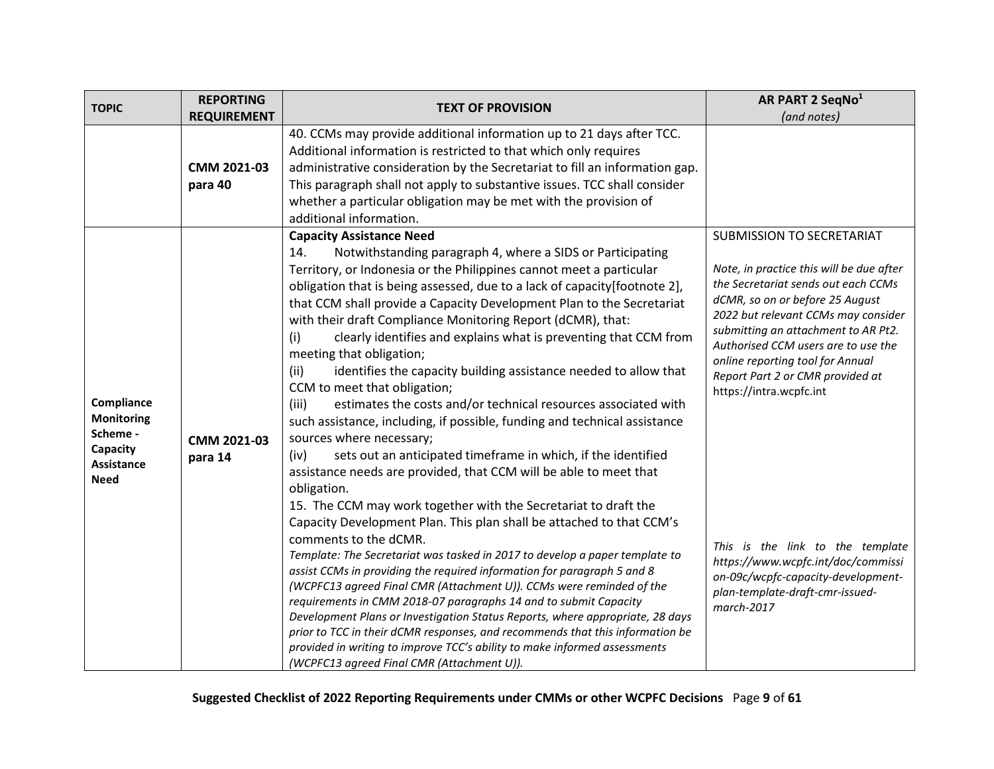| <b>TOPIC</b>                                                                         | <b>REPORTING</b>       | <b>TEXT OF PROVISION</b>                                                                                                                                                                                                                                                                                                                                                                                                                                                                                                                                                                                                                                                                                                                                                                                                                                                                                                                                                                                                                                                                                                                                                                                                                                                                                                                                                                                                                                                                                                                                                                                                                                                                                                                    | AR PART 2 SeqNo <sup>1</sup>                                                                                                                                                                                                                                                                                                                                                                                                                                                                                                             |
|--------------------------------------------------------------------------------------|------------------------|---------------------------------------------------------------------------------------------------------------------------------------------------------------------------------------------------------------------------------------------------------------------------------------------------------------------------------------------------------------------------------------------------------------------------------------------------------------------------------------------------------------------------------------------------------------------------------------------------------------------------------------------------------------------------------------------------------------------------------------------------------------------------------------------------------------------------------------------------------------------------------------------------------------------------------------------------------------------------------------------------------------------------------------------------------------------------------------------------------------------------------------------------------------------------------------------------------------------------------------------------------------------------------------------------------------------------------------------------------------------------------------------------------------------------------------------------------------------------------------------------------------------------------------------------------------------------------------------------------------------------------------------------------------------------------------------------------------------------------------------|------------------------------------------------------------------------------------------------------------------------------------------------------------------------------------------------------------------------------------------------------------------------------------------------------------------------------------------------------------------------------------------------------------------------------------------------------------------------------------------------------------------------------------------|
|                                                                                      | <b>REQUIREMENT</b>     |                                                                                                                                                                                                                                                                                                                                                                                                                                                                                                                                                                                                                                                                                                                                                                                                                                                                                                                                                                                                                                                                                                                                                                                                                                                                                                                                                                                                                                                                                                                                                                                                                                                                                                                                             | (and notes)                                                                                                                                                                                                                                                                                                                                                                                                                                                                                                                              |
|                                                                                      | CMM 2021-03<br>para 40 | 40. CCMs may provide additional information up to 21 days after TCC.<br>Additional information is restricted to that which only requires<br>administrative consideration by the Secretariat to fill an information gap.<br>This paragraph shall not apply to substantive issues. TCC shall consider<br>whether a particular obligation may be met with the provision of<br>additional information.                                                                                                                                                                                                                                                                                                                                                                                                                                                                                                                                                                                                                                                                                                                                                                                                                                                                                                                                                                                                                                                                                                                                                                                                                                                                                                                                          |                                                                                                                                                                                                                                                                                                                                                                                                                                                                                                                                          |
| Compliance<br><b>Monitoring</b><br>Scheme -<br>Capacity<br>Assistance<br><b>Need</b> | CMM 2021-03<br>para 14 | <b>Capacity Assistance Need</b><br>Notwithstanding paragraph 4, where a SIDS or Participating<br>14.<br>Territory, or Indonesia or the Philippines cannot meet a particular<br>obligation that is being assessed, due to a lack of capacity[footnote 2],<br>that CCM shall provide a Capacity Development Plan to the Secretariat<br>with their draft Compliance Monitoring Report (dCMR), that:<br>clearly identifies and explains what is preventing that CCM from<br>(i)<br>meeting that obligation;<br>identifies the capacity building assistance needed to allow that<br>(ii)<br>CCM to meet that obligation;<br>estimates the costs and/or technical resources associated with<br>(iii)<br>such assistance, including, if possible, funding and technical assistance<br>sources where necessary;<br>sets out an anticipated timeframe in which, if the identified<br>(iv)<br>assistance needs are provided, that CCM will be able to meet that<br>obligation.<br>15. The CCM may work together with the Secretariat to draft the<br>Capacity Development Plan. This plan shall be attached to that CCM's<br>comments to the dCMR.<br>Template: The Secretariat was tasked in 2017 to develop a paper template to<br>assist CCMs in providing the required information for paragraph 5 and 8<br>(WCPFC13 agreed Final CMR (Attachment U)). CCMs were reminded of the<br>requirements in CMM 2018-07 paragraphs 14 and to submit Capacity<br>Development Plans or Investigation Status Reports, where appropriate, 28 days<br>prior to TCC in their dCMR responses, and recommends that this information be<br>provided in writing to improve TCC's ability to make informed assessments<br>(WCPFC13 agreed Final CMR (Attachment U)). | SUBMISSION TO SECRETARIAT<br>Note, in practice this will be due after<br>the Secretariat sends out each CCMs<br>dCMR, so on or before 25 August<br>2022 but relevant CCMs may consider<br>submitting an attachment to AR Pt2.<br>Authorised CCM users are to use the<br>online reporting tool for Annual<br>Report Part 2 or CMR provided at<br>https://intra.wcpfc.int<br>This is the link to the template<br>https://www.wcpfc.int/doc/commissi<br>on-09c/wcpfc-capacity-development-<br>plan-template-draft-cmr-issued-<br>march-2017 |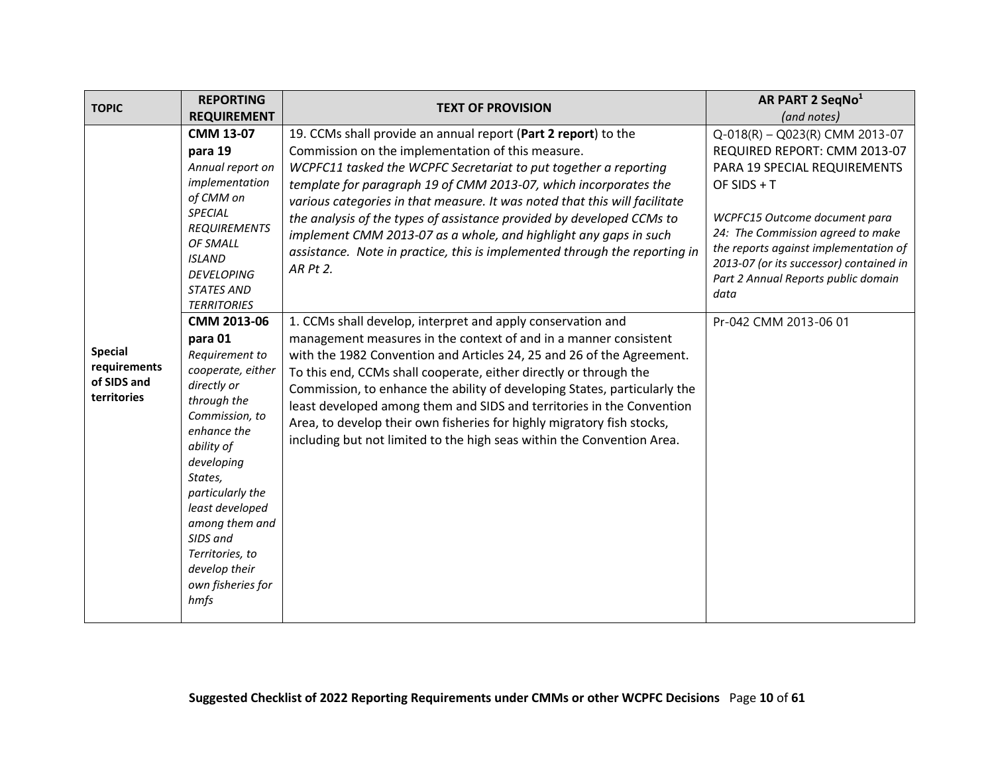<span id="page-9-0"></span>

| <b>TOPIC</b>                                                 | <b>REPORTING</b>                                                                                                                                                                                                                                                                                                                                                                                                                                                                                                           | <b>TEXT OF PROVISION</b>                                                                                                                                                                                                                                                                                                                                                                                                                                                                                                                                                                                                                                                                                                                                                                                                                                                                                                                                                                                                                                                                                                                                                    | AR PART 2 SeqNo <sup>1</sup>                                                                                                                                                                                                                                                                                                                      |
|--------------------------------------------------------------|----------------------------------------------------------------------------------------------------------------------------------------------------------------------------------------------------------------------------------------------------------------------------------------------------------------------------------------------------------------------------------------------------------------------------------------------------------------------------------------------------------------------------|-----------------------------------------------------------------------------------------------------------------------------------------------------------------------------------------------------------------------------------------------------------------------------------------------------------------------------------------------------------------------------------------------------------------------------------------------------------------------------------------------------------------------------------------------------------------------------------------------------------------------------------------------------------------------------------------------------------------------------------------------------------------------------------------------------------------------------------------------------------------------------------------------------------------------------------------------------------------------------------------------------------------------------------------------------------------------------------------------------------------------------------------------------------------------------|---------------------------------------------------------------------------------------------------------------------------------------------------------------------------------------------------------------------------------------------------------------------------------------------------------------------------------------------------|
|                                                              | <b>REQUIREMENT</b>                                                                                                                                                                                                                                                                                                                                                                                                                                                                                                         |                                                                                                                                                                                                                                                                                                                                                                                                                                                                                                                                                                                                                                                                                                                                                                                                                                                                                                                                                                                                                                                                                                                                                                             | (and notes)                                                                                                                                                                                                                                                                                                                                       |
| <b>Special</b><br>requirements<br>of SIDS and<br>territories | <b>CMM 13-07</b><br>para 19<br>Annual report on<br>implementation<br>of CMM on<br>SPECIAL<br><b>REQUIREMENTS</b><br>OF SMALL<br><b>ISLAND</b><br><b>DEVELOPING</b><br><b>STATES AND</b><br><b>TERRITORIES</b><br>CMM 2013-06<br>para 01<br>Requirement to<br>cooperate, either<br>directly or<br>through the<br>Commission, to<br>enhance the<br>ability of<br>developing<br>States,<br>particularly the<br>least developed<br>among them and<br>SIDS and<br>Territories, to<br>develop their<br>own fisheries for<br>hmfs | 19. CCMs shall provide an annual report (Part 2 report) to the<br>Commission on the implementation of this measure.<br>WCPFC11 tasked the WCPFC Secretariat to put together a reporting<br>template for paragraph 19 of CMM 2013-07, which incorporates the<br>various categories in that measure. It was noted that this will facilitate<br>the analysis of the types of assistance provided by developed CCMs to<br>implement CMM 2013-07 as a whole, and highlight any gaps in such<br>assistance. Note in practice, this is implemented through the reporting in<br>AR Pt 2.<br>1. CCMs shall develop, interpret and apply conservation and<br>management measures in the context of and in a manner consistent<br>with the 1982 Convention and Articles 24, 25 and 26 of the Agreement.<br>To this end, CCMs shall cooperate, either directly or through the<br>Commission, to enhance the ability of developing States, particularly the<br>least developed among them and SIDS and territories in the Convention<br>Area, to develop their own fisheries for highly migratory fish stocks,<br>including but not limited to the high seas within the Convention Area. | Q-018(R) - Q023(R) CMM 2013-07<br>REQUIRED REPORT: CMM 2013-07<br>PARA 19 SPECIAL REQUIREMENTS<br>OF SIDS + $T$<br>WCPFC15 Outcome document para<br>24: The Commission agreed to make<br>the reports against implementation of<br>2013-07 (or its successor) contained in<br>Part 2 Annual Reports public domain<br>data<br>Pr-042 CMM 2013-06 01 |
|                                                              |                                                                                                                                                                                                                                                                                                                                                                                                                                                                                                                            |                                                                                                                                                                                                                                                                                                                                                                                                                                                                                                                                                                                                                                                                                                                                                                                                                                                                                                                                                                                                                                                                                                                                                                             |                                                                                                                                                                                                                                                                                                                                                   |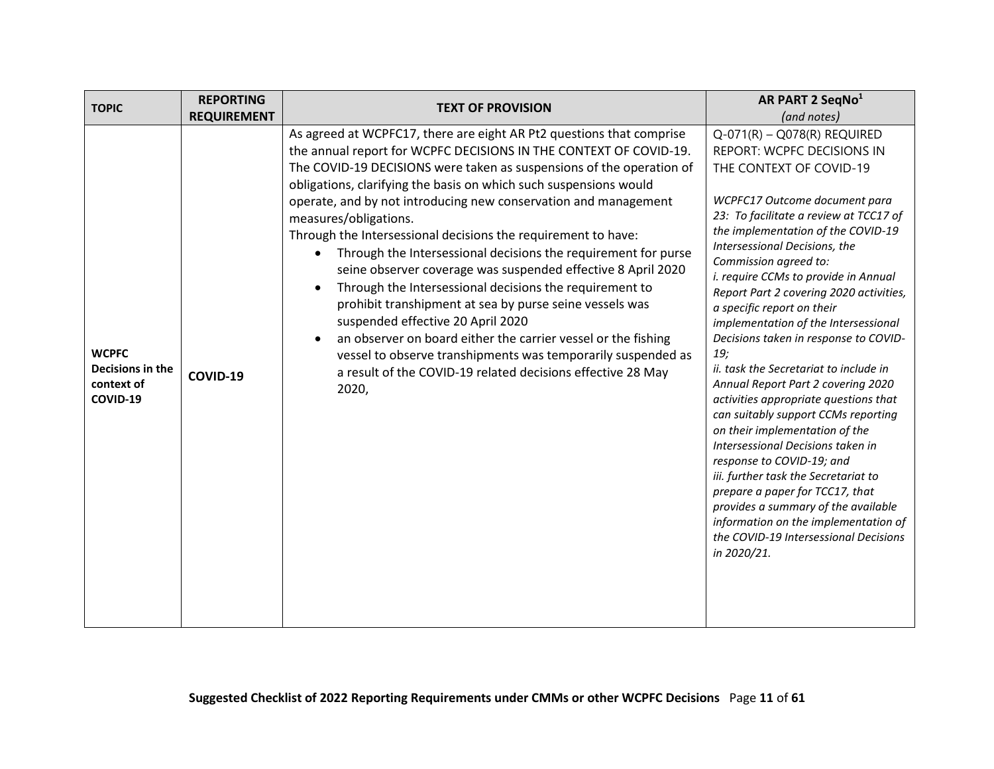<span id="page-10-0"></span>

| <b>TOPIC</b>                                               | <b>REPORTING</b>   | <b>TEXT OF PROVISION</b>                                                                                                                                                                                                                                                                                                                                                                                                                                                                                                                                                                                                                                                                                                                                                                                                                                                                                                                                  | AR PART 2 SeqNo <sup>1</sup>                                                                                                                                                                                                                                                                                                                                                                                                                                                                                                                                                                                                                                                                                                                                                                                                                                                                                                                                     |
|------------------------------------------------------------|--------------------|-----------------------------------------------------------------------------------------------------------------------------------------------------------------------------------------------------------------------------------------------------------------------------------------------------------------------------------------------------------------------------------------------------------------------------------------------------------------------------------------------------------------------------------------------------------------------------------------------------------------------------------------------------------------------------------------------------------------------------------------------------------------------------------------------------------------------------------------------------------------------------------------------------------------------------------------------------------|------------------------------------------------------------------------------------------------------------------------------------------------------------------------------------------------------------------------------------------------------------------------------------------------------------------------------------------------------------------------------------------------------------------------------------------------------------------------------------------------------------------------------------------------------------------------------------------------------------------------------------------------------------------------------------------------------------------------------------------------------------------------------------------------------------------------------------------------------------------------------------------------------------------------------------------------------------------|
|                                                            | <b>REQUIREMENT</b> |                                                                                                                                                                                                                                                                                                                                                                                                                                                                                                                                                                                                                                                                                                                                                                                                                                                                                                                                                           | (and notes)                                                                                                                                                                                                                                                                                                                                                                                                                                                                                                                                                                                                                                                                                                                                                                                                                                                                                                                                                      |
| <b>WCPFC</b><br>Decisions in the<br>context of<br>COVID-19 | COVID-19           | As agreed at WCPFC17, there are eight AR Pt2 questions that comprise<br>the annual report for WCPFC DECISIONS IN THE CONTEXT OF COVID-19.<br>The COVID-19 DECISIONS were taken as suspensions of the operation of<br>obligations, clarifying the basis on which such suspensions would<br>operate, and by not introducing new conservation and management<br>measures/obligations.<br>Through the Intersessional decisions the requirement to have:<br>Through the Intersessional decisions the requirement for purse<br>seine observer coverage was suspended effective 8 April 2020<br>Through the Intersessional decisions the requirement to<br>prohibit transhipment at sea by purse seine vessels was<br>suspended effective 20 April 2020<br>an observer on board either the carrier vessel or the fishing<br>vessel to observe transhipments was temporarily suspended as<br>a result of the COVID-19 related decisions effective 28 May<br>2020, | $Q-071(R) - Q078(R)$ REQUIRED<br>REPORT: WCPFC DECISIONS IN<br>THE CONTEXT OF COVID-19<br>WCPFC17 Outcome document para<br>23: To facilitate a review at TCC17 of<br>the implementation of the COVID-19<br>Intersessional Decisions, the<br>Commission agreed to:<br>i. require CCMs to provide in Annual<br>Report Part 2 covering 2020 activities,<br>a specific report on their<br>implementation of the Intersessional<br>Decisions taken in response to COVID-<br>19;<br>ii. task the Secretariat to include in<br>Annual Report Part 2 covering 2020<br>activities appropriate questions that<br>can suitably support CCMs reporting<br>on their implementation of the<br>Intersessional Decisions taken in<br>response to COVID-19; and<br>iii. further task the Secretariat to<br>prepare a paper for TCC17, that<br>provides a summary of the available<br>information on the implementation of<br>the COVID-19 Intersessional Decisions<br>in 2020/21. |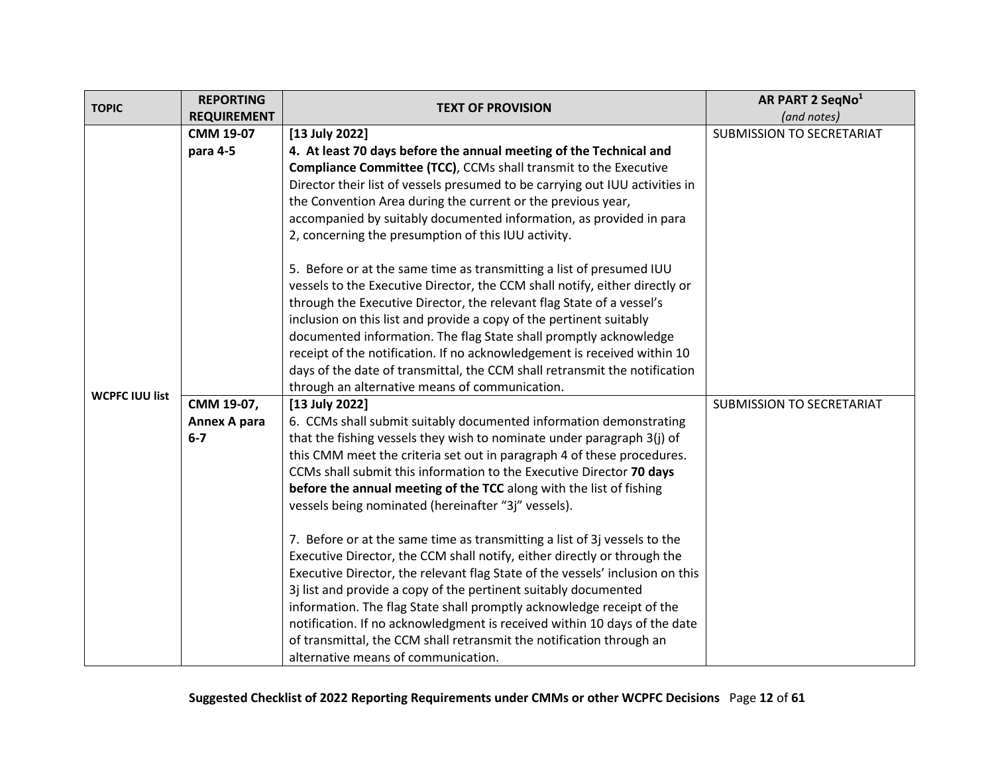<span id="page-11-0"></span>

| <b>TOPIC</b>          | <b>REPORTING</b>   |                                                                               | AR PART 2 SeqNo <sup>1</sup>     |
|-----------------------|--------------------|-------------------------------------------------------------------------------|----------------------------------|
|                       | <b>REQUIREMENT</b> | <b>TEXT OF PROVISION</b>                                                      | (and notes)                      |
|                       | <b>CMM 19-07</b>   | $[13$ July 2022]                                                              | <b>SUBMISSION TO SECRETARIAT</b> |
|                       | para 4-5           | 4. At least 70 days before the annual meeting of the Technical and            |                                  |
|                       |                    | <b>Compliance Committee (TCC), CCMs shall transmit to the Executive</b>       |                                  |
|                       |                    | Director their list of vessels presumed to be carrying out IUU activities in  |                                  |
|                       |                    | the Convention Area during the current or the previous year,                  |                                  |
|                       |                    | accompanied by suitably documented information, as provided in para           |                                  |
|                       |                    | 2, concerning the presumption of this IUU activity.                           |                                  |
|                       |                    | 5. Before or at the same time as transmitting a list of presumed IUU          |                                  |
|                       |                    | vessels to the Executive Director, the CCM shall notify, either directly or   |                                  |
|                       |                    | through the Executive Director, the relevant flag State of a vessel's         |                                  |
|                       |                    | inclusion on this list and provide a copy of the pertinent suitably           |                                  |
|                       |                    | documented information. The flag State shall promptly acknowledge             |                                  |
|                       |                    | receipt of the notification. If no acknowledgement is received within 10      |                                  |
|                       |                    | days of the date of transmittal, the CCM shall retransmit the notification    |                                  |
| <b>WCPFC IUU list</b> |                    | through an alternative means of communication.                                |                                  |
|                       | CMM 19-07,         | [13 July 2022]                                                                | SUBMISSION TO SECRETARIAT        |
|                       | Annex A para       | 6. CCMs shall submit suitably documented information demonstrating            |                                  |
|                       | $6-7$              | that the fishing vessels they wish to nominate under paragraph 3(j) of        |                                  |
|                       |                    | this CMM meet the criteria set out in paragraph 4 of these procedures.        |                                  |
|                       |                    | CCMs shall submit this information to the Executive Director 70 days          |                                  |
|                       |                    | before the annual meeting of the TCC along with the list of fishing           |                                  |
|                       |                    | vessels being nominated (hereinafter "3j" vessels).                           |                                  |
|                       |                    | 7. Before or at the same time as transmitting a list of 3j vessels to the     |                                  |
|                       |                    | Executive Director, the CCM shall notify, either directly or through the      |                                  |
|                       |                    | Executive Director, the relevant flag State of the vessels' inclusion on this |                                  |
|                       |                    | 3j list and provide a copy of the pertinent suitably documented               |                                  |
|                       |                    | information. The flag State shall promptly acknowledge receipt of the         |                                  |
|                       |                    | notification. If no acknowledgment is received within 10 days of the date     |                                  |
|                       |                    | of transmittal, the CCM shall retransmit the notification through an          |                                  |
|                       |                    | alternative means of communication.                                           |                                  |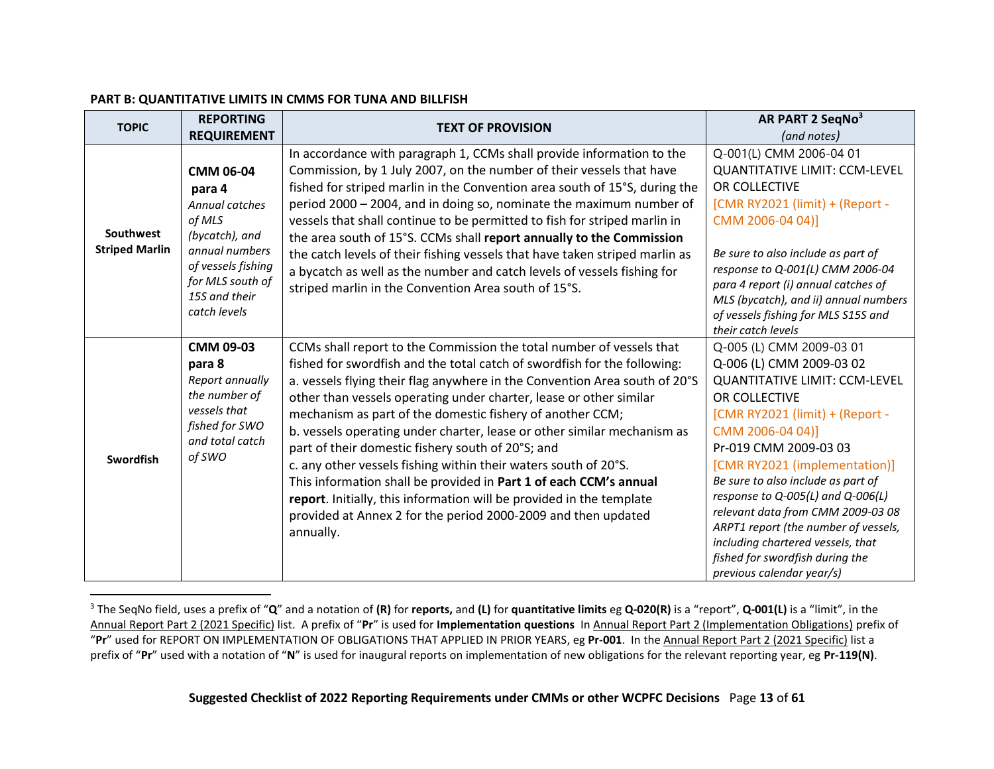#### **PART B: QUANTITATIVE LIMITS IN CMMS FOR TUNA AND BILLFISH**

<span id="page-12-0"></span>

| <b>TOPIC</b>          | <b>REPORTING</b>                  | <b>TEXT OF PROVISION</b>                                                                                                                         | AR PART 2 SeqNo <sup>3</sup>                                        |
|-----------------------|-----------------------------------|--------------------------------------------------------------------------------------------------------------------------------------------------|---------------------------------------------------------------------|
|                       | <b>REQUIREMENT</b>                |                                                                                                                                                  | (and notes)                                                         |
|                       |                                   | In accordance with paragraph 1, CCMs shall provide information to the                                                                            | Q-001(L) CMM 2006-04 01                                             |
|                       | <b>CMM 06-04</b>                  | Commission, by 1 July 2007, on the number of their vessels that have                                                                             | <b>QUANTITATIVE LIMIT: CCM-LEVEL</b>                                |
|                       | para 4                            | fished for striped marlin in the Convention area south of 15°S, during the                                                                       | OR COLLECTIVE                                                       |
|                       | Annual catches                    | period 2000 - 2004, and in doing so, nominate the maximum number of                                                                              | [CMR RY2021 (limit) + (Report -                                     |
|                       | of MLS                            | vessels that shall continue to be permitted to fish for striped marlin in                                                                        | CMM 2006-04 04)]                                                    |
| Southwest             | (bycatch), and                    | the area south of 15°S. CCMs shall report annually to the Commission                                                                             |                                                                     |
| <b>Striped Marlin</b> | annual numbers                    | the catch levels of their fishing vessels that have taken striped marlin as                                                                      | Be sure to also include as part of                                  |
|                       | of vessels fishing                | a bycatch as well as the number and catch levels of vessels fishing for                                                                          | response to Q-001(L) CMM 2006-04                                    |
|                       | for MLS south of<br>15S and their | striped marlin in the Convention Area south of 15°S.                                                                                             | para 4 report (i) annual catches of                                 |
|                       | catch levels                      |                                                                                                                                                  | MLS (bycatch), and ii) annual numbers                               |
|                       |                                   |                                                                                                                                                  | of vessels fishing for MLS S15S and<br>their catch levels           |
|                       | <b>CMM 09-03</b>                  | CCMs shall report to the Commission the total number of vessels that                                                                             | Q-005 (L) CMM 2009-03 01                                            |
|                       | para 8                            | fished for swordfish and the total catch of swordfish for the following:                                                                         | Q-006 (L) CMM 2009-03 02                                            |
|                       | Report annually                   |                                                                                                                                                  | <b>QUANTITATIVE LIMIT: CCM-LEVEL</b>                                |
|                       | the number of                     | a. vessels flying their flag anywhere in the Convention Area south of 20°S<br>other than vessels operating under charter, lease or other similar | OR COLLECTIVE                                                       |
|                       | vessels that                      |                                                                                                                                                  | [CMR RY2021 (limit) + (Report -                                     |
|                       | fished for SWO                    | mechanism as part of the domestic fishery of another CCM;                                                                                        | CMM 2006-04 04)]                                                    |
|                       | and total catch                   | b. vessels operating under charter, lease or other similar mechanism as<br>part of their domestic fishery south of 20°S; and                     | Pr-019 CMM 2009-03 03                                               |
| Swordfish             | of SWO                            |                                                                                                                                                  |                                                                     |
|                       |                                   | c. any other vessels fishing within their waters south of 20°S.                                                                                  | [CMR RY2021 (implementation)]<br>Be sure to also include as part of |
|                       |                                   | This information shall be provided in Part 1 of each CCM's annual                                                                                | response to Q-005(L) and Q-006(L)                                   |
|                       |                                   | report. Initially, this information will be provided in the template                                                                             | relevant data from CMM 2009-03 08                                   |
|                       |                                   | provided at Annex 2 for the period 2000-2009 and then updated                                                                                    | ARPT1 report (the number of vessels,                                |
|                       |                                   | annually.                                                                                                                                        | including chartered vessels, that                                   |
|                       |                                   |                                                                                                                                                  | fished for swordfish during the                                     |
|                       |                                   |                                                                                                                                                  | previous calendar year/s)                                           |

<span id="page-12-2"></span><span id="page-12-1"></span><sup>3</sup> The SeqNo field, uses a prefix of "**Q**" and a notation of **(R)** for **reports,** and **(L)** for **quantitative limits** eg **Q-020(R)** is a "report", **Q-001(L)** is a "limit", in the Annual Report Part 2 (2021 Specific) list. A prefix of "**Pr**" is used for **Implementation questions** In Annual Report Part 2 (Implementation Obligations) prefix of "**Pr**" used for REPORT ON IMPLEMENTATION OF OBLIGATIONS THAT APPLIED IN PRIOR YEARS, eg **Pr-001**. In the Annual Report Part 2 (2021 Specific) list a prefix of "**Pr**" used with a notation of "**N**" is used for inaugural reports on implementation of new obligations for the relevant reporting year, eg **Pr-119(N)**.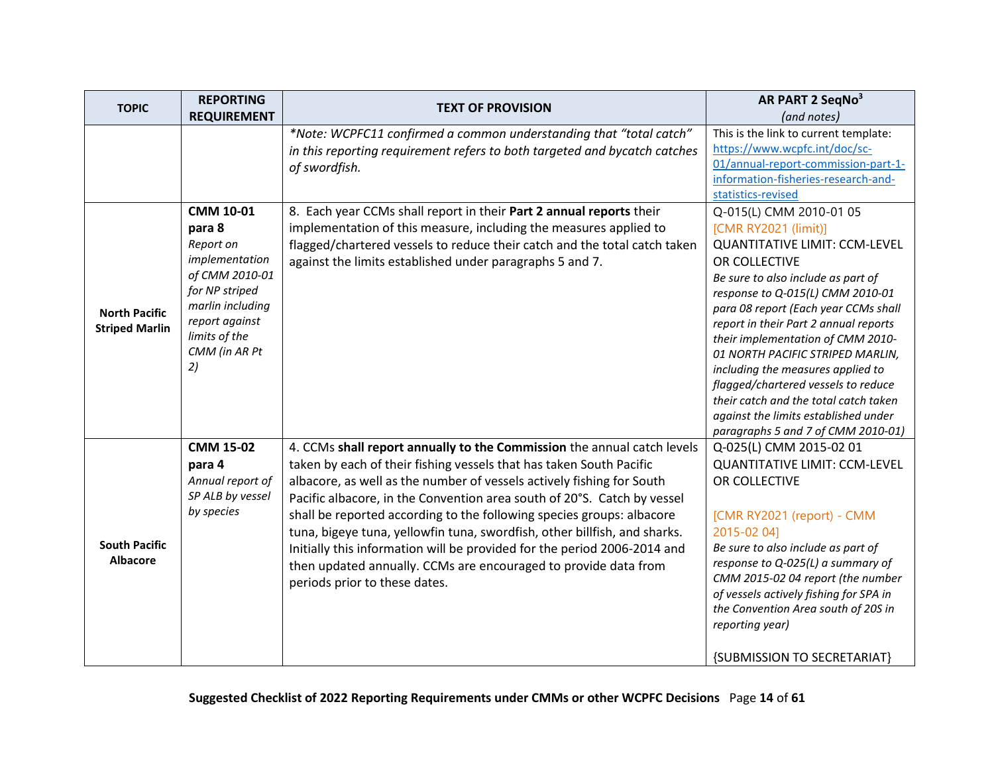<span id="page-13-1"></span><span id="page-13-0"></span>

| <b>TOPIC</b>          | <b>REPORTING</b>   | <b>TEXT OF PROVISION</b>                                                  | AR PART 2 SeqNo <sup>3</sup>                                               |
|-----------------------|--------------------|---------------------------------------------------------------------------|----------------------------------------------------------------------------|
|                       | <b>REQUIREMENT</b> |                                                                           | (and notes)                                                                |
|                       |                    | *Note: WCPFC11 confirmed a common understanding that "total catch"        | This is the link to current template:                                      |
|                       |                    | in this reporting requirement refers to both targeted and bycatch catches | https://www.wcpfc.int/doc/sc-                                              |
|                       |                    | of swordfish.                                                             | 01/annual-report-commission-part-1-                                        |
|                       |                    |                                                                           | information-fisheries-research-and-<br>statistics-revised                  |
|                       | CMM 10-01          | 8. Each year CCMs shall report in their Part 2 annual reports their       | Q-015(L) CMM 2010-01 05                                                    |
|                       | para 8             | implementation of this measure, including the measures applied to         | [CMR RY2021 (limit)]                                                       |
|                       | Report on          | flagged/chartered vessels to reduce their catch and the total catch taken | <b>QUANTITATIVE LIMIT: CCM-LEVEL</b>                                       |
|                       | implementation     | against the limits established under paragraphs 5 and 7.                  | OR COLLECTIVE                                                              |
|                       | of CMM 2010-01     |                                                                           | Be sure to also include as part of                                         |
|                       | for NP striped     |                                                                           | response to Q-015(L) CMM 2010-01                                           |
| <b>North Pacific</b>  | marlin including   |                                                                           | para 08 report (Each year CCMs shall                                       |
| <b>Striped Marlin</b> | report against     |                                                                           | report in their Part 2 annual reports                                      |
|                       | limits of the      |                                                                           | their implementation of CMM 2010-                                          |
|                       | CMM (in AR Pt      |                                                                           | 01 NORTH PACIFIC STRIPED MARLIN,                                           |
|                       | 2)                 |                                                                           | including the measures applied to                                          |
|                       |                    |                                                                           | flagged/chartered vessels to reduce                                        |
|                       |                    |                                                                           | their catch and the total catch taken                                      |
|                       |                    |                                                                           | against the limits established under<br>paragraphs 5 and 7 of CMM 2010-01) |
|                       | <b>CMM 15-02</b>   | 4. CCMs shall report annually to the Commission the annual catch levels   | Q-025(L) CMM 2015-02 01                                                    |
|                       | para 4             | taken by each of their fishing vessels that has taken South Pacific       | <b>QUANTITATIVE LIMIT: CCM-LEVEL</b>                                       |
|                       | Annual report of   | albacore, as well as the number of vessels actively fishing for South     | OR COLLECTIVE                                                              |
|                       | SP ALB by vessel   | Pacific albacore, in the Convention area south of 20°S. Catch by vessel   |                                                                            |
|                       | by species         | shall be reported according to the following species groups: albacore     | [CMR RY2021 (report) - CMM                                                 |
|                       |                    | tuna, bigeye tuna, yellowfin tuna, swordfish, other billfish, and sharks. | 2015-02 041                                                                |
| <b>South Pacific</b>  |                    | Initially this information will be provided for the period 2006-2014 and  | Be sure to also include as part of                                         |
| <b>Albacore</b>       |                    | then updated annually. CCMs are encouraged to provide data from           | response to Q-025(L) a summary of                                          |
|                       |                    | periods prior to these dates.                                             | CMM 2015-02 04 report (the number                                          |
|                       |                    |                                                                           | of vessels actively fishing for SPA in                                     |
|                       |                    |                                                                           | the Convention Area south of 20S in                                        |
|                       |                    |                                                                           | reporting year)                                                            |
|                       |                    |                                                                           | {SUBMISSION TO SECRETARIAT}                                                |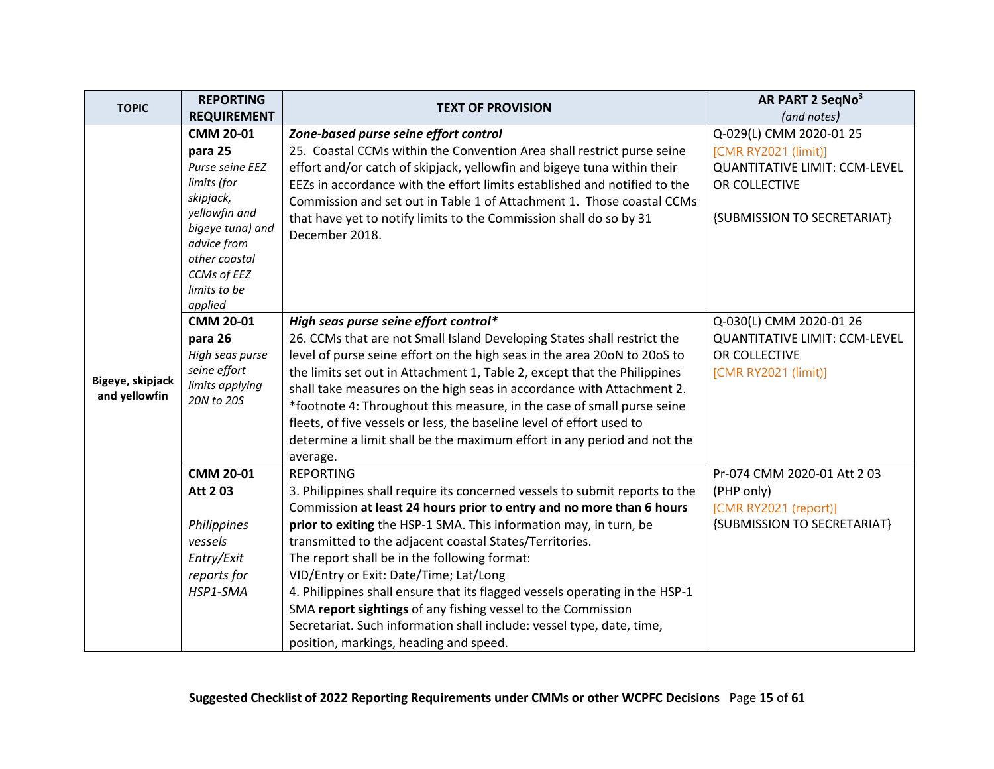<span id="page-14-0"></span>

| <b>TOPIC</b>                      | <b>REPORTING</b>                                                                                                                                                      | <b>TEXT OF PROVISION</b>                                                                                                                                                                                                                                                                                                                                                                                                                                                                                                                           | AR PART 2 SeqNo <sup>3</sup>                                                                                 |
|-----------------------------------|-----------------------------------------------------------------------------------------------------------------------------------------------------------------------|----------------------------------------------------------------------------------------------------------------------------------------------------------------------------------------------------------------------------------------------------------------------------------------------------------------------------------------------------------------------------------------------------------------------------------------------------------------------------------------------------------------------------------------------------|--------------------------------------------------------------------------------------------------------------|
|                                   | <b>REQUIREMENT</b>                                                                                                                                                    |                                                                                                                                                                                                                                                                                                                                                                                                                                                                                                                                                    | (and notes)                                                                                                  |
|                                   | <b>CMM 20-01</b>                                                                                                                                                      | Zone-based purse seine effort control                                                                                                                                                                                                                                                                                                                                                                                                                                                                                                              | Q-029(L) CMM 2020-01 25                                                                                      |
|                                   | para 25<br>Purse seine EEZ<br>limits (for<br>skipjack,<br>yellowfin and<br>bigeye tuna) and<br>advice from<br>other coastal<br>CCMs of EEZ<br>limits to be<br>applied | 25. Coastal CCMs within the Convention Area shall restrict purse seine<br>effort and/or catch of skipjack, yellowfin and bigeye tuna within their<br>EEZs in accordance with the effort limits established and notified to the<br>Commission and set out in Table 1 of Attachment 1. Those coastal CCMs<br>that have yet to notify limits to the Commission shall do so by 31<br>December 2018.                                                                                                                                                    | [CMR RY2021 (limit)]<br><b>QUANTITATIVE LIMIT: CCM-LEVEL</b><br>OR COLLECTIVE<br>{SUBMISSION TO SECRETARIAT} |
|                                   | <b>CMM 20-01</b>                                                                                                                                                      | High seas purse seine effort control*                                                                                                                                                                                                                                                                                                                                                                                                                                                                                                              | Q-030(L) CMM 2020-01 26                                                                                      |
| Bigeye, skipjack<br>and yellowfin | para 26<br>High seas purse<br>seine effort<br>limits applying<br>20N to 20S                                                                                           | 26. CCMs that are not Small Island Developing States shall restrict the<br>level of purse seine effort on the high seas in the area 20oN to 20oS to<br>the limits set out in Attachment 1, Table 2, except that the Philippines<br>shall take measures on the high seas in accordance with Attachment 2.<br>*footnote 4: Throughout this measure, in the case of small purse seine<br>fleets, of five vessels or less, the baseline level of effort used to<br>determine a limit shall be the maximum effort in any period and not the<br>average. | <b>QUANTITATIVE LIMIT: CCM-LEVEL</b><br>OR COLLECTIVE<br>[CMR RY2021 (limit)]                                |
|                                   | <b>CMM 20-01</b>                                                                                                                                                      | <b>REPORTING</b>                                                                                                                                                                                                                                                                                                                                                                                                                                                                                                                                   | Pr-074 CMM 2020-01 Att 2 03                                                                                  |
|                                   | Att 203                                                                                                                                                               | 3. Philippines shall require its concerned vessels to submit reports to the<br>Commission at least 24 hours prior to entry and no more than 6 hours                                                                                                                                                                                                                                                                                                                                                                                                | (PHP only)<br>[CMR RY2021 (report)]                                                                          |
|                                   | Philippines<br>vessels<br>Entry/Exit<br>reports for<br>HSP1-SMA                                                                                                       | prior to exiting the HSP-1 SMA. This information may, in turn, be<br>transmitted to the adjacent coastal States/Territories.<br>The report shall be in the following format:<br>VID/Entry or Exit: Date/Time; Lat/Long<br>4. Philippines shall ensure that its flagged vessels operating in the HSP-1<br>SMA report sightings of any fishing vessel to the Commission<br>Secretariat. Such information shall include: vessel type, date, time,<br>position, markings, heading and speed.                                                           | {SUBMISSION TO SECRETARIAT}                                                                                  |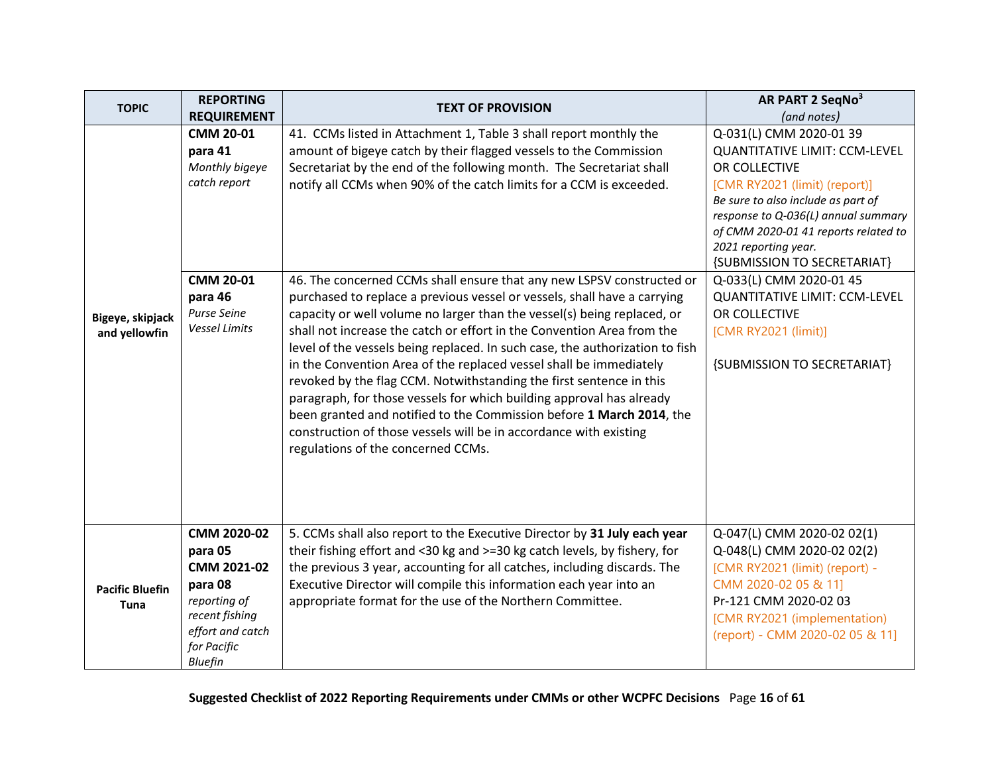| <b>TOPIC</b>                          | <b>REPORTING</b>                                                                                                                           | <b>TEXT OF PROVISION</b>                                                                                                                                                                                                                                                                                                                                                                                                                                                                                                                                                                                                                                                                                                                                                                                                                                                                                                                                                                                                                                                                | AR PART 2 SeqNo <sup>3</sup>                                                                                                                                                                                                                                                                                                                                                                                                                |
|---------------------------------------|--------------------------------------------------------------------------------------------------------------------------------------------|-----------------------------------------------------------------------------------------------------------------------------------------------------------------------------------------------------------------------------------------------------------------------------------------------------------------------------------------------------------------------------------------------------------------------------------------------------------------------------------------------------------------------------------------------------------------------------------------------------------------------------------------------------------------------------------------------------------------------------------------------------------------------------------------------------------------------------------------------------------------------------------------------------------------------------------------------------------------------------------------------------------------------------------------------------------------------------------------|---------------------------------------------------------------------------------------------------------------------------------------------------------------------------------------------------------------------------------------------------------------------------------------------------------------------------------------------------------------------------------------------------------------------------------------------|
|                                       | <b>REQUIREMENT</b>                                                                                                                         |                                                                                                                                                                                                                                                                                                                                                                                                                                                                                                                                                                                                                                                                                                                                                                                                                                                                                                                                                                                                                                                                                         | (and notes)                                                                                                                                                                                                                                                                                                                                                                                                                                 |
| Bigeye, skipjack<br>and yellowfin     | <b>CMM 20-01</b><br>para 41<br>Monthly bigeye<br>catch report<br><b>CMM 20-01</b><br>para 46<br><b>Purse Seine</b><br><b>Vessel Limits</b> | 41. CCMs listed in Attachment 1, Table 3 shall report monthly the<br>amount of bigeye catch by their flagged vessels to the Commission<br>Secretariat by the end of the following month. The Secretariat shall<br>notify all CCMs when 90% of the catch limits for a CCM is exceeded.<br>46. The concerned CCMs shall ensure that any new LSPSV constructed or<br>purchased to replace a previous vessel or vessels, shall have a carrying<br>capacity or well volume no larger than the vessel(s) being replaced, or<br>shall not increase the catch or effort in the Convention Area from the<br>level of the vessels being replaced. In such case, the authorization to fish<br>in the Convention Area of the replaced vessel shall be immediately<br>revoked by the flag CCM. Notwithstanding the first sentence in this<br>paragraph, for those vessels for which building approval has already<br>been granted and notified to the Commission before 1 March 2014, the<br>construction of those vessels will be in accordance with existing<br>regulations of the concerned CCMs. | $Q$ -031(L) CMM 2020-01 39<br><b>QUANTITATIVE LIMIT: CCM-LEVEL</b><br>OR COLLECTIVE<br>[CMR RY2021 (limit) (report)]<br>Be sure to also include as part of<br>response to Q-036(L) annual summary<br>of CMM 2020-01 41 reports related to<br>2021 reporting year.<br>{SUBMISSION TO SECRETARIAT}<br>Q-033(L) CMM 2020-01 45<br><b>QUANTITATIVE LIMIT: CCM-LEVEL</b><br>OR COLLECTIVE<br>[CMR RY2021 (limit)]<br>{SUBMISSION TO SECRETARIAT} |
| <b>Pacific Bluefin</b><br><b>Tuna</b> | CMM 2020-02<br>para 05<br>CMM 2021-02<br>para 08<br>reporting of<br>recent fishing<br>effort and catch<br>for Pacific<br><b>Bluefin</b>    | 5. CCMs shall also report to the Executive Director by 31 July each year<br>their fishing effort and <30 kg and >=30 kg catch levels, by fishery, for<br>the previous 3 year, accounting for all catches, including discards. The<br>Executive Director will compile this information each year into an<br>appropriate format for the use of the Northern Committee.                                                                                                                                                                                                                                                                                                                                                                                                                                                                                                                                                                                                                                                                                                                    | Q-047(L) CMM 2020-02 02(1)<br>Q-048(L) CMM 2020-02 02(2)<br>[CMR RY2021 (limit) (report) -<br>CMM 2020-02 05 & 11]<br>Pr-121 CMM 2020-02 03<br>[CMR RY2021 (implementation)<br>(report) - CMM 2020-02 05 & 11]                                                                                                                                                                                                                              |

<span id="page-15-0"></span>**Suggested Checklist of 2022 Reporting Requirements under CMMs or other WCPFC Decisions** Page **16** of **61**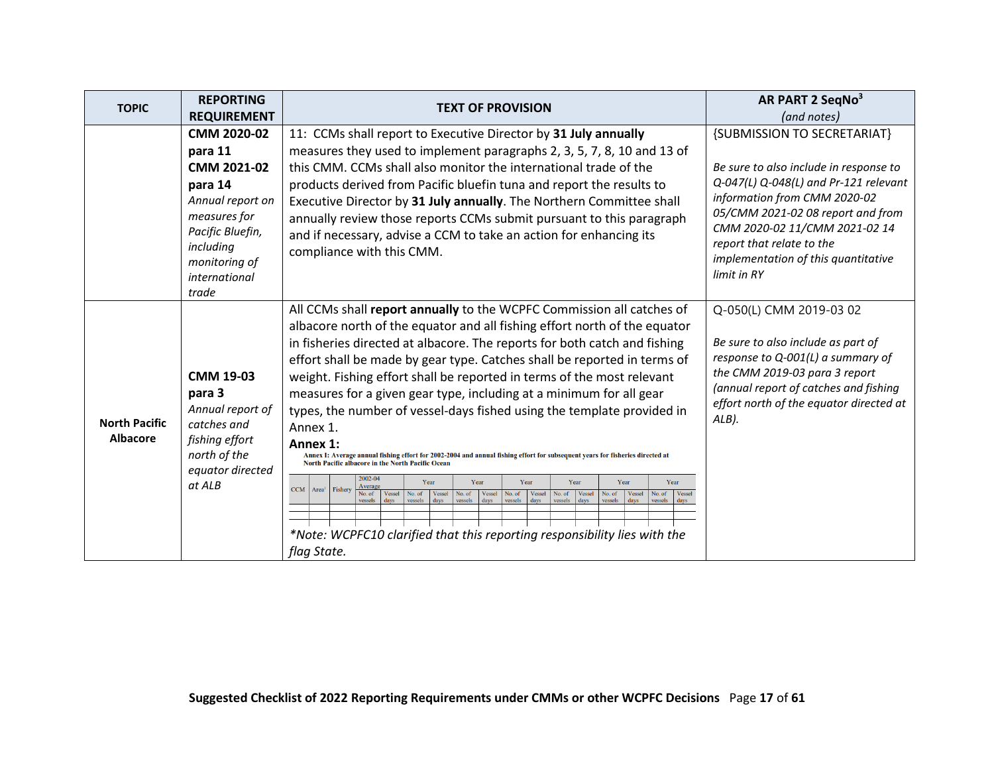<span id="page-16-0"></span>

| <b>TOPIC</b>                            | <b>REPORTING</b>                                                                                                                                                 | <b>TEXT OF PROVISION</b>                                                                                                                                                                                                                                                                                                                                                                                                                                                                                                                                                                                                                                                                                                                                                                                                                                                                                                                                                                                                                                                                                                                                                                                                                                  | AR PART 2 SeqNo <sup>3</sup>                                                                                                                                                                                                                                                                            |
|-----------------------------------------|------------------------------------------------------------------------------------------------------------------------------------------------------------------|-----------------------------------------------------------------------------------------------------------------------------------------------------------------------------------------------------------------------------------------------------------------------------------------------------------------------------------------------------------------------------------------------------------------------------------------------------------------------------------------------------------------------------------------------------------------------------------------------------------------------------------------------------------------------------------------------------------------------------------------------------------------------------------------------------------------------------------------------------------------------------------------------------------------------------------------------------------------------------------------------------------------------------------------------------------------------------------------------------------------------------------------------------------------------------------------------------------------------------------------------------------|---------------------------------------------------------------------------------------------------------------------------------------------------------------------------------------------------------------------------------------------------------------------------------------------------------|
|                                         | <b>REQUIREMENT</b>                                                                                                                                               |                                                                                                                                                                                                                                                                                                                                                                                                                                                                                                                                                                                                                                                                                                                                                                                                                                                                                                                                                                                                                                                                                                                                                                                                                                                           | (and notes)                                                                                                                                                                                                                                                                                             |
|                                         | CMM 2020-02<br>para 11<br>CMM 2021-02<br>para 14<br>Annual report on<br>measures for<br>Pacific Bluefin,<br>including<br>monitoring of<br>international<br>trade | 11: CCMs shall report to Executive Director by 31 July annually<br>measures they used to implement paragraphs 2, 3, 5, 7, 8, 10 and 13 of<br>this CMM. CCMs shall also monitor the international trade of the<br>products derived from Pacific bluefin tuna and report the results to<br>Executive Director by 31 July annually. The Northern Committee shall<br>annually review those reports CCMs submit pursuant to this paragraph<br>and if necessary, advise a CCM to take an action for enhancing its<br>compliance with this CMM.                                                                                                                                                                                                                                                                                                                                                                                                                                                                                                                                                                                                                                                                                                                  | {SUBMISSION TO SECRETARIAT}<br>Be sure to also include in response to<br>Q-047(L) Q-048(L) and Pr-121 relevant<br>information from CMM 2020-02<br>05/CMM 2021-02 08 report and from<br>CMM 2020-02 11/CMM 2021-02 14<br>report that relate to the<br>implementation of this quantitative<br>limit in RY |
| <b>North Pacific</b><br><b>Albacore</b> | <b>CMM 19-03</b><br>para 3<br>Annual report of<br>catches and<br>fishing effort<br>north of the<br>equator directed<br>at ALB                                    | All CCMs shall report annually to the WCPFC Commission all catches of<br>albacore north of the equator and all fishing effort north of the equator<br>in fisheries directed at albacore. The reports for both catch and fishing<br>effort shall be made by gear type. Catches shall be reported in terms of<br>weight. Fishing effort shall be reported in terms of the most relevant<br>measures for a given gear type, including at a minimum for all gear<br>types, the number of vessel-days fished using the template provided in<br>Annex 1.<br>Annex 1:<br>Annex I: Average annual fishing effort for 2002-2004 and annual fishing effort for subsequent years for fisheries directed at<br>North Pacific albacore in the North Pacific Ocean<br>2002-04<br>Year<br>Year<br>Year<br>Year<br>Year<br>Year<br>Average<br><b>CCM</b><br>Area <sup>1</sup> Fishery<br>No. of<br>No. of<br>Vessel<br>No. of<br>Vessel<br>Vessel<br>Vessel<br>No. of<br>Vessel<br>Vessel<br>No. of<br><b>Vessel</b><br>No. of<br>No. of<br>days<br>vessels<br>days<br>vessels<br>days<br>days<br>vessels<br>vessels<br>vessels<br>vessels<br>days<br>days<br>vessels<br>days<br>*Note: WCPFC10 clarified that this reporting responsibility lies with the<br>flag State. | Q-050(L) CMM 2019-03 02<br>Be sure to also include as part of<br>response to Q-001(L) a summary of<br>the CMM 2019-03 para 3 report<br>(annual report of catches and fishing<br>effort north of the equator directed at<br>ALB).                                                                        |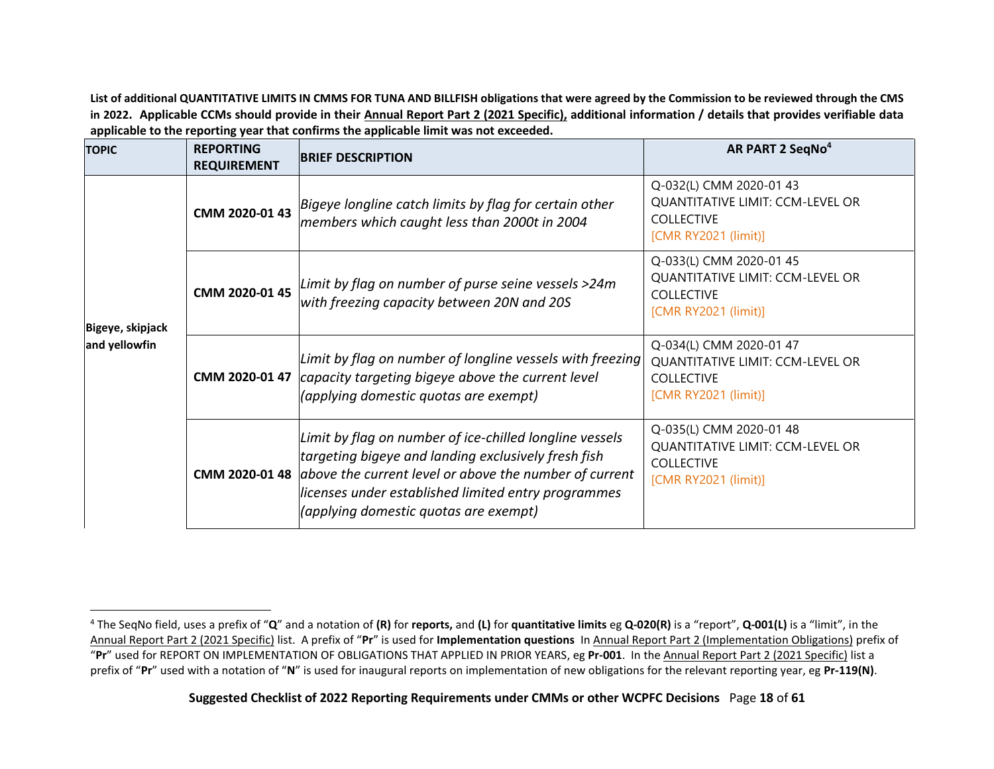**List of additional QUANTITATIVE LIMITS IN CMMS FOR TUNA AND BILLFISH obligations that were agreed by the Commission to be reviewed through the CMS in 2022. Applicable CCMs should provide in their Annual Report Part 2 (2021 Specific), additional information / details that provides verifiable data applicable to the reporting year that confirms the applicable limit was not exceeded.**

<span id="page-17-0"></span>

| <b>TOPIC</b>                      | <b>REPORTING</b><br><b>REQUIREMENT</b> | <b>BRIEF DESCRIPTION</b>                                                                                                                                                                                                                                                                               | AR PART 2 SeqNo <sup>4</sup>                                                                                    |
|-----------------------------------|----------------------------------------|--------------------------------------------------------------------------------------------------------------------------------------------------------------------------------------------------------------------------------------------------------------------------------------------------------|-----------------------------------------------------------------------------------------------------------------|
| Bigeye, skipjack<br>and yellowfin | CMM 2020-01 43                         | Bigeye longline catch limits by flag for certain other<br>members which caught less than 2000t in 2004                                                                                                                                                                                                 | Q-032(L) CMM 2020-01 43<br><b>QUANTITATIVE LIMIT: CCM-LEVEL OR</b><br><b>COLLECTIVE</b><br>[CMR RY2021 (limit)] |
|                                   | CMM 2020-01 45                         | Limit by flag on number of purse seine vessels >24m<br>with freezing capacity between 20N and 20S                                                                                                                                                                                                      | Q-033(L) CMM 2020-01 45<br><b>QUANTITATIVE LIMIT: CCM-LEVEL OR</b><br><b>COLLECTIVE</b><br>[CMR RY2021 (limit)] |
|                                   |                                        | Limit by flag on number of longline vessels with freezing<br>CMM 2020-01 47 capacity targeting bigeye above the current level<br>(applying domestic quotas are exempt)                                                                                                                                 | Q-034(L) CMM 2020-01 47<br><b>QUANTITATIVE LIMIT: CCM-LEVEL OR</b><br><b>COLLECTIVE</b><br>[CMR RY2021 (limit)] |
|                                   |                                        | Limit by flag on number of ice-chilled longline vessels<br>targeting bigeye and landing exclusively fresh fish<br><b>CMM 2020-01 48</b> $\vert$ above the current level or above the number of current<br>licenses under established limited entry programmes<br>(applying domestic quotas are exempt) | Q-035(L) CMM 2020-01 48<br><b>QUANTITATIVE LIMIT: CCM-LEVEL OR</b><br><b>COLLECTIVE</b><br>[CMR RY2021 (limit)] |

<span id="page-17-1"></span><sup>4</sup> The SeqNo field, uses a prefix of "**Q**" and a notation of **(R)** for **reports,** and **(L)** for **quantitative limits** eg **Q-020(R)** is a "report", **Q-001(L)** is a "limit", in the Annual Report Part 2 (2021 Specific) list. A prefix of "**Pr**" is used for **Implementation questions** In Annual Report Part 2 (Implementation Obligations) prefix of "**Pr**" used for REPORT ON IMPLEMENTATION OF OBLIGATIONS THAT APPLIED IN PRIOR YEARS, eg **Pr-001**. In the Annual Report Part 2 (2021 Specific) list a prefix of "**Pr**" used with a notation of "**N**" is used for inaugural reports on implementation of new obligations for the relevant reporting year, eg **Pr-119(N)**.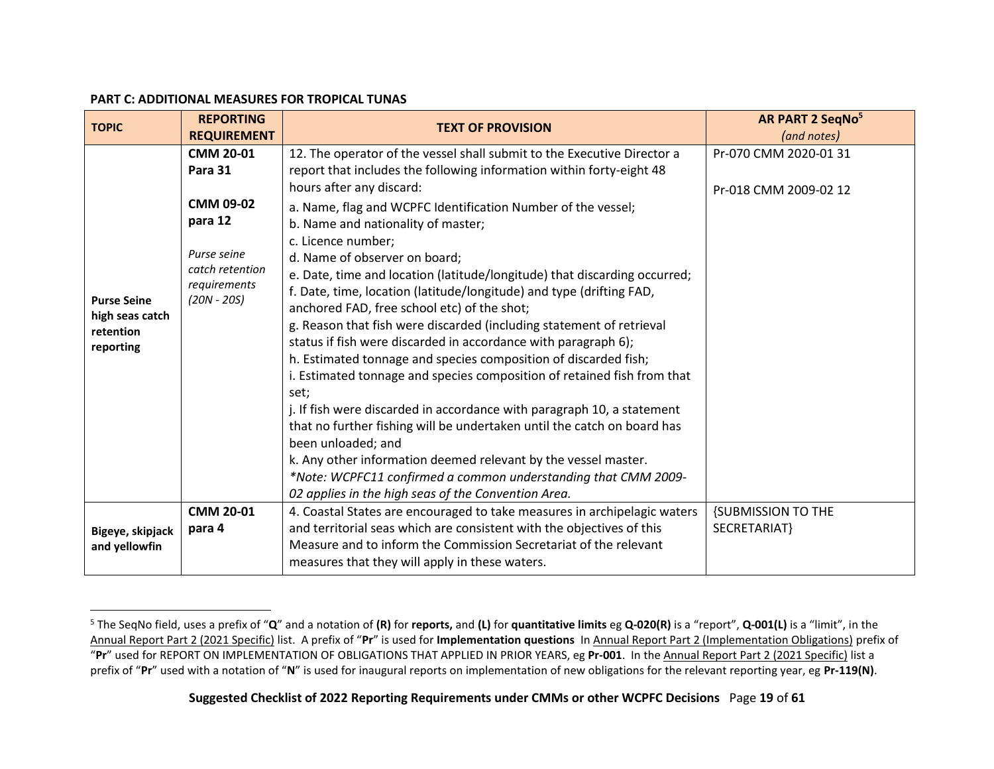#### **PART C: ADDITIONAL MEASURES FOR TROPICAL TUNAS**

<span id="page-18-0"></span>

| <b>TOPIC</b>                                                    | <b>REPORTING</b><br><b>REQUIREMENT</b>                                                         | <b>TEXT OF PROVISION</b>                                                                                                                                                                                                                                                                                                                                                                                                                                                                                                                                                                                                                                                                                                                                                                                                                                                                                                                                                                                                                                        | AR PART 2 SeqNo <sup>5</sup><br>(and notes) |
|-----------------------------------------------------------------|------------------------------------------------------------------------------------------------|-----------------------------------------------------------------------------------------------------------------------------------------------------------------------------------------------------------------------------------------------------------------------------------------------------------------------------------------------------------------------------------------------------------------------------------------------------------------------------------------------------------------------------------------------------------------------------------------------------------------------------------------------------------------------------------------------------------------------------------------------------------------------------------------------------------------------------------------------------------------------------------------------------------------------------------------------------------------------------------------------------------------------------------------------------------------|---------------------------------------------|
|                                                                 | <b>CMM 20-01</b><br>Para 31                                                                    | 12. The operator of the vessel shall submit to the Executive Director a<br>report that includes the following information within forty-eight 48                                                                                                                                                                                                                                                                                                                                                                                                                                                                                                                                                                                                                                                                                                                                                                                                                                                                                                                 | Pr-070 CMM 2020-01 31                       |
| <b>Purse Seine</b><br>high seas catch<br>retention<br>reporting | <b>CMM 09-02</b><br>para 12<br>Purse seine<br>catch retention<br>requirements<br>$(20N - 20S)$ | hours after any discard:<br>a. Name, flag and WCPFC Identification Number of the vessel;<br>b. Name and nationality of master;<br>c. Licence number;<br>d. Name of observer on board;<br>e. Date, time and location (latitude/longitude) that discarding occurred;<br>f. Date, time, location (latitude/longitude) and type (drifting FAD,<br>anchored FAD, free school etc) of the shot;<br>g. Reason that fish were discarded (including statement of retrieval<br>status if fish were discarded in accordance with paragraph 6);<br>h. Estimated tonnage and species composition of discarded fish;<br>i. Estimated tonnage and species composition of retained fish from that<br>set;<br>j. If fish were discarded in accordance with paragraph 10, a statement<br>that no further fishing will be undertaken until the catch on board has<br>been unloaded; and<br>k. Any other information deemed relevant by the vessel master.<br>*Note: WCPFC11 confirmed a common understanding that CMM 2009-<br>02 applies in the high seas of the Convention Area. | Pr-018 CMM 2009-02 12                       |
| Bigeye, skipjack<br>and yellowfin                               | <b>CMM 20-01</b><br>para 4                                                                     | 4. Coastal States are encouraged to take measures in archipelagic waters<br>and territorial seas which are consistent with the objectives of this<br>Measure and to inform the Commission Secretariat of the relevant<br>measures that they will apply in these waters.                                                                                                                                                                                                                                                                                                                                                                                                                                                                                                                                                                                                                                                                                                                                                                                         | <b>{SUBMISSION TO THE</b><br>SECRETARIAT}   |

<span id="page-18-2"></span><span id="page-18-1"></span><sup>5</sup> The SeqNo field, uses a prefix of "**Q**" and a notation of **(R)** for **reports,** and **(L)** for **quantitative limits** eg **Q-020(R)** is a "report", **Q-001(L)** is a "limit", in the Annual Report Part 2 (2021 Specific) list. A prefix of "**Pr**" is used for **Implementation questions** In Annual Report Part 2 (Implementation Obligations) prefix of "**Pr**" used for REPORT ON IMPLEMENTATION OF OBLIGATIONS THAT APPLIED IN PRIOR YEARS, eg **Pr-001**. In the Annual Report Part 2 (2021 Specific) list a prefix of "**Pr**" used with a notation of "**N**" is used for inaugural reports on implementation of new obligations for the relevant reporting year, eg **Pr-119(N)**.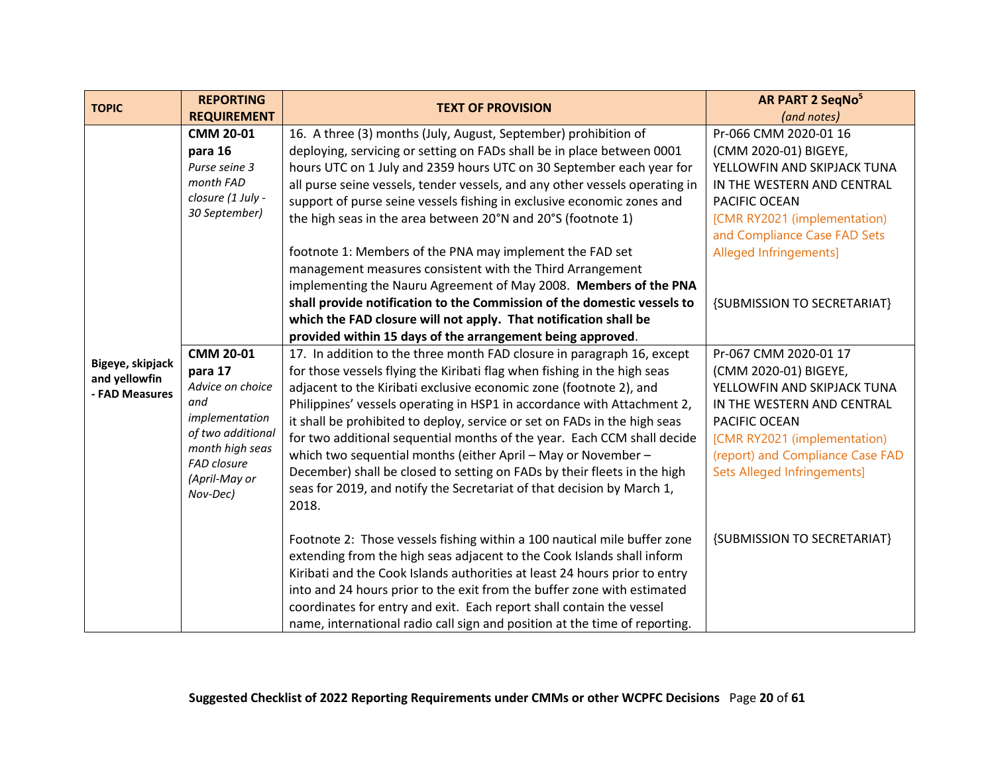| <b>TOPIC</b>                      | <b>REPORTING</b>               | <b>TEXT OF PROVISION</b>                                                    | AR PART 2 SeqNo <sup>5</sup>       |
|-----------------------------------|--------------------------------|-----------------------------------------------------------------------------|------------------------------------|
|                                   | <b>REQUIREMENT</b>             |                                                                             | (and notes)                        |
|                                   | <b>CMM 20-01</b>               | 16. A three (3) months (July, August, September) prohibition of             | Pr-066 CMM 2020-01 16              |
|                                   | para 16                        | deploying, servicing or setting on FADs shall be in place between 0001      | (CMM 2020-01) BIGEYE,              |
|                                   | Purse seine 3                  | hours UTC on 1 July and 2359 hours UTC on 30 September each year for        | YELLOWFIN AND SKIPJACK TUNA        |
|                                   | month FAD                      | all purse seine vessels, tender vessels, and any other vessels operating in | IN THE WESTERN AND CENTRAL         |
|                                   | closure (1 July -              | support of purse seine vessels fishing in exclusive economic zones and      | PACIFIC OCEAN                      |
|                                   | 30 September)                  | the high seas in the area between 20°N and 20°S (footnote 1)                | [CMR RY2021 (implementation)       |
|                                   |                                |                                                                             | and Compliance Case FAD Sets       |
|                                   |                                | footnote 1: Members of the PNA may implement the FAD set                    | Alleged Infringements]             |
|                                   |                                | management measures consistent with the Third Arrangement                   |                                    |
|                                   |                                | implementing the Nauru Agreement of May 2008. Members of the PNA            |                                    |
|                                   |                                | shall provide notification to the Commission of the domestic vessels to     | {SUBMISSION TO SECRETARIAT}        |
|                                   |                                | which the FAD closure will not apply. That notification shall be            |                                    |
|                                   |                                | provided within 15 days of the arrangement being approved.                  |                                    |
|                                   | <b>CMM 20-01</b>               | 17. In addition to the three month FAD closure in paragraph 16, except      | Pr-067 CMM 2020-01 17              |
| Bigeye, skipjack<br>and yellowfin | para 17                        | for those vessels flying the Kiribati flag when fishing in the high seas    | (CMM 2020-01) BIGEYE,              |
| - FAD Measures                    | Advice on choice               | adjacent to the Kiribati exclusive economic zone (footnote 2), and          | YELLOWFIN AND SKIPJACK TUNA        |
|                                   | and                            | Philippines' vessels operating in HSP1 in accordance with Attachment 2,     | IN THE WESTERN AND CENTRAL         |
|                                   | implementation                 | it shall be prohibited to deploy, service or set on FADs in the high seas   | PACIFIC OCEAN                      |
|                                   | of two additional              | for two additional sequential months of the year. Each CCM shall decide     | [CMR RY2021 (implementation)       |
|                                   | month high seas<br>FAD closure | which two sequential months (either April - May or November -               | (report) and Compliance Case FAD   |
|                                   | (April-May or                  | December) shall be closed to setting on FADs by their fleets in the high    | <b>Sets Alleged Infringements]</b> |
|                                   | Nov-Dec)                       | seas for 2019, and notify the Secretariat of that decision by March 1,      |                                    |
|                                   |                                | 2018.                                                                       |                                    |
|                                   |                                | Footnote 2: Those vessels fishing within a 100 nautical mile buffer zone    | {SUBMISSION TO SECRETARIAT}        |
|                                   |                                | extending from the high seas adjacent to the Cook Islands shall inform      |                                    |
|                                   |                                | Kiribati and the Cook Islands authorities at least 24 hours prior to entry  |                                    |
|                                   |                                | into and 24 hours prior to the exit from the buffer zone with estimated     |                                    |
|                                   |                                | coordinates for entry and exit. Each report shall contain the vessel        |                                    |
|                                   |                                | name, international radio call sign and position at the time of reporting.  |                                    |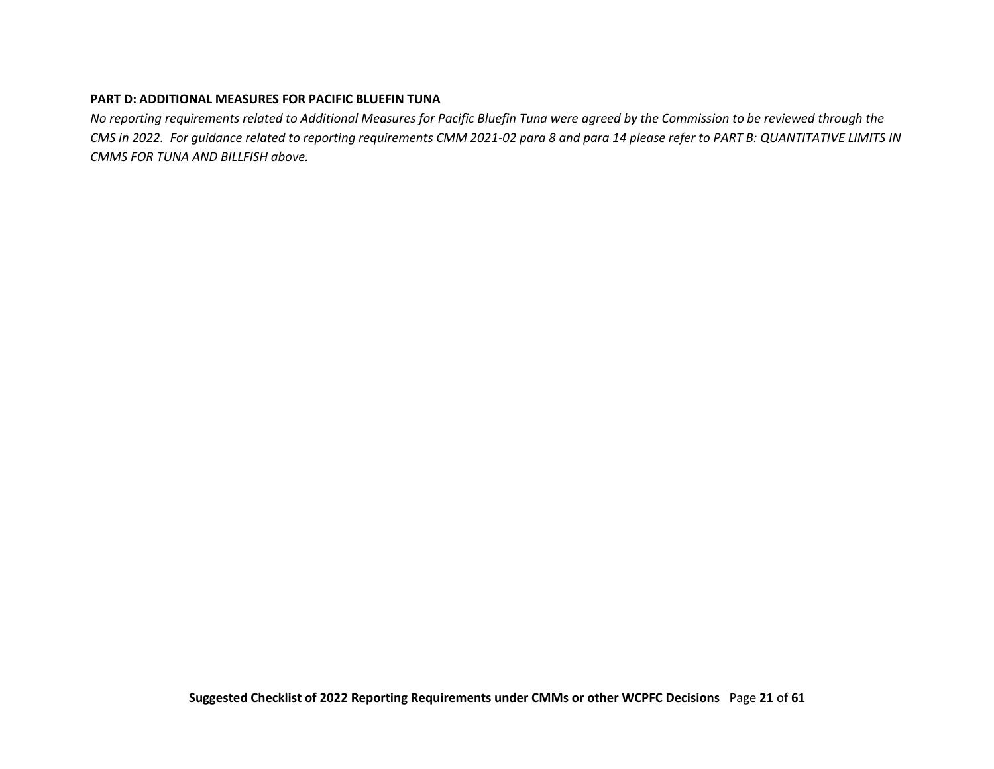#### **PART D: ADDITIONAL MEASURES FOR PACIFIC BLUEFIN TUNA**

<span id="page-20-0"></span>*No reporting requirements related to Additional Measures for Pacific Bluefin Tuna were agreed by the Commission to be reviewed through the CMS in 2022. For guidance related to reporting requirements CMM 2021-02 para 8 and para 14 please refer to PART B: QUANTITATIVE LIMITS IN CMMS FOR TUNA AND BILLFISH above.*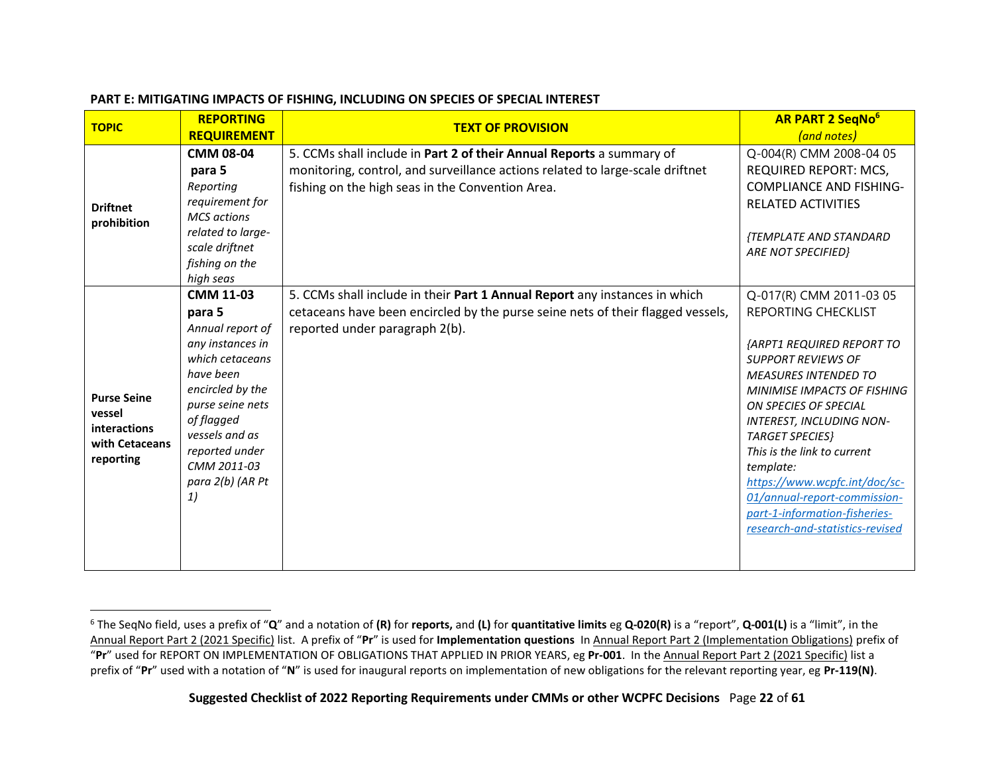<span id="page-21-0"></span>

| <b>TOPIC</b>                                                                | <b>REPORTING</b>                                                                                                                                                                                                                      | <b>TEXT OF PROVISION</b>                                                                                                                                                                                  | <b>AR PART 2 SeqNo</b> <sup>6</sup>                                                                                                                                                                                                                                                                                                                                                                                                                 |
|-----------------------------------------------------------------------------|---------------------------------------------------------------------------------------------------------------------------------------------------------------------------------------------------------------------------------------|-----------------------------------------------------------------------------------------------------------------------------------------------------------------------------------------------------------|-----------------------------------------------------------------------------------------------------------------------------------------------------------------------------------------------------------------------------------------------------------------------------------------------------------------------------------------------------------------------------------------------------------------------------------------------------|
|                                                                             | <b>REQUIREMENT</b>                                                                                                                                                                                                                    |                                                                                                                                                                                                           | (and notes)                                                                                                                                                                                                                                                                                                                                                                                                                                         |
| <b>Driftnet</b><br>prohibition                                              | <b>CMM 08-04</b><br>para 5<br>Reporting<br>requirement for<br><b>MCS</b> actions<br>related to large-<br>scale driftnet<br>fishing on the<br>high seas                                                                                | 5. CCMs shall include in Part 2 of their Annual Reports a summary of<br>monitoring, control, and surveillance actions related to large-scale driftnet<br>fishing on the high seas in the Convention Area. | Q-004(R) CMM 2008-04 05<br><b>REQUIRED REPORT: MCS,</b><br><b>COMPLIANCE AND FISHING-</b><br><b>RELATED ACTIVITIES</b><br>{TEMPLATE AND STANDARD<br><b>ARE NOT SPECIFIED}</b>                                                                                                                                                                                                                                                                       |
| <b>Purse Seine</b><br>vessel<br>interactions<br>with Cetaceans<br>reporting | <b>CMM 11-03</b><br>para 5<br>Annual report of<br>any instances in<br>which cetaceans<br>have been<br>encircled by the<br>purse seine nets<br>of flagged<br>vessels and as<br>reported under<br>CMM 2011-03<br>para 2(b) (AR Pt<br>1) | 5. CCMs shall include in their Part 1 Annual Report any instances in which<br>cetaceans have been encircled by the purse seine nets of their flagged vessels,<br>reported under paragraph 2(b).           | Q-017(R) CMM 2011-03 05<br>REPORTING CHECKLIST<br>{ARPT1 REQUIRED REPORT TO<br><b>SUPPORT REVIEWS OF</b><br><b>MEASURES INTENDED TO</b><br><b>MINIMISE IMPACTS OF FISHING</b><br>ON SPECIES OF SPECIAL<br><b>INTEREST, INCLUDING NON-</b><br><b>TARGET SPECIES</b><br>This is the link to current<br>template:<br>https://www.wcpfc.int/doc/sc-<br>01/annual-report-commission-<br>part-1-information-fisheries-<br>research-and-statistics-revised |

#### **PART E: MITIGATING IMPACTS OF FISHING, INCLUDING ON SPECIES OF SPECIAL INTEREST**

<span id="page-21-2"></span><span id="page-21-1"></span><sup>6</sup> The SeqNo field, uses a prefix of "**Q**" and a notation of **(R)** for **reports,** and **(L)** for **quantitative limits** eg **Q-020(R)** is a "report", **Q-001(L)** is a "limit", in the Annual Report Part 2 (2021 Specific) list. A prefix of "**Pr**" is used for **Implementation questions** In Annual Report Part 2 (Implementation Obligations) prefix of "**Pr**" used for REPORT ON IMPLEMENTATION OF OBLIGATIONS THAT APPLIED IN PRIOR YEARS, eg **Pr-001**. In the Annual Report Part 2 (2021 Specific) list a prefix of "**Pr**" used with a notation of "**N**" is used for inaugural reports on implementation of new obligations for the relevant reporting year, eg **Pr-119(N)**.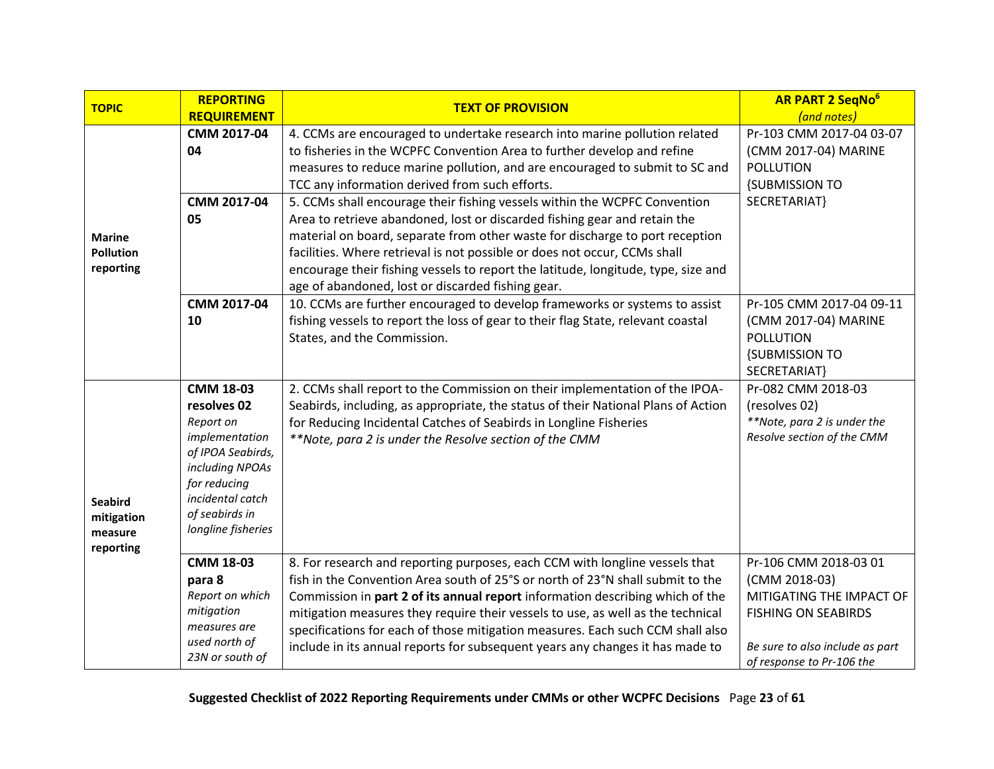<span id="page-22-1"></span><span id="page-22-0"></span>

| <b>TOPIC</b>                                         | <b>REPORTING</b><br><b>REQUIREMENT</b>                                                                                                                                             | <b>TEXT OF PROVISION</b>                                                                                                                                                                                                                                                                                                                                                                                                                                                                             | <b>AR PART 2 SegNo<sup>6</sup></b><br>(and notes)                                                                                                                |
|------------------------------------------------------|------------------------------------------------------------------------------------------------------------------------------------------------------------------------------------|------------------------------------------------------------------------------------------------------------------------------------------------------------------------------------------------------------------------------------------------------------------------------------------------------------------------------------------------------------------------------------------------------------------------------------------------------------------------------------------------------|------------------------------------------------------------------------------------------------------------------------------------------------------------------|
| <b>Marine</b><br><b>Pollution</b><br>reporting       | CMM 2017-04<br>04<br>CMM 2017-04<br>05                                                                                                                                             | 4. CCMs are encouraged to undertake research into marine pollution related<br>to fisheries in the WCPFC Convention Area to further develop and refine<br>measures to reduce marine pollution, and are encouraged to submit to SC and<br>TCC any information derived from such efforts.<br>5. CCMs shall encourage their fishing vessels within the WCPFC Convention<br>Area to retrieve abandoned, lost or discarded fishing gear and retain the                                                     | Pr-103 CMM 2017-04 03-07<br>(CMM 2017-04) MARINE<br><b>POLLUTION</b><br><b>{SUBMISSION TO</b><br>SECRETARIAT}                                                    |
|                                                      |                                                                                                                                                                                    | material on board, separate from other waste for discharge to port reception<br>facilities. Where retrieval is not possible or does not occur, CCMs shall<br>encourage their fishing vessels to report the latitude, longitude, type, size and<br>age of abandoned, lost or discarded fishing gear.                                                                                                                                                                                                  |                                                                                                                                                                  |
|                                                      | CMM 2017-04<br>10                                                                                                                                                                  | 10. CCMs are further encouraged to develop frameworks or systems to assist<br>fishing vessels to report the loss of gear to their flag State, relevant coastal<br>States, and the Commission.                                                                                                                                                                                                                                                                                                        | Pr-105 CMM 2017-04 09-11<br>(CMM 2017-04) MARINE<br><b>POLLUTION</b><br><b>{SUBMISSION TO</b><br>SECRETARIAT}                                                    |
| <b>Seabird</b><br>mitigation<br>measure<br>reporting | <b>CMM 18-03</b><br>resolves 02<br>Report on<br>implementation<br>of IPOA Seabirds,<br>including NPOAs<br>for reducing<br>incidental catch<br>of seabirds in<br>longline fisheries | 2. CCMs shall report to the Commission on their implementation of the IPOA-<br>Seabirds, including, as appropriate, the status of their National Plans of Action<br>for Reducing Incidental Catches of Seabirds in Longline Fisheries<br>**Note, para 2 is under the Resolve section of the CMM                                                                                                                                                                                                      | Pr-082 CMM 2018-03<br>(resolves 02)<br>**Note, para 2 is under the<br>Resolve section of the CMM                                                                 |
|                                                      | <b>CMM 18-03</b><br>para 8<br>Report on which<br>mitigation<br>measures are<br>used north of<br>23N or south of                                                                    | 8. For research and reporting purposes, each CCM with longline vessels that<br>fish in the Convention Area south of 25°S or north of 23°N shall submit to the<br>Commission in part 2 of its annual report information describing which of the<br>mitigation measures they require their vessels to use, as well as the technical<br>specifications for each of those mitigation measures. Each such CCM shall also<br>include in its annual reports for subsequent years any changes it has made to | Pr-106 CMM 2018-03 01<br>(CMM 2018-03)<br>MITIGATING THE IMPACT OF<br><b>FISHING ON SEABIRDS</b><br>Be sure to also include as part<br>of response to Pr-106 the |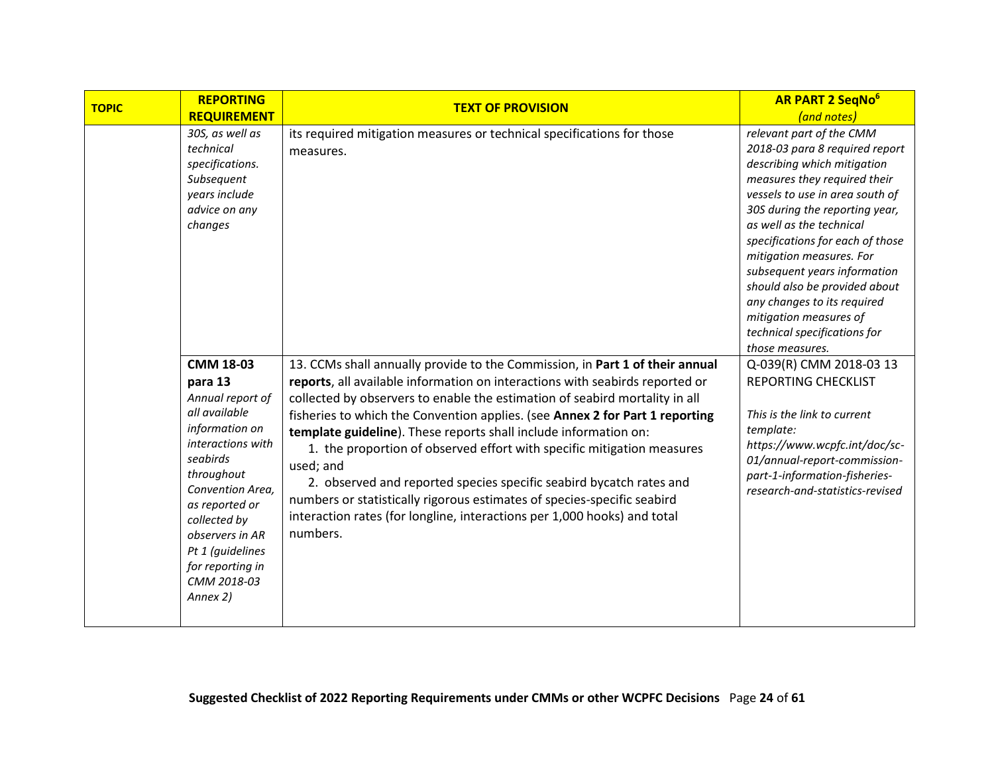| <b>TOPIC</b> | <b>REPORTING</b>                                                                                                                                                                                                                                                              | <b>TEXT OF PROVISION</b>                                                                                                                                                                                                                                                                                                                                                                                                                                                                                                                                                                                                                                                                                                         | <b>AR PART 2 SegNo<sup>6</sup></b>                                                                                                                                                                                                                                                                                                                                                                                                                   |
|--------------|-------------------------------------------------------------------------------------------------------------------------------------------------------------------------------------------------------------------------------------------------------------------------------|----------------------------------------------------------------------------------------------------------------------------------------------------------------------------------------------------------------------------------------------------------------------------------------------------------------------------------------------------------------------------------------------------------------------------------------------------------------------------------------------------------------------------------------------------------------------------------------------------------------------------------------------------------------------------------------------------------------------------------|------------------------------------------------------------------------------------------------------------------------------------------------------------------------------------------------------------------------------------------------------------------------------------------------------------------------------------------------------------------------------------------------------------------------------------------------------|
|              | <b>REQUIREMENT</b>                                                                                                                                                                                                                                                            |                                                                                                                                                                                                                                                                                                                                                                                                                                                                                                                                                                                                                                                                                                                                  | (and notes)                                                                                                                                                                                                                                                                                                                                                                                                                                          |
|              | 30S, as well as<br>technical<br>specifications.<br>Subsequent<br>years include<br>advice on any<br>changes                                                                                                                                                                    | its required mitigation measures or technical specifications for those<br>measures.                                                                                                                                                                                                                                                                                                                                                                                                                                                                                                                                                                                                                                              | relevant part of the CMM<br>2018-03 para 8 required report<br>describing which mitigation<br>measures they required their<br>vessels to use in area south of<br>30S during the reporting year,<br>as well as the technical<br>specifications for each of those<br>mitigation measures. For<br>subsequent years information<br>should also be provided about<br>any changes to its required<br>mitigation measures of<br>technical specifications for |
|              | <b>CMM 18-03</b><br>para 13<br>Annual report of<br>all available<br>information on<br>interactions with<br>seabirds<br>throughout<br>Convention Area,<br>as reported or<br>collected by<br>observers in AR<br>Pt 1 (guidelines<br>for reporting in<br>CMM 2018-03<br>Annex 2) | 13. CCMs shall annually provide to the Commission, in Part 1 of their annual<br>reports, all available information on interactions with seabirds reported or<br>collected by observers to enable the estimation of seabird mortality in all<br>fisheries to which the Convention applies. (see Annex 2 for Part 1 reporting<br>template guideline). These reports shall include information on:<br>1. the proportion of observed effort with specific mitigation measures<br>used; and<br>2. observed and reported species specific seabird bycatch rates and<br>numbers or statistically rigorous estimates of species-specific seabird<br>interaction rates (for longline, interactions per 1,000 hooks) and total<br>numbers. | those measures.<br>Q-039(R) CMM 2018-03 13<br><b>REPORTING CHECKLIST</b><br>This is the link to current<br>template:<br>https://www.wcpfc.int/doc/sc-<br>01/annual-report-commission-<br>part-1-information-fisheries-<br>research-and-statistics-revised                                                                                                                                                                                            |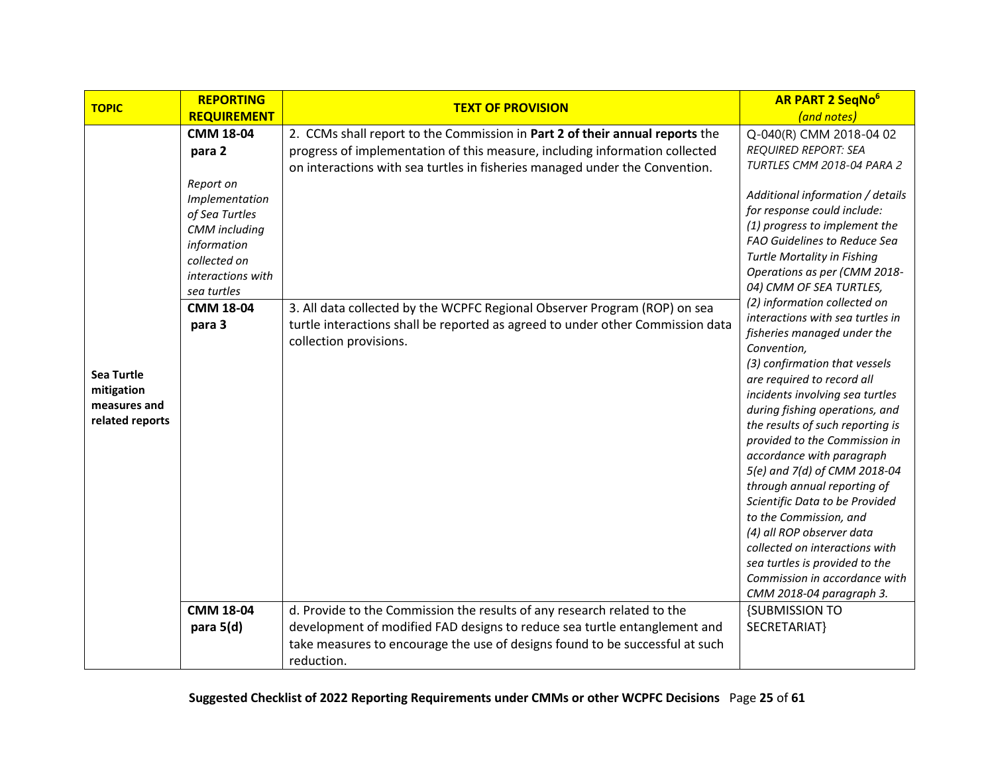<span id="page-24-0"></span>

|                                                                                    | <b>REPORTING</b>                                                                                                                                                                              |                                                                                                                                                                                                                                                                                                                                                                                                                                                                 | <b>AR PART 2 SegNo<sup>6</sup></b>                                                                                                                                                                                                                                                                                                                                                                                                                                                                                                                                                                                                                                                                                                                                                                                                 |
|------------------------------------------------------------------------------------|-----------------------------------------------------------------------------------------------------------------------------------------------------------------------------------------------|-----------------------------------------------------------------------------------------------------------------------------------------------------------------------------------------------------------------------------------------------------------------------------------------------------------------------------------------------------------------------------------------------------------------------------------------------------------------|------------------------------------------------------------------------------------------------------------------------------------------------------------------------------------------------------------------------------------------------------------------------------------------------------------------------------------------------------------------------------------------------------------------------------------------------------------------------------------------------------------------------------------------------------------------------------------------------------------------------------------------------------------------------------------------------------------------------------------------------------------------------------------------------------------------------------------|
|                                                                                    | <b>REQUIREMENT</b>                                                                                                                                                                            |                                                                                                                                                                                                                                                                                                                                                                                                                                                                 | (and notes)                                                                                                                                                                                                                                                                                                                                                                                                                                                                                                                                                                                                                                                                                                                                                                                                                        |
| <b>TOPIC</b><br><b>Sea Turtle</b><br>mitigation<br>measures and<br>related reports | <b>CMM 18-04</b><br>para 2<br>Report on<br>Implementation<br>of Sea Turtles<br>CMM including<br>information<br>collected on<br>interactions with<br>sea turtles<br><b>CMM 18-04</b><br>para 3 | <b>TEXT OF PROVISION</b><br>2. CCMs shall report to the Commission in Part 2 of their annual reports the<br>progress of implementation of this measure, including information collected<br>on interactions with sea turtles in fisheries managed under the Convention.<br>3. All data collected by the WCPFC Regional Observer Program (ROP) on sea<br>turtle interactions shall be reported as agreed to under other Commission data<br>collection provisions. | Q-040(R) CMM 2018-04 02<br><b>REQUIRED REPORT: SEA</b><br>TURTLES CMM 2018-04 PARA 2<br>Additional information / details<br>for response could include:<br>(1) progress to implement the<br>FAO Guidelines to Reduce Sea<br>Turtle Mortality in Fishing<br>Operations as per (CMM 2018-<br>04) CMM OF SEA TURTLES,<br>(2) information collected on<br>interactions with sea turtles in<br>fisheries managed under the<br>Convention,<br>(3) confirmation that vessels<br>are required to record all<br>incidents involving sea turtles<br>during fishing operations, and<br>the results of such reporting is<br>provided to the Commission in<br>accordance with paragraph<br>5(e) and 7(d) of CMM 2018-04<br>through annual reporting of<br>Scientific Data to be Provided<br>to the Commission, and<br>(4) all ROP observer data |
|                                                                                    |                                                                                                                                                                                               |                                                                                                                                                                                                                                                                                                                                                                                                                                                                 | collected on interactions with<br>sea turtles is provided to the<br>Commission in accordance with<br>CMM 2018-04 paragraph 3.                                                                                                                                                                                                                                                                                                                                                                                                                                                                                                                                                                                                                                                                                                      |
|                                                                                    | <b>CMM 18-04</b><br>para 5(d)                                                                                                                                                                 | d. Provide to the Commission the results of any research related to the<br>development of modified FAD designs to reduce sea turtle entanglement and<br>take measures to encourage the use of designs found to be successful at such<br>reduction.                                                                                                                                                                                                              | <b>{SUBMISSION TO</b><br>SECRETARIAT}                                                                                                                                                                                                                                                                                                                                                                                                                                                                                                                                                                                                                                                                                                                                                                                              |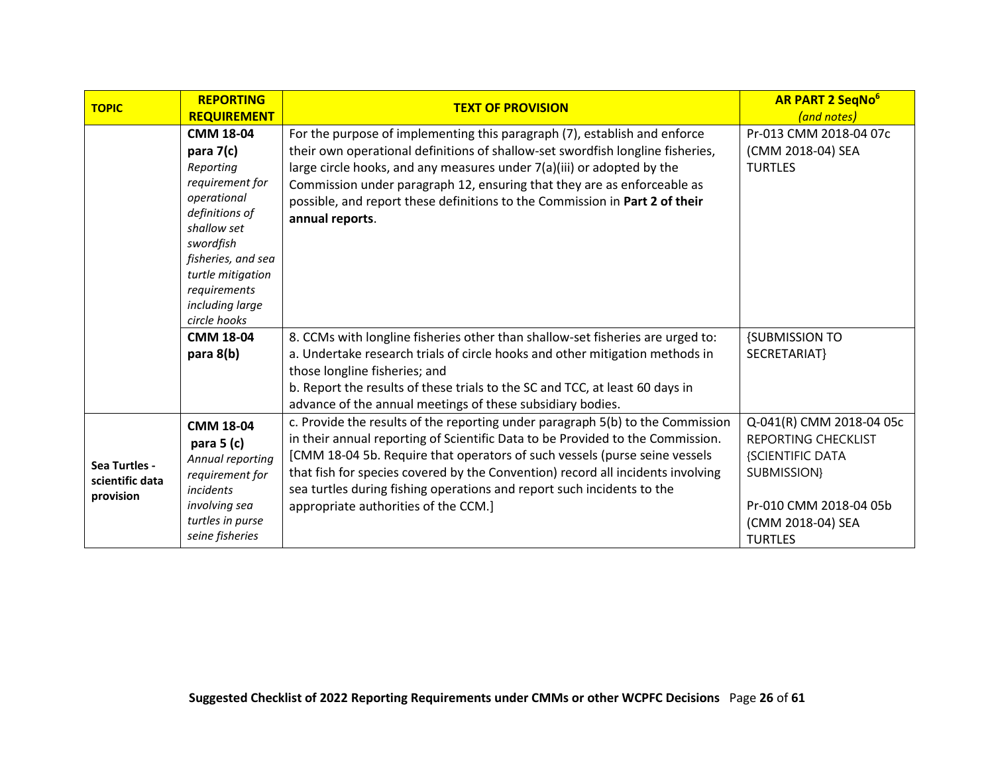| <b>TOPIC</b>                                  | <b>REPORTING</b><br><b>REQUIREMENT</b>                                                                                                                                                                                   | <b>TEXT OF PROVISION</b>                                                                                                                                                                                                                                                                                                                                                                                                                            | <b>AR PART 2 SeqNo<sup>6</sup></b><br>(and notes)                                                                                                          |
|-----------------------------------------------|--------------------------------------------------------------------------------------------------------------------------------------------------------------------------------------------------------------------------|-----------------------------------------------------------------------------------------------------------------------------------------------------------------------------------------------------------------------------------------------------------------------------------------------------------------------------------------------------------------------------------------------------------------------------------------------------|------------------------------------------------------------------------------------------------------------------------------------------------------------|
|                                               | <b>CMM 18-04</b><br>para 7(c)<br>Reporting<br>requirement for<br>operational<br>definitions of<br>shallow set<br>swordfish<br>fisheries, and sea<br>turtle mitigation<br>requirements<br>including large<br>circle hooks | For the purpose of implementing this paragraph (7), establish and enforce<br>their own operational definitions of shallow-set swordfish longline fisheries,<br>large circle hooks, and any measures under 7(a)(iii) or adopted by the<br>Commission under paragraph 12, ensuring that they are as enforceable as<br>possible, and report these definitions to the Commission in Part 2 of their<br>annual reports.                                  | Pr-013 CMM 2018-04 07c<br>(CMM 2018-04) SEA<br><b>TURTLES</b>                                                                                              |
|                                               | <b>CMM 18-04</b><br>para 8(b)                                                                                                                                                                                            | 8. CCMs with longline fisheries other than shallow-set fisheries are urged to:<br>a. Undertake research trials of circle hooks and other mitigation methods in<br>those longline fisheries; and<br>b. Report the results of these trials to the SC and TCC, at least 60 days in<br>advance of the annual meetings of these subsidiary bodies.                                                                                                       | <b>{SUBMISSION TO</b><br>SECRETARIAT}                                                                                                                      |
| Sea Turtles -<br>scientific data<br>provision | <b>CMM 18-04</b><br>para $5$ (c)<br>Annual reporting<br>requirement for<br>incidents<br>involving sea<br>turtles in purse<br>seine fisheries                                                                             | c. Provide the results of the reporting under paragraph 5(b) to the Commission<br>in their annual reporting of Scientific Data to be Provided to the Commission.<br>[CMM 18-04 5b. Require that operators of such vessels (purse seine vessels<br>that fish for species covered by the Convention) record all incidents involving<br>sea turtles during fishing operations and report such incidents to the<br>appropriate authorities of the CCM.] | Q-041(R) CMM 2018-04 05c<br><b>REPORTING CHECKLIST</b><br>{SCIENTIFIC DATA<br>SUBMISSION}<br>Pr-010 CMM 2018-04 05b<br>(CMM 2018-04) SEA<br><b>TURTLES</b> |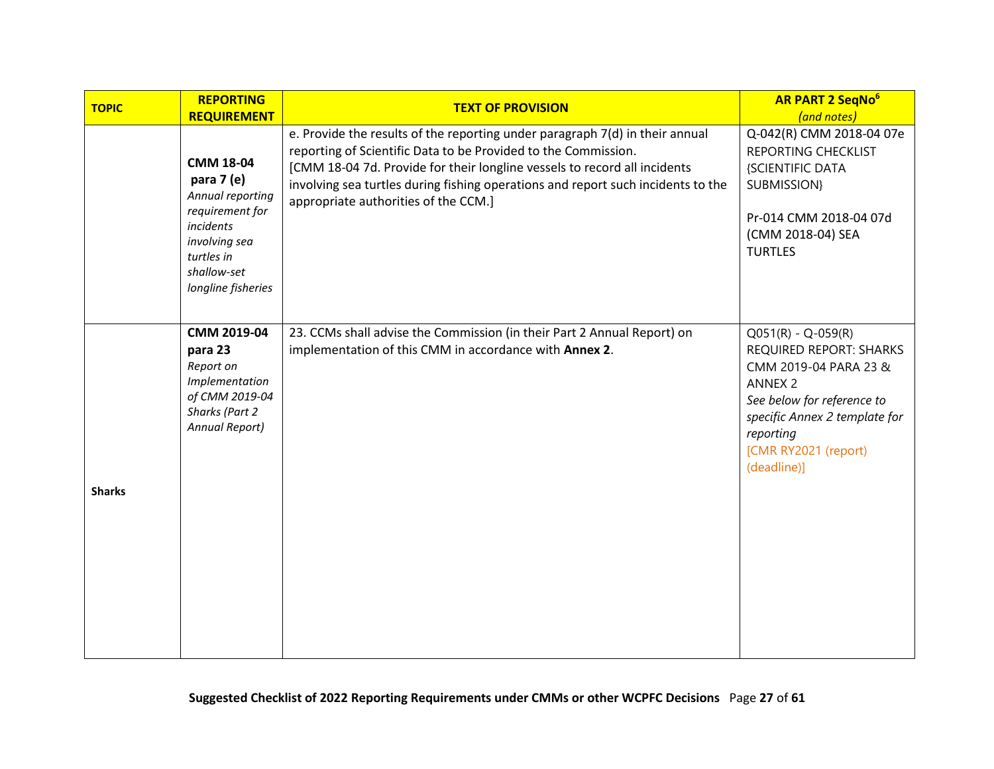<span id="page-26-0"></span>

| <b>TOPIC</b>  | <b>REPORTING</b>                                                                                                                                       | <b>TEXT OF PROVISION</b>                                                                                                                                                                                                                                                                                                                                | <b>AR PART 2 SeqNo<sup>6</sup></b>                                                                                                                                                                            |
|---------------|--------------------------------------------------------------------------------------------------------------------------------------------------------|---------------------------------------------------------------------------------------------------------------------------------------------------------------------------------------------------------------------------------------------------------------------------------------------------------------------------------------------------------|---------------------------------------------------------------------------------------------------------------------------------------------------------------------------------------------------------------|
|               | <b>REQUIREMENT</b>                                                                                                                                     |                                                                                                                                                                                                                                                                                                                                                         | (and notes)                                                                                                                                                                                                   |
|               | <b>CMM 18-04</b><br>para 7 (e)<br>Annual reporting<br>requirement for<br>incidents<br>involving sea<br>turtles in<br>shallow-set<br>longline fisheries | e. Provide the results of the reporting under paragraph 7(d) in their annual<br>reporting of Scientific Data to be Provided to the Commission.<br>[CMM 18-04 7d. Provide for their longline vessels to record all incidents<br>involving sea turtles during fishing operations and report such incidents to the<br>appropriate authorities of the CCM.] | Q-042(R) CMM 2018-04 07e<br>REPORTING CHECKLIST<br>{SCIENTIFIC DATA<br><b>SUBMISSION}</b><br>Pr-014 CMM 2018-04 07d<br>(CMM 2018-04) SEA<br><b>TURTLES</b>                                                    |
| <b>Sharks</b> | CMM 2019-04<br>para 23<br>Report on<br>Implementation<br>of CMM 2019-04<br>Sharks (Part 2<br>Annual Report)                                            | 23. CCMs shall advise the Commission (in their Part 2 Annual Report) on<br>implementation of this CMM in accordance with Annex 2.                                                                                                                                                                                                                       | $Q051(R) - Q-059(R)$<br>REQUIRED REPORT: SHARKS<br>CMM 2019-04 PARA 23 &<br><b>ANNEX 2</b><br>See below for reference to<br>specific Annex 2 template for<br>reporting<br>[CMR RY2021 (report)<br>(deadline)] |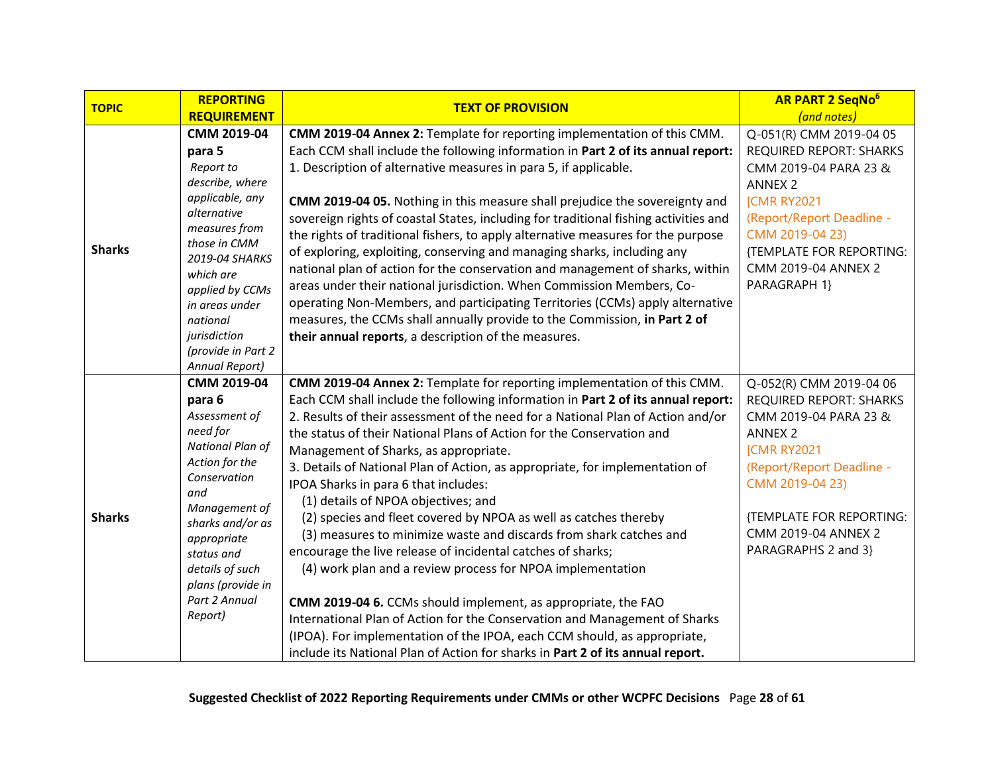| <b>TOPIC</b>  | <b>REPORTING</b>                | <b>TEXT OF PROVISION</b>                                                             | <b>AR PART 2 SegNo<sup>6</sup></b> |
|---------------|---------------------------------|--------------------------------------------------------------------------------------|------------------------------------|
|               | <b>REQUIREMENT</b>              |                                                                                      | (and notes)                        |
|               | CMM 2019-04                     | CMM 2019-04 Annex 2: Template for reporting implementation of this CMM.              | Q-051(R) CMM 2019-04 05            |
|               | para 5                          | Each CCM shall include the following information in Part 2 of its annual report:     | <b>REQUIRED REPORT: SHARKS</b>     |
|               | Report to                       | 1. Description of alternative measures in para 5, if applicable.                     | CMM 2019-04 PARA 23 &              |
|               | describe, where                 |                                                                                      | <b>ANNEX 2</b>                     |
|               | applicable, any                 | CMM 2019-04 05. Nothing in this measure shall prejudice the sovereignty and          | <b>[CMR RY2021</b>                 |
|               | alternative                     | sovereign rights of coastal States, including for traditional fishing activities and | (Report/Report Deadline -          |
|               | measures from<br>those in CMM   | the rights of traditional fishers, to apply alternative measures for the purpose     | CMM 2019-04 23)                    |
| <b>Sharks</b> | 2019-04 SHARKS                  | of exploring, exploiting, conserving and managing sharks, including any              | {TEMPLATE FOR REPORTING:           |
|               | which are                       | national plan of action for the conservation and management of sharks, within        | CMM 2019-04 ANNEX 2                |
|               | applied by CCMs                 | areas under their national jurisdiction. When Commission Members, Co-                | PARAGRAPH 1}                       |
|               | in areas under                  | operating Non-Members, and participating Territories (CCMs) apply alternative        |                                    |
|               | national                        | measures, the CCMs shall annually provide to the Commission, in Part 2 of            |                                    |
|               | jurisdiction                    | their annual reports, a description of the measures.                                 |                                    |
|               | (provide in Part 2              |                                                                                      |                                    |
|               | Annual Report)<br>CMM 2019-04   | CMM 2019-04 Annex 2: Template for reporting implementation of this CMM.              | Q-052(R) CMM 2019-04 06            |
|               | para 6                          | Each CCM shall include the following information in Part 2 of its annual report:     | <b>REQUIRED REPORT: SHARKS</b>     |
|               | Assessment of                   | 2. Results of their assessment of the need for a National Plan of Action and/or      | CMM 2019-04 PARA 23 &              |
|               | need for                        | the status of their National Plans of Action for the Conservation and                | <b>ANNEX 2</b>                     |
|               | National Plan of                | Management of Sharks, as appropriate.                                                | <b>[CMR RY2021</b>                 |
|               | Action for the                  | 3. Details of National Plan of Action, as appropriate, for implementation of         | (Report/Report Deadline -          |
|               | Conservation                    | IPOA Sharks in para 6 that includes:                                                 | CMM 2019-04 23)                    |
|               | and                             | (1) details of NPOA objectives; and                                                  |                                    |
| <b>Sharks</b> | Management of                   | (2) species and fleet covered by NPOA as well as catches thereby                     | {TEMPLATE FOR REPORTING:           |
|               | sharks and/or as<br>appropriate | (3) measures to minimize waste and discards from shark catches and                   | CMM 2019-04 ANNEX 2                |
|               | status and                      | encourage the live release of incidental catches of sharks;                          | PARAGRAPHS 2 and 3}                |
|               | details of such                 | (4) work plan and a review process for NPOA implementation                           |                                    |
|               | plans (provide in               |                                                                                      |                                    |
|               | Part 2 Annual                   | CMM 2019-04 6. CCMs should implement, as appropriate, the FAO                        |                                    |
|               | Report)                         | International Plan of Action for the Conservation and Management of Sharks           |                                    |
|               |                                 | (IPOA). For implementation of the IPOA, each CCM should, as appropriate,             |                                    |
|               |                                 | include its National Plan of Action for sharks in Part 2 of its annual report.       |                                    |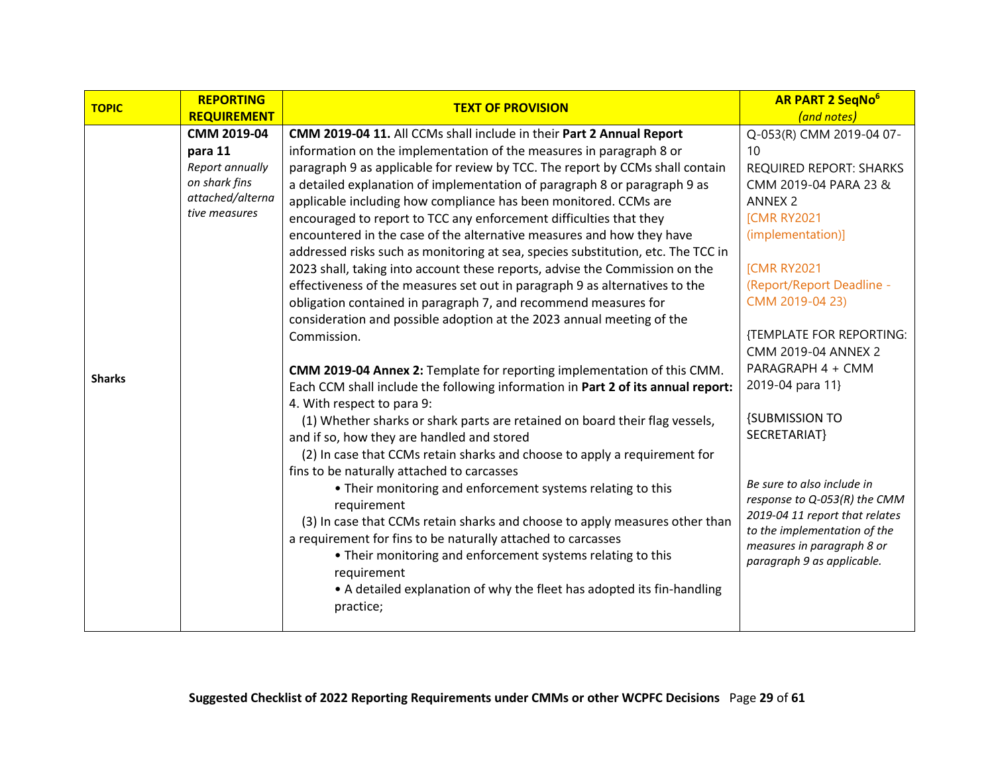| <b>TOPIC</b>  | <b>REPORTING</b>   | <b>TEXT OF PROVISION</b>                                                         | <b>AR PART 2 SegNo<sup>6</sup></b>                             |
|---------------|--------------------|----------------------------------------------------------------------------------|----------------------------------------------------------------|
|               | <b>REQUIREMENT</b> |                                                                                  | (and notes)                                                    |
|               | CMM 2019-04        | CMM 2019-04 11. All CCMs shall include in their Part 2 Annual Report             | Q-053(R) CMM 2019-04 07-                                       |
|               | para 11            | information on the implementation of the measures in paragraph 8 or              | 10                                                             |
|               | Report annually    | paragraph 9 as applicable for review by TCC. The report by CCMs shall contain    | <b>REQUIRED REPORT: SHARKS</b>                                 |
|               | on shark fins      | a detailed explanation of implementation of paragraph 8 or paragraph 9 as        | CMM 2019-04 PARA 23 &                                          |
|               | attached/alterna   | applicable including how compliance has been monitored. CCMs are                 | <b>ANNEX 2</b>                                                 |
|               | tive measures      | encouraged to report to TCC any enforcement difficulties that they               | <b>[CMR RY2021</b>                                             |
|               |                    | encountered in the case of the alternative measures and how they have            | (implementation)]                                              |
|               |                    | addressed risks such as monitoring at sea, species substitution, etc. The TCC in |                                                                |
|               |                    | 2023 shall, taking into account these reports, advise the Commission on the      | <b>[CMR RY2021</b>                                             |
|               |                    | effectiveness of the measures set out in paragraph 9 as alternatives to the      | (Report/Report Deadline -                                      |
|               |                    | obligation contained in paragraph 7, and recommend measures for                  | CMM 2019-04 23)                                                |
|               |                    | consideration and possible adoption at the 2023 annual meeting of the            |                                                                |
|               |                    | Commission.                                                                      | {TEMPLATE FOR REPORTING:                                       |
|               |                    |                                                                                  | CMM 2019-04 ANNEX 2                                            |
| <b>Sharks</b> |                    | CMM 2019-04 Annex 2: Template for reporting implementation of this CMM.          | PARAGRAPH 4 + CMM                                              |
|               |                    | Each CCM shall include the following information in Part 2 of its annual report: | 2019-04 para 11}                                               |
|               |                    | 4. With respect to para 9:                                                       |                                                                |
|               |                    | (1) Whether sharks or shark parts are retained on board their flag vessels,      | <b>{SUBMISSION TO</b>                                          |
|               |                    | and if so, how they are handled and stored                                       | SECRETARIAT}                                                   |
|               |                    | (2) In case that CCMs retain sharks and choose to apply a requirement for        |                                                                |
|               |                    | fins to be naturally attached to carcasses                                       |                                                                |
|               |                    | • Their monitoring and enforcement systems relating to this                      | Be sure to also include in                                     |
|               |                    | requirement                                                                      | response to Q-053(R) the CMM                                   |
|               |                    | (3) In case that CCMs retain sharks and choose to apply measures other than      | 2019-04 11 report that relates<br>to the implementation of the |
|               |                    | a requirement for fins to be naturally attached to carcasses                     | measures in paragraph 8 or                                     |
|               |                    | • Their monitoring and enforcement systems relating to this                      | paragraph 9 as applicable.                                     |
|               |                    | requirement                                                                      |                                                                |
|               |                    | • A detailed explanation of why the fleet has adopted its fin-handling           |                                                                |
|               |                    | practice;                                                                        |                                                                |
|               |                    |                                                                                  |                                                                |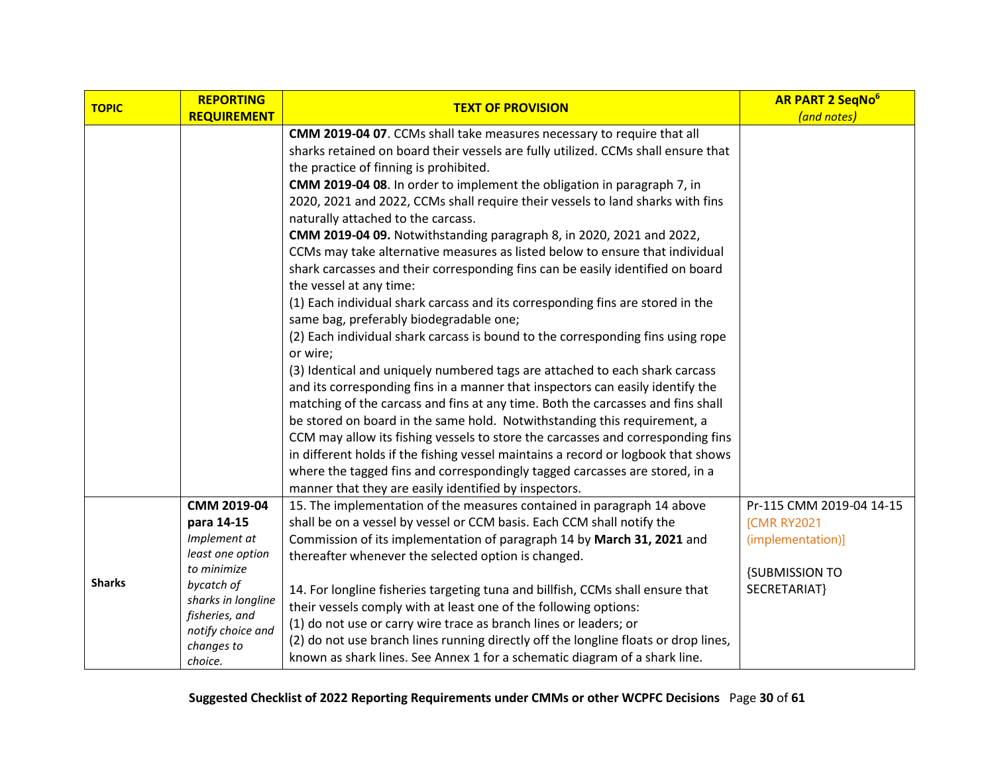| <b>TOPIC</b>  | <b>REPORTING</b>                 | <b>TEXT OF PROVISION</b>                                                            | <b>AR PART 2 SeqNo</b> <sup>6</sup> |
|---------------|----------------------------------|-------------------------------------------------------------------------------------|-------------------------------------|
|               | <b>REQUIREMENT</b>               |                                                                                     | (and notes)                         |
|               |                                  | CMM 2019-04 07. CCMs shall take measures necessary to require that all              |                                     |
|               |                                  | sharks retained on board their vessels are fully utilized. CCMs shall ensure that   |                                     |
|               |                                  | the practice of finning is prohibited.                                              |                                     |
|               |                                  | CMM 2019-04 08. In order to implement the obligation in paragraph 7, in             |                                     |
|               |                                  | 2020, 2021 and 2022, CCMs shall require their vessels to land sharks with fins      |                                     |
|               |                                  | naturally attached to the carcass.                                                  |                                     |
|               |                                  | CMM 2019-04 09. Notwithstanding paragraph 8, in 2020, 2021 and 2022,                |                                     |
|               |                                  | CCMs may take alternative measures as listed below to ensure that individual        |                                     |
|               |                                  | shark carcasses and their corresponding fins can be easily identified on board      |                                     |
|               |                                  | the vessel at any time:                                                             |                                     |
|               |                                  | (1) Each individual shark carcass and its corresponding fins are stored in the      |                                     |
|               |                                  | same bag, preferably biodegradable one;                                             |                                     |
|               |                                  | (2) Each individual shark carcass is bound to the corresponding fins using rope     |                                     |
|               |                                  | or wire;                                                                            |                                     |
|               |                                  | (3) Identical and uniquely numbered tags are attached to each shark carcass         |                                     |
|               |                                  | and its corresponding fins in a manner that inspectors can easily identify the      |                                     |
|               |                                  | matching of the carcass and fins at any time. Both the carcasses and fins shall     |                                     |
|               |                                  | be stored on board in the same hold. Notwithstanding this requirement, a            |                                     |
|               |                                  | CCM may allow its fishing vessels to store the carcasses and corresponding fins     |                                     |
|               |                                  | in different holds if the fishing vessel maintains a record or logbook that shows   |                                     |
|               |                                  | where the tagged fins and correspondingly tagged carcasses are stored, in a         |                                     |
|               |                                  | manner that they are easily identified by inspectors.                               |                                     |
|               | CMM 2019-04                      | 15. The implementation of the measures contained in paragraph 14 above              | Pr-115 CMM 2019-04 14-15            |
|               | para 14-15                       | shall be on a vessel by vessel or CCM basis. Each CCM shall notify the              | <b>[CMR RY2021</b>                  |
|               | Implement at<br>least one option | Commission of its implementation of paragraph 14 by March 31, 2021 and              | (implementation)]                   |
|               | to minimize                      | thereafter whenever the selected option is changed.                                 |                                     |
| <b>Sharks</b> | bycatch of                       |                                                                                     | <b>{SUBMISSION TO</b>               |
|               | sharks in longline               | 14. For longline fisheries targeting tuna and billfish, CCMs shall ensure that      | SECRETARIAT}                        |
|               | fisheries, and                   | their vessels comply with at least one of the following options:                    |                                     |
|               | notify choice and                | (1) do not use or carry wire trace as branch lines or leaders; or                   |                                     |
|               | changes to                       | (2) do not use branch lines running directly off the longline floats or drop lines, |                                     |
|               | choice.                          | known as shark lines. See Annex 1 for a schematic diagram of a shark line.          |                                     |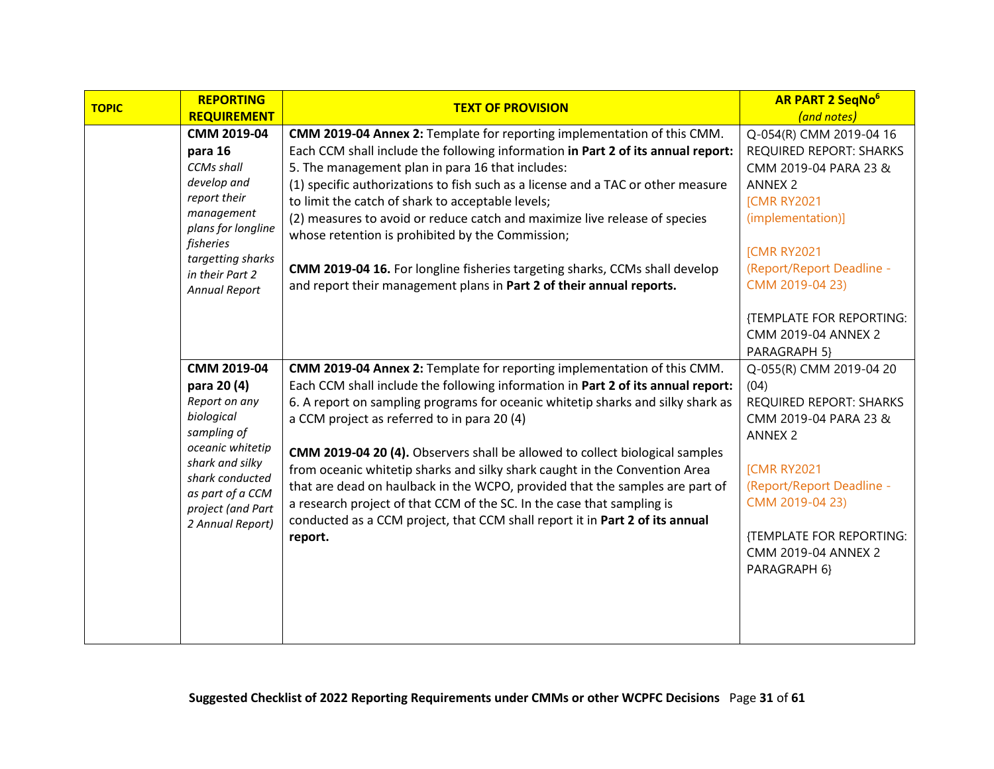| <b>TEXT OF PROVISION</b>                                                         | <b>AR PART 2 SegNo<sup>6</sup></b>                                                                                                                                                                                                                                                                                                                                                                                                                                                                                                                                                                          |
|----------------------------------------------------------------------------------|-------------------------------------------------------------------------------------------------------------------------------------------------------------------------------------------------------------------------------------------------------------------------------------------------------------------------------------------------------------------------------------------------------------------------------------------------------------------------------------------------------------------------------------------------------------------------------------------------------------|
|                                                                                  | (and notes)                                                                                                                                                                                                                                                                                                                                                                                                                                                                                                                                                                                                 |
|                                                                                  | Q-054(R) CMM 2019-04 16                                                                                                                                                                                                                                                                                                                                                                                                                                                                                                                                                                                     |
|                                                                                  | <b>REQUIRED REPORT: SHARKS</b><br>CMM 2019-04 PARA 23 &                                                                                                                                                                                                                                                                                                                                                                                                                                                                                                                                                     |
|                                                                                  |                                                                                                                                                                                                                                                                                                                                                                                                                                                                                                                                                                                                             |
|                                                                                  | <b>ANNEX 2</b>                                                                                                                                                                                                                                                                                                                                                                                                                                                                                                                                                                                              |
|                                                                                  | <b>[CMR RY2021</b>                                                                                                                                                                                                                                                                                                                                                                                                                                                                                                                                                                                          |
| whose retention is prohibited by the Commission;                                 | (implementation)]                                                                                                                                                                                                                                                                                                                                                                                                                                                                                                                                                                                           |
|                                                                                  | <b>[CMR RY2021</b>                                                                                                                                                                                                                                                                                                                                                                                                                                                                                                                                                                                          |
| CMM 2019-04 16. For longline fisheries targeting sharks, CCMs shall develop      | (Report/Report Deadline -                                                                                                                                                                                                                                                                                                                                                                                                                                                                                                                                                                                   |
| and report their management plans in Part 2 of their annual reports.             | CMM 2019-04 23)                                                                                                                                                                                                                                                                                                                                                                                                                                                                                                                                                                                             |
|                                                                                  | {TEMPLATE FOR REPORTING:                                                                                                                                                                                                                                                                                                                                                                                                                                                                                                                                                                                    |
|                                                                                  | CMM 2019-04 ANNEX 2                                                                                                                                                                                                                                                                                                                                                                                                                                                                                                                                                                                         |
|                                                                                  | PARAGRAPH 5}                                                                                                                                                                                                                                                                                                                                                                                                                                                                                                                                                                                                |
| CMM 2019-04 Annex 2: Template for reporting implementation of this CMM.          | Q-055(R) CMM 2019-04 20                                                                                                                                                                                                                                                                                                                                                                                                                                                                                                                                                                                     |
| Each CCM shall include the following information in Part 2 of its annual report: | (04)                                                                                                                                                                                                                                                                                                                                                                                                                                                                                                                                                                                                        |
| 6. A report on sampling programs for oceanic whitetip sharks and silky shark as  | <b>REQUIRED REPORT: SHARKS</b>                                                                                                                                                                                                                                                                                                                                                                                                                                                                                                                                                                              |
| a CCM project as referred to in para 20 (4)                                      | CMM 2019-04 PARA 23 &                                                                                                                                                                                                                                                                                                                                                                                                                                                                                                                                                                                       |
|                                                                                  | <b>ANNEX 2</b>                                                                                                                                                                                                                                                                                                                                                                                                                                                                                                                                                                                              |
| CMM 2019-04 20 (4). Observers shall be allowed to collect biological samples     |                                                                                                                                                                                                                                                                                                                                                                                                                                                                                                                                                                                                             |
| from oceanic whitetip sharks and silky shark caught in the Convention Area       | <b>[CMR RY2021</b>                                                                                                                                                                                                                                                                                                                                                                                                                                                                                                                                                                                          |
| that are dead on haulback in the WCPO, provided that the samples are part of     | (Report/Report Deadline -                                                                                                                                                                                                                                                                                                                                                                                                                                                                                                                                                                                   |
| a research project of that CCM of the SC. In the case that sampling is           | CMM 2019-04 23)                                                                                                                                                                                                                                                                                                                                                                                                                                                                                                                                                                                             |
| conducted as a CCM project, that CCM shall report it in Part 2 of its annual     |                                                                                                                                                                                                                                                                                                                                                                                                                                                                                                                                                                                                             |
| report.                                                                          | {TEMPLATE FOR REPORTING:                                                                                                                                                                                                                                                                                                                                                                                                                                                                                                                                                                                    |
|                                                                                  | CMM 2019-04 ANNEX 2                                                                                                                                                                                                                                                                                                                                                                                                                                                                                                                                                                                         |
|                                                                                  | PARAGRAPH 6}                                                                                                                                                                                                                                                                                                                                                                                                                                                                                                                                                                                                |
|                                                                                  |                                                                                                                                                                                                                                                                                                                                                                                                                                                                                                                                                                                                             |
|                                                                                  |                                                                                                                                                                                                                                                                                                                                                                                                                                                                                                                                                                                                             |
|                                                                                  |                                                                                                                                                                                                                                                                                                                                                                                                                                                                                                                                                                                                             |
| <b>REPORTING</b><br>CMM 2019-04<br>CMM 2019-04                                   | <b>REQUIREMENT</b><br>CMM 2019-04 Annex 2: Template for reporting implementation of this CMM.<br>Each CCM shall include the following information in Part 2 of its annual report:<br>5. The management plan in para 16 that includes:<br>(1) specific authorizations to fish such as a license and a TAC or other measure<br>to limit the catch of shark to acceptable levels;<br>(2) measures to avoid or reduce catch and maximize live release of species<br>plans for longline<br>targetting sharks<br>oceanic whitetip<br>shark conducted<br>as part of a CCM<br>project (and Part<br>2 Annual Report) |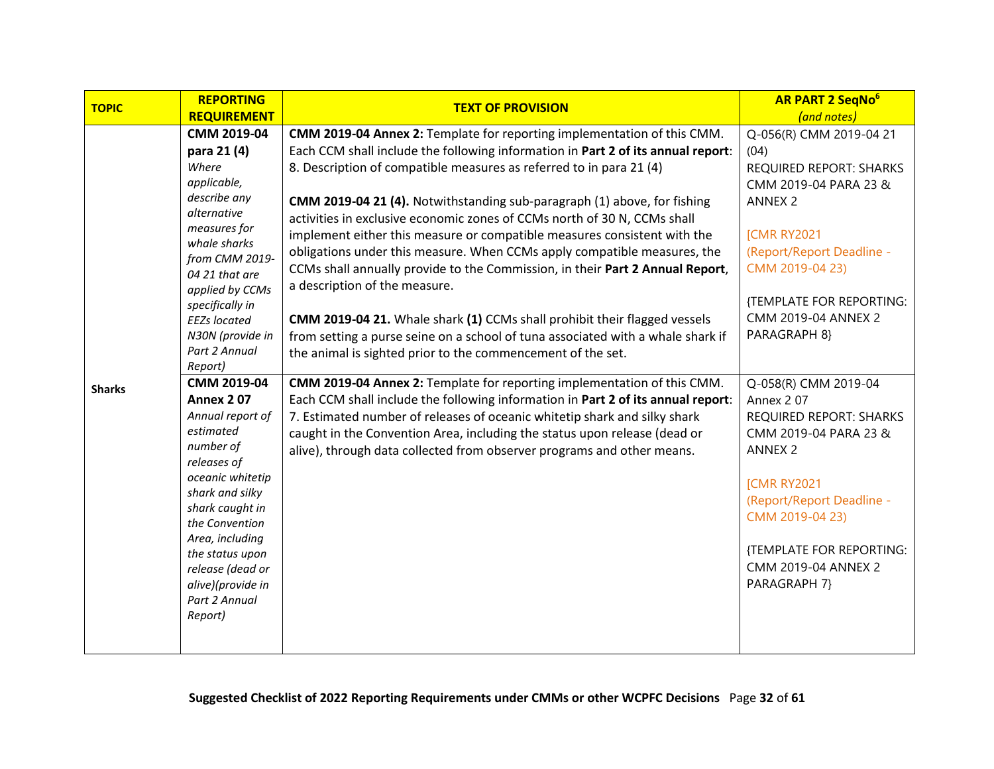| <b>REPORTING</b><br><b>TOPIC</b><br><b>TEXT OF PROVISION</b>                                               | <b>AR PART 2 SeqNo</b> <sup>6</sup> |
|------------------------------------------------------------------------------------------------------------|-------------------------------------|
| <b>REQUIREMENT</b>                                                                                         | (and notes)                         |
| CMM 2019-04<br>CMM 2019-04 Annex 2: Template for reporting implementation of this CMM.                     | Q-056(R) CMM 2019-04 21             |
| Each CCM shall include the following information in Part 2 of its annual report:<br>para 21 (4)<br>(04)    |                                     |
| Where<br>8. Description of compatible measures as referred to in para 21 (4)                               | <b>REQUIRED REPORT: SHARKS</b>      |
| applicable,                                                                                                | CMM 2019-04 PARA 23 &               |
| describe any<br>CMM 2019-04 21 (4). Notwithstanding sub-paragraph (1) above, for fishing                   | <b>ANNEX 2</b>                      |
| alternative<br>activities in exclusive economic zones of CCMs north of 30 N, CCMs shall                    |                                     |
| measures for<br>implement either this measure or compatible measures consistent with the                   | <b>[CMR RY2021</b>                  |
| whale sharks<br>obligations under this measure. When CCMs apply compatible measures, the<br>from CMM 2019- | (Report/Report Deadline -           |
| CCMs shall annually provide to the Commission, in their Part 2 Annual Report,<br>04 21 that are            | CMM 2019-04 23)                     |
| a description of the measure.<br>applied by CCMs                                                           |                                     |
| specifically in                                                                                            | {TEMPLATE FOR REPORTING:            |
| CMM 2019-04 21. Whale shark (1) CCMs shall prohibit their flagged vessels<br><b>EEZs located</b>           | CMM 2019-04 ANNEX 2                 |
| N30N (provide in<br>from setting a purse seine on a school of tuna associated with a whale shark if        | PARAGRAPH 8}                        |
| Part 2 Annual<br>the animal is sighted prior to the commencement of the set.                               |                                     |
| Report)                                                                                                    |                                     |
| CMM 2019-04<br>CMM 2019-04 Annex 2: Template for reporting implementation of this CMM.<br><b>Sharks</b>    | Q-058(R) CMM 2019-04                |
| <b>Annex 207</b><br>Each CCM shall include the following information in Part 2 of its annual report:       | Annex 207                           |
| Annual report of<br>7. Estimated number of releases of oceanic whitetip shark and silky shark              | <b>REQUIRED REPORT: SHARKS</b>      |
| estimated<br>caught in the Convention Area, including the status upon release (dead or                     | CMM 2019-04 PARA 23 &               |
| number of<br>alive), through data collected from observer programs and other means.                        | <b>ANNEX 2</b>                      |
| releases of<br>oceanic whitetip                                                                            |                                     |
| shark and silky                                                                                            | <b>[CMR RY2021</b>                  |
| shark caught in                                                                                            | (Report/Report Deadline -           |
| the Convention                                                                                             | CMM 2019-04 23)                     |
| Area, including                                                                                            |                                     |
| the status upon                                                                                            | {TEMPLATE FOR REPORTING:            |
| release (dead or                                                                                           | CMM 2019-04 ANNEX 2                 |
| alive)(provide in                                                                                          | PARAGRAPH 7}                        |
| Part 2 Annual                                                                                              |                                     |
| Report)                                                                                                    |                                     |
|                                                                                                            |                                     |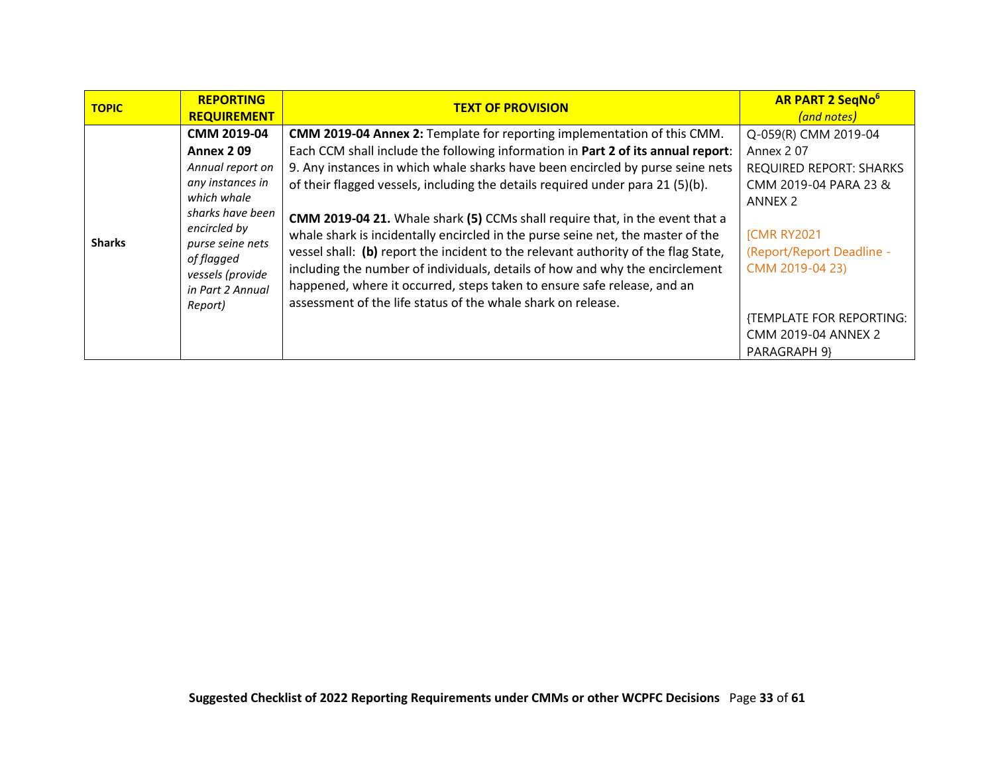| <b>TOPIC</b>  | <b>REPORTING</b><br><b>REQUIREMENT</b> | <b>TEXT OF PROVISION</b>                                                            | <b>AR PART 2 SegNo<sup>6</sup></b><br>(and notes) |
|---------------|----------------------------------------|-------------------------------------------------------------------------------------|---------------------------------------------------|
|               | CMM 2019-04                            | CMM 2019-04 Annex 2: Template for reporting implementation of this CMM.             | Q-059(R) CMM 2019-04                              |
|               | <b>Annex 209</b>                       | Each CCM shall include the following information in Part 2 of its annual report:    | Annex 207                                         |
|               | Annual report on                       | 9. Any instances in which whale sharks have been encircled by purse seine nets      | <b>REQUIRED REPORT: SHARKS</b>                    |
|               | any instances in                       | of their flagged vessels, including the details required under para 21 (5)(b).      | CMM 2019-04 PARA 23 &                             |
|               | which whale                            |                                                                                     | ANNEX 2                                           |
|               | sharks have been                       | <b>CMM 2019-04 21.</b> Whale shark (5) CCMs shall require that, in the event that a |                                                   |
| <b>Sharks</b> | encircled by                           | whale shark is incidentally encircled in the purse seine net, the master of the     | <b>[CMR RY2021</b>                                |
|               | purse seine nets<br>of flagged         | vessel shall: (b) report the incident to the relevant authority of the flag State,  | (Report/Report Deadline -                         |
|               | vessels (provide                       | including the number of individuals, details of how and why the encirclement        | CMM 2019-04 23)                                   |
|               | in Part 2 Annual                       | happened, where it occurred, steps taken to ensure safe release, and an             |                                                   |
|               | Report)                                | assessment of the life status of the whale shark on release.                        |                                                   |
|               |                                        |                                                                                     | {TEMPLATE FOR REPORTING:                          |
|               |                                        |                                                                                     | CMM 2019-04 ANNEX 2                               |
|               |                                        |                                                                                     | PARAGRAPH 9}                                      |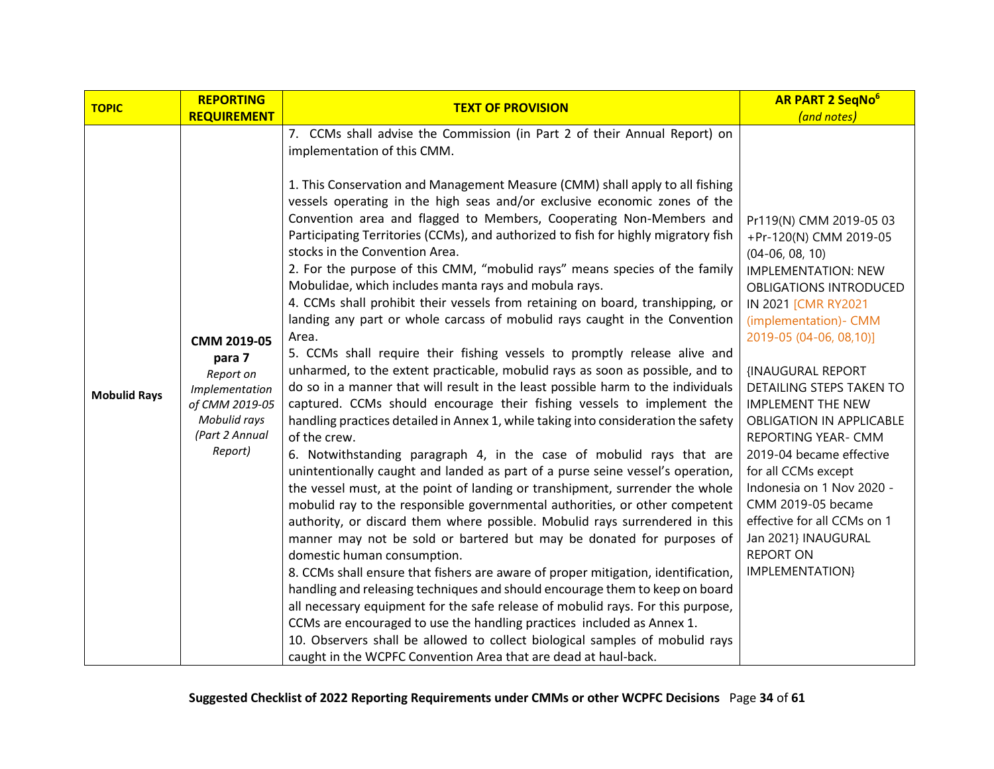<span id="page-33-0"></span>

| <b>TOPIC</b>        | <b>REPORTING</b>                                                                           | <b>TEXT OF PROVISION</b>                                                                                                                                                                                                                                                                                                                                                                                                                                                                                                                                                                                                                                                                                                                                                                                                                                                                                                                                                                                                                                                                                                                                                                                                                                                                                                                                | <b>AR PART 2 SegNo<sup>6</sup></b>                                                                                                                                                                                                                                                                                                            |
|---------------------|--------------------------------------------------------------------------------------------|---------------------------------------------------------------------------------------------------------------------------------------------------------------------------------------------------------------------------------------------------------------------------------------------------------------------------------------------------------------------------------------------------------------------------------------------------------------------------------------------------------------------------------------------------------------------------------------------------------------------------------------------------------------------------------------------------------------------------------------------------------------------------------------------------------------------------------------------------------------------------------------------------------------------------------------------------------------------------------------------------------------------------------------------------------------------------------------------------------------------------------------------------------------------------------------------------------------------------------------------------------------------------------------------------------------------------------------------------------|-----------------------------------------------------------------------------------------------------------------------------------------------------------------------------------------------------------------------------------------------------------------------------------------------------------------------------------------------|
|                     | <b>REQUIREMENT</b>                                                                         |                                                                                                                                                                                                                                                                                                                                                                                                                                                                                                                                                                                                                                                                                                                                                                                                                                                                                                                                                                                                                                                                                                                                                                                                                                                                                                                                                         | (and notes)                                                                                                                                                                                                                                                                                                                                   |
|                     |                                                                                            | 7. CCMs shall advise the Commission (in Part 2 of their Annual Report) on<br>implementation of this CMM.<br>1. This Conservation and Management Measure (CMM) shall apply to all fishing<br>vessels operating in the high seas and/or exclusive economic zones of the<br>Convention area and flagged to Members, Cooperating Non-Members and                                                                                                                                                                                                                                                                                                                                                                                                                                                                                                                                                                                                                                                                                                                                                                                                                                                                                                                                                                                                            | Pr119(N) CMM 2019-05 03                                                                                                                                                                                                                                                                                                                       |
|                     |                                                                                            | Participating Territories (CCMs), and authorized to fish for highly migratory fish<br>stocks in the Convention Area.<br>2. For the purpose of this CMM, "mobulid rays" means species of the family<br>Mobulidae, which includes manta rays and mobula rays.<br>4. CCMs shall prohibit their vessels from retaining on board, transhipping, or                                                                                                                                                                                                                                                                                                                                                                                                                                                                                                                                                                                                                                                                                                                                                                                                                                                                                                                                                                                                           | +Pr-120(N) CMM 2019-05<br>$(04-06, 08, 10)$<br><b>IMPLEMENTATION: NEW</b><br><b>OBLIGATIONS INTRODUCED</b><br>IN 2021 [CMR RY2021                                                                                                                                                                                                             |
|                     |                                                                                            | landing any part or whole carcass of mobulid rays caught in the Convention                                                                                                                                                                                                                                                                                                                                                                                                                                                                                                                                                                                                                                                                                                                                                                                                                                                                                                                                                                                                                                                                                                                                                                                                                                                                              | (implementation) - CMM                                                                                                                                                                                                                                                                                                                        |
|                     | CMM 2019-05<br>para 7                                                                      | Area.<br>5. CCMs shall require their fishing vessels to promptly release alive and                                                                                                                                                                                                                                                                                                                                                                                                                                                                                                                                                                                                                                                                                                                                                                                                                                                                                                                                                                                                                                                                                                                                                                                                                                                                      | 2019-05 (04-06, 08, 10)]                                                                                                                                                                                                                                                                                                                      |
| <b>Mobulid Rays</b> | Report on<br>Implementation<br>of CMM 2019-05<br>Mobulid rays<br>(Part 2 Annual<br>Report) | unharmed, to the extent practicable, mobulid rays as soon as possible, and to<br>do so in a manner that will result in the least possible harm to the individuals<br>captured. CCMs should encourage their fishing vessels to implement the<br>handling practices detailed in Annex 1, while taking into consideration the safety<br>of the crew.<br>6. Notwithstanding paragraph 4, in the case of mobulid rays that are<br>unintentionally caught and landed as part of a purse seine vessel's operation,<br>the vessel must, at the point of landing or transhipment, surrender the whole<br>mobulid ray to the responsible governmental authorities, or other competent<br>authority, or discard them where possible. Mobulid rays surrendered in this<br>manner may not be sold or bartered but may be donated for purposes of<br>domestic human consumption.<br>8. CCMs shall ensure that fishers are aware of proper mitigation, identification,<br>handling and releasing techniques and should encourage them to keep on board<br>all necessary equipment for the safe release of mobulid rays. For this purpose,<br>CCMs are encouraged to use the handling practices included as Annex 1.<br>10. Observers shall be allowed to collect biological samples of mobulid rays<br>caught in the WCPFC Convention Area that are dead at haul-back. | <b>{INAUGURAL REPORT</b><br>DETAILING STEPS TAKEN TO<br><b>IMPLEMENT THE NEW</b><br><b>OBLIGATION IN APPLICABLE</b><br>REPORTING YEAR- CMM<br>2019-04 became effective<br>for all CCMs except<br>Indonesia on 1 Nov 2020 -<br>CMM 2019-05 became<br>effective for all CCMs on 1<br>Jan 2021} INAUGURAL<br><b>REPORT ON</b><br>IMPLEMENTATION} |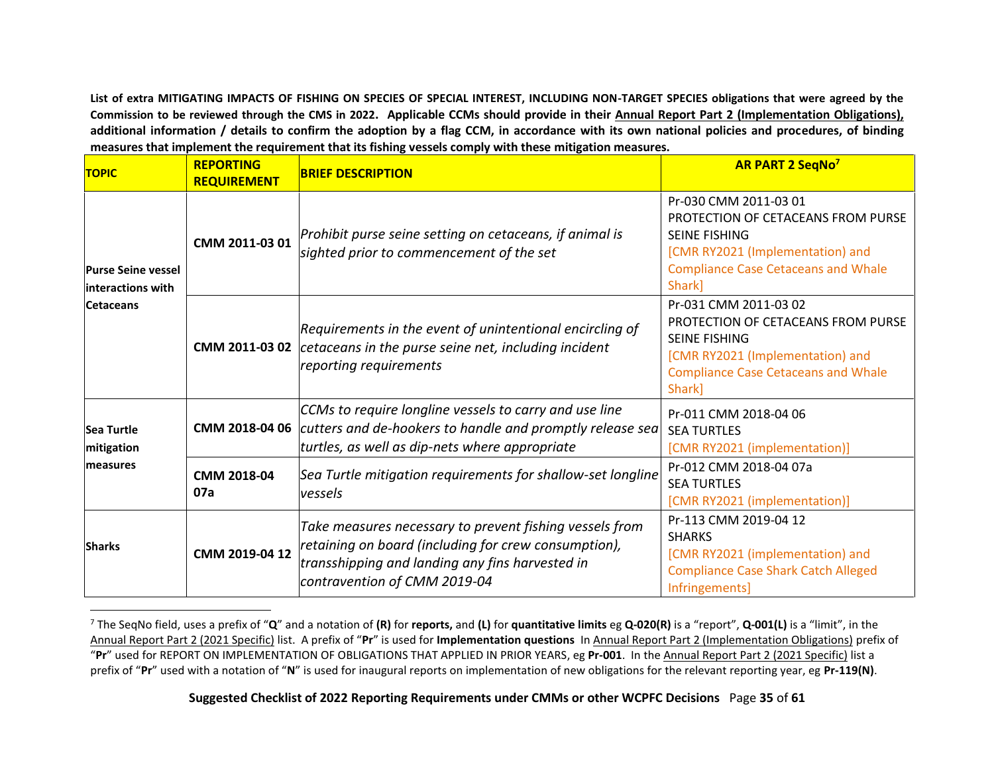**List of extra MITIGATING IMPACTS OF FISHING ON SPECIES OF SPECIAL INTEREST, INCLUDING NON-TARGET SPECIES obligations that were agreed by the Commission to be reviewed through the CMS in 2022. Applicable CCMs should provide in their Annual Report Part 2 (Implementation Obligations), additional information / details to confirm the adoption by a flag CCM, in accordance with its own national policies and procedures, of binding measures that implement the requirement that its fishing vessels comply with these mitigation measures.**

<span id="page-34-0"></span>

| <b>TOPIC</b>                                                        | <b>REPORTING</b><br><b>REQUIREMENT</b> | <b>BRIEF DESCRIPTION</b>                                                                                                                                                                           | <b>AR PART 2 SegNo<sup>7</sup></b>                                                                                                                                              |
|---------------------------------------------------------------------|----------------------------------------|----------------------------------------------------------------------------------------------------------------------------------------------------------------------------------------------------|---------------------------------------------------------------------------------------------------------------------------------------------------------------------------------|
| <b>Purse Seine vessel</b><br>linteractions with<br><b>Cetaceans</b> | CMM 2011-03 01                         | Prohibit purse seine setting on cetaceans, if animal is<br>sighted prior to commencement of the set                                                                                                | Pr-030 CMM 2011-03 01<br>PROTECTION OF CETACEANS FROM PURSE<br><b>SEINE FISHING</b><br>[CMR RY2021 (Implementation) and<br><b>Compliance Case Cetaceans and Whale</b><br>Shark] |
|                                                                     |                                        | Requirements in the event of unintentional encircling of<br><b>CMM 2011-03 02</b> cetaceans in the purse seine net, including incident<br>reporting requirements                                   | Pr-031 CMM 2011-03 02<br>PROTECTION OF CETACEANS FROM PURSE<br><b>SEINE FISHING</b><br>[CMR RY2021 (Implementation) and<br><b>Compliance Case Cetaceans and Whale</b><br>Shark] |
| <b>Sea Turtle</b><br>mitigation<br><b>Imeasures</b>                 | CMM 2018-04 06                         | CCMs to require longline vessels to carry and use line<br>cutters and de-hookers to handle and promptly release sea<br>turtles, as well as dip-nets where appropriate                              | Pr-011 CMM 2018-04 06<br><b>SEA TURTLES</b><br>[CMR RY2021 (implementation)]                                                                                                    |
|                                                                     | CMM 2018-04<br>07a                     | Sea Turtle mitigation requirements for shallow-set longline<br>vessels                                                                                                                             | Pr-012 CMM 2018-04 07a<br><b>SEA TURTLES</b><br>[CMR RY2021 (implementation)]                                                                                                   |
| <b>Sharks</b>                                                       | CMM 2019-04 12                         | Take measures necessary to prevent fishing vessels from<br>retaining on board (including for crew consumption),<br>transshipping and landing any fins harvested in<br>contravention of CMM 2019-04 | Pr-113 CMM 2019-04 12<br><b>SHARKS</b><br>[CMR RY2021 (implementation) and<br><b>Compliance Case Shark Catch Alleged</b><br>Infringements]                                      |

<span id="page-34-2"></span><span id="page-34-1"></span><sup>7</sup> The SeqNo field, uses a prefix of "**Q**" and a notation of **(R)** for **reports,** and **(L)** for **quantitative limits** eg **Q-020(R)** is a "report", **Q-001(L)** is a "limit", in the Annual Report Part 2 (2021 Specific) list. A prefix of "**Pr**" is used for **Implementation questions** In Annual Report Part 2 (Implementation Obligations) prefix of "**Pr**" used for REPORT ON IMPLEMENTATION OF OBLIGATIONS THAT APPLIED IN PRIOR YEARS, eg **Pr-001**. In the Annual Report Part 2 (2021 Specific) list a prefix of "**Pr**" used with a notation of "**N**" is used for inaugural reports on implementation of new obligations for the relevant reporting year, eg **Pr-119(N)**.

<span id="page-34-3"></span>**Suggested Checklist of 2022 Reporting Requirements under CMMs or other WCPFC Decisions** Page **35** of **61**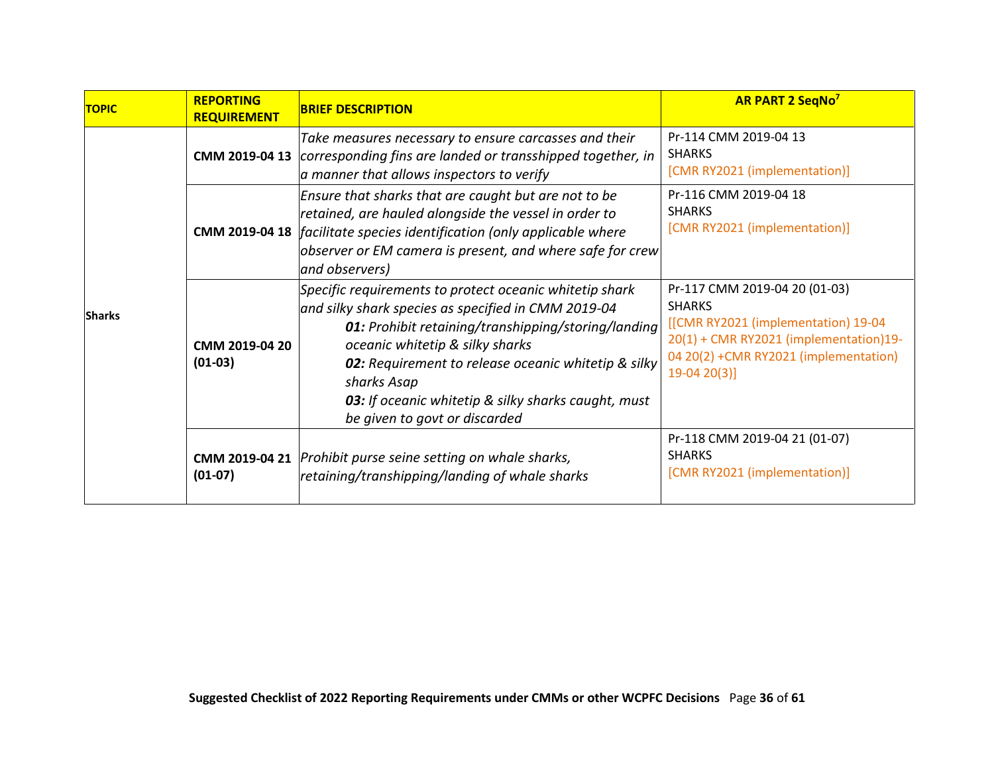| <b>TOPIC</b>  | <b>REPORTING</b><br><b>REQUIREMENT</b> | <b>BRIEF DESCRIPTION</b>                                                                                                                                                                                                                                                                                                                                                      | <b>AR PART 2 SegNo<sup>7</sup></b>                                                                                                                                                       |
|---------------|----------------------------------------|-------------------------------------------------------------------------------------------------------------------------------------------------------------------------------------------------------------------------------------------------------------------------------------------------------------------------------------------------------------------------------|------------------------------------------------------------------------------------------------------------------------------------------------------------------------------------------|
| <b>Sharks</b> |                                        | Take measures necessary to ensure carcasses and their<br><b>CMM 2019-04 13</b> <i>corresponding fins are landed or transshipped together, in</i><br>a manner that allows inspectors to verify                                                                                                                                                                                 | Pr-114 CMM 2019-04 13<br><b>SHARKS</b><br>[CMR RY2021 (implementation)]                                                                                                                  |
|               |                                        | Ensure that sharks that are caught but are not to be<br>retained, are hauled alongside the vessel in order to<br><b>CMM 2019-04 18</b> facilitate species identification (only applicable where<br>$\alpha$ observer or EM camera is present, and where safe for crew<br>and observers)                                                                                       | Pr-116 CMM 2019-04 18<br><b>SHARKS</b><br>[CMR RY2021 (implementation)]                                                                                                                  |
|               | CMM 2019-04 20<br>$(01-03)$            | Specific requirements to protect oceanic whitetip shark<br>and silky shark species as specified in CMM 2019-04<br><b>01:</b> Prohibit retaining/transhipping/storing/landing<br>oceanic whitetip & silky sharks<br>02: Requirement to release oceanic whitetip & silky<br>sharks Asap<br>03: If oceanic whitetip & silky sharks caught, must<br>be given to govt or discarded | Pr-117 CMM 2019-04 20 (01-03)<br><b>SHARKS</b><br>[[CMR RY2021 (implementation) 19-04<br>20(1) + CMR RY2021 (implementation)19-<br>04 20(2) +CMR RY2021 (implementation)<br>$19-0420(3)$ |
|               | $(01-07)$                              | <b>CMM 2019-04 21</b> Prohibit purse seine setting on whale sharks,<br>retaining/transhipping/landing of whale sharks                                                                                                                                                                                                                                                         | Pr-118 CMM 2019-04 21 (01-07)<br><b>SHARKS</b><br>[CMR RY2021 (implementation)]                                                                                                          |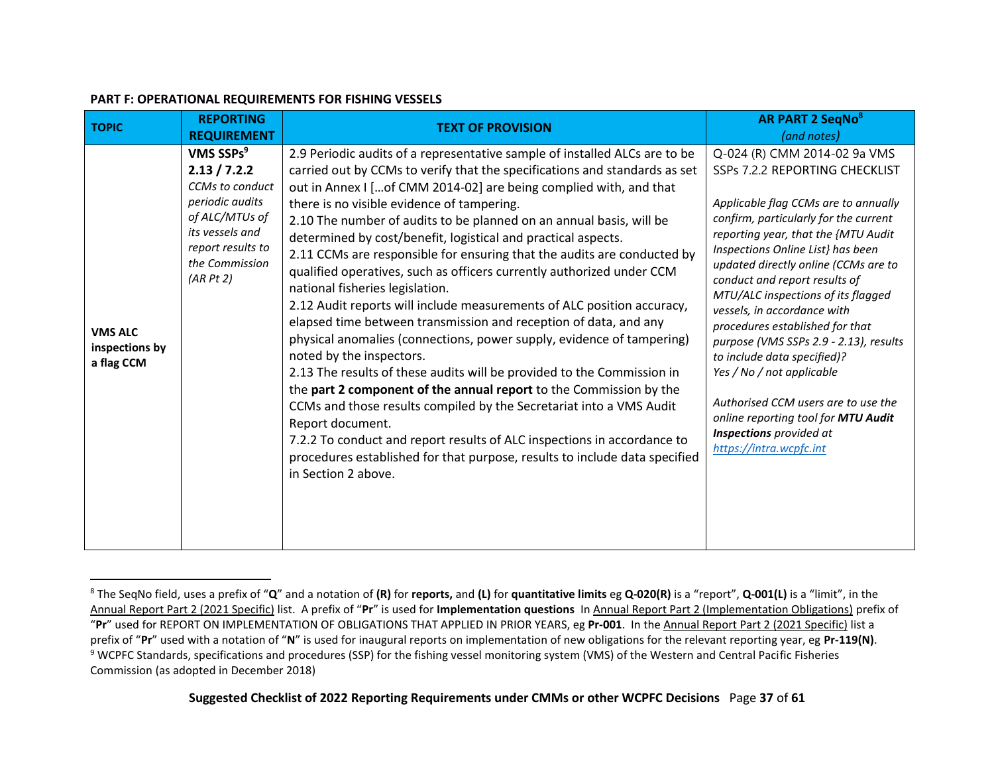<span id="page-36-0"></span>

| <b>TOPIC</b>                                   | <b>REPORTING</b><br><b>REQUIREMENT</b>                                                                                                                              | <b>TEXT OF PROVISION</b>                                                                                                                                                                                                                                                                                                                                                                                                                                                                                                                                                                                                                                                                                                                                                                                                                                                                                                                                                                                                                                                                                                                                                                                                                                                                 | <b>AR PART 2 SeqNo<sup>8</sup></b><br>(and notes)                                                                                                                                                                                                                                                                                                                                                                                                                                                                                                                                                                                                      |
|------------------------------------------------|---------------------------------------------------------------------------------------------------------------------------------------------------------------------|------------------------------------------------------------------------------------------------------------------------------------------------------------------------------------------------------------------------------------------------------------------------------------------------------------------------------------------------------------------------------------------------------------------------------------------------------------------------------------------------------------------------------------------------------------------------------------------------------------------------------------------------------------------------------------------------------------------------------------------------------------------------------------------------------------------------------------------------------------------------------------------------------------------------------------------------------------------------------------------------------------------------------------------------------------------------------------------------------------------------------------------------------------------------------------------------------------------------------------------------------------------------------------------|--------------------------------------------------------------------------------------------------------------------------------------------------------------------------------------------------------------------------------------------------------------------------------------------------------------------------------------------------------------------------------------------------------------------------------------------------------------------------------------------------------------------------------------------------------------------------------------------------------------------------------------------------------|
| <b>VMS ALC</b><br>inspections by<br>a flag CCM | VMS SSPs <sup>9</sup><br>2.13 / 7.2.2<br>CCMs to conduct<br>periodic audits<br>of ALC/MTUs of<br>its vessels and<br>report results to<br>the Commission<br>(AR Pt2) | 2.9 Periodic audits of a representative sample of installed ALCs are to be<br>carried out by CCMs to verify that the specifications and standards as set<br>out in Annex I [of CMM 2014-02] are being complied with, and that<br>there is no visible evidence of tampering.<br>2.10 The number of audits to be planned on an annual basis, will be<br>determined by cost/benefit, logistical and practical aspects.<br>2.11 CCMs are responsible for ensuring that the audits are conducted by<br>qualified operatives, such as officers currently authorized under CCM<br>national fisheries legislation.<br>2.12 Audit reports will include measurements of ALC position accuracy,<br>elapsed time between transmission and reception of data, and any<br>physical anomalies (connections, power supply, evidence of tampering)<br>noted by the inspectors.<br>2.13 The results of these audits will be provided to the Commission in<br>the part 2 component of the annual report to the Commission by the<br>CCMs and those results compiled by the Secretariat into a VMS Audit<br>Report document.<br>7.2.2 To conduct and report results of ALC inspections in accordance to<br>procedures established for that purpose, results to include data specified<br>in Section 2 above. | Q-024 (R) CMM 2014-02 9a VMS<br>SSPs 7.2.2 REPORTING CHECKLIST<br>Applicable flag CCMs are to annually<br>confirm, particularly for the current<br>reporting year, that the {MTU Audit<br>Inspections Online List} has been<br>updated directly online (CCMs are to<br>conduct and report results of<br>MTU/ALC inspections of its flagged<br>vessels, in accordance with<br>procedures established for that<br>purpose (VMS SSPs 2.9 - 2.13), results<br>to include data specified)?<br>Yes / No / not applicable<br>Authorised CCM users are to use the<br>online reporting tool for MTU Audit<br>Inspections provided at<br>https://intra.wcpfc.int |

#### **PART F: OPERATIONAL REQUIREMENTS FOR FISHING VESSELS**

<span id="page-36-1"></span><sup>8</sup> The SeqNo field, uses a prefix of "**Q**" and a notation of **(R)** for **reports,** and **(L)** for **quantitative limits** eg **Q-020(R)** is a "report", **Q-001(L)** is a "limit", in the Annual Report Part 2 (2021 Specific) list. A prefix of "**Pr**" is used for **Implementation questions** In Annual Report Part 2 (Implementation Obligations) prefix of "**Pr**" used for REPORT ON IMPLEMENTATION OF OBLIGATIONS THAT APPLIED IN PRIOR YEARS, eg **Pr-001**. In the Annual Report Part 2 (2021 Specific) list a prefix of "**Pr**" used with a notation of "**N**" is used for inaugural reports on implementation of new obligations for the relevant reporting year, eg **Pr-119(N)**. <sup>9</sup> WCPFC Standards, specifications and procedures (SSP) for the fishing vessel monitoring system (VMS) of the Western and Central Pacific Fisheries Commission (as adopted in December 2018)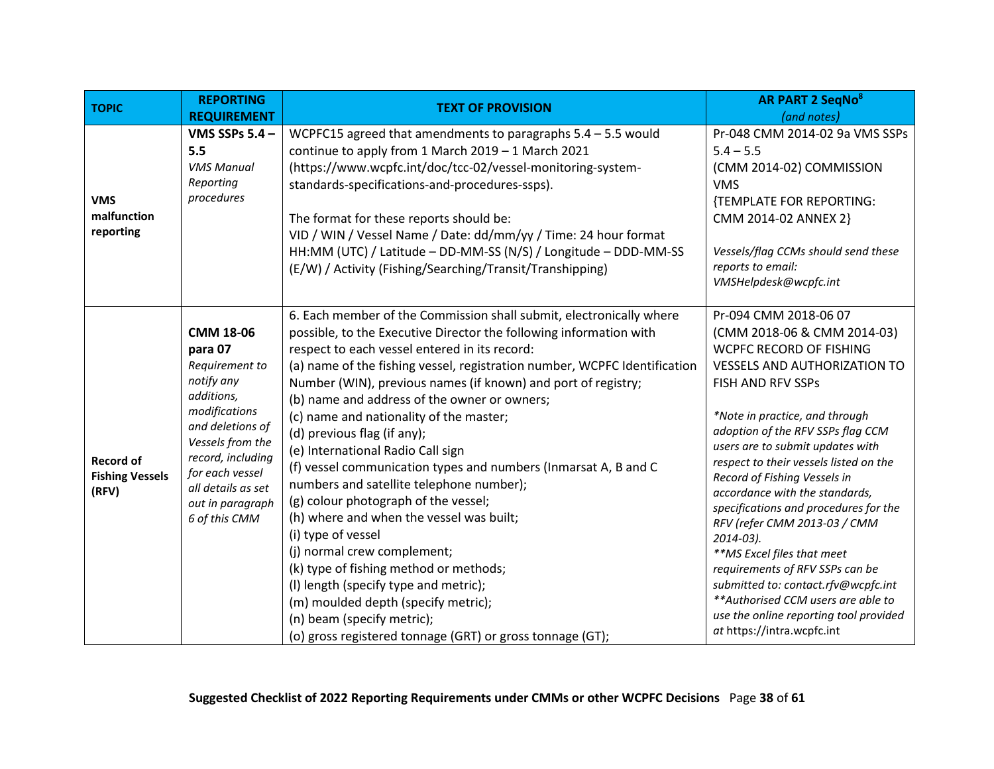<span id="page-37-1"></span><span id="page-37-0"></span>

| <b>TOPIC</b>                                        | <b>REPORTING</b>                                                                                                                                                                                                                      | <b>TEXT OF PROVISION</b>                                                                                                                                                                                                                                                                                                                                                                                                                                                                                                                                                                                                                                                                                                                                                                                                                                                                                                                                                             | <b>AR PART 2 SeqNo<sup>8</sup></b>                                                                                                                                                                                                                                                                                                                                                                                                                                                                                                                                                                                                                                                   |
|-----------------------------------------------------|---------------------------------------------------------------------------------------------------------------------------------------------------------------------------------------------------------------------------------------|--------------------------------------------------------------------------------------------------------------------------------------------------------------------------------------------------------------------------------------------------------------------------------------------------------------------------------------------------------------------------------------------------------------------------------------------------------------------------------------------------------------------------------------------------------------------------------------------------------------------------------------------------------------------------------------------------------------------------------------------------------------------------------------------------------------------------------------------------------------------------------------------------------------------------------------------------------------------------------------|--------------------------------------------------------------------------------------------------------------------------------------------------------------------------------------------------------------------------------------------------------------------------------------------------------------------------------------------------------------------------------------------------------------------------------------------------------------------------------------------------------------------------------------------------------------------------------------------------------------------------------------------------------------------------------------|
|                                                     | <b>REQUIREMENT</b>                                                                                                                                                                                                                    |                                                                                                                                                                                                                                                                                                                                                                                                                                                                                                                                                                                                                                                                                                                                                                                                                                                                                                                                                                                      | (and notes)                                                                                                                                                                                                                                                                                                                                                                                                                                                                                                                                                                                                                                                                          |
| <b>VMS</b><br>malfunction<br>reporting              | VMS SSPs 5.4 -<br>5.5<br><b>VMS Manual</b><br>Reporting<br>procedures                                                                                                                                                                 | WCPFC15 agreed that amendments to paragraphs $5.4 - 5.5$ would<br>continue to apply from 1 March 2019 - 1 March 2021<br>(https://www.wcpfc.int/doc/tcc-02/vessel-monitoring-system-<br>standards-specifications-and-procedures-ssps).<br>The format for these reports should be:<br>VID / WIN / Vessel Name / Date: dd/mm/yy / Time: 24 hour format<br>HH:MM (UTC) / Latitude - DD-MM-SS (N/S) / Longitude - DDD-MM-SS<br>(E/W) / Activity (Fishing/Searching/Transit/Transhipping)                                                                                                                                                                                                                                                                                                                                                                                                                                                                                                  | Pr-048 CMM 2014-02 9a VMS SSPs<br>$5.4 - 5.5$<br>(CMM 2014-02) COMMISSION<br><b>VMS</b><br>{TEMPLATE FOR REPORTING:<br>CMM 2014-02 ANNEX 2}<br>Vessels/flag CCMs should send these<br>reports to email:<br>VMSHelpdesk@wcpfc.int                                                                                                                                                                                                                                                                                                                                                                                                                                                     |
| <b>Record of</b><br><b>Fishing Vessels</b><br>(RFV) | <b>CMM 18-06</b><br>para 07<br>Requirement to<br>notify any<br>additions,<br>modifications<br>and deletions of<br>Vessels from the<br>record, including<br>for each vessel<br>all details as set<br>out in paragraph<br>6 of this CMM | 6. Each member of the Commission shall submit, electronically where<br>possible, to the Executive Director the following information with<br>respect to each vessel entered in its record:<br>(a) name of the fishing vessel, registration number, WCPFC Identification<br>Number (WIN), previous names (if known) and port of registry;<br>(b) name and address of the owner or owners;<br>(c) name and nationality of the master;<br>(d) previous flag (if any);<br>(e) International Radio Call sign<br>(f) vessel communication types and numbers (Inmarsat A, B and C<br>numbers and satellite telephone number);<br>(g) colour photograph of the vessel;<br>(h) where and when the vessel was built;<br>(i) type of vessel<br>(j) normal crew complement;<br>(k) type of fishing method or methods;<br>(I) length (specify type and metric);<br>(m) moulded depth (specify metric);<br>(n) beam (specify metric);<br>(o) gross registered tonnage (GRT) or gross tonnage (GT); | Pr-094 CMM 2018-06 07<br>(CMM 2018-06 & CMM 2014-03)<br>WCPFC RECORD OF FISHING<br><b>VESSELS AND AUTHORIZATION TO</b><br>FISH AND RFV SSPs<br>*Note in practice, and through<br>adoption of the RFV SSPs flag CCM<br>users are to submit updates with<br>respect to their vessels listed on the<br>Record of Fishing Vessels in<br>accordance with the standards,<br>specifications and procedures for the<br>RFV (refer CMM 2013-03 / CMM<br>$2014 - 03$ ).<br>**MS Excel files that meet<br>requirements of RFV SSPs can be<br>submitted to: contact.rfv@wcpfc.int<br>** Authorised CCM users are able to<br>use the online reporting tool provided<br>at https://intra.wcpfc.int |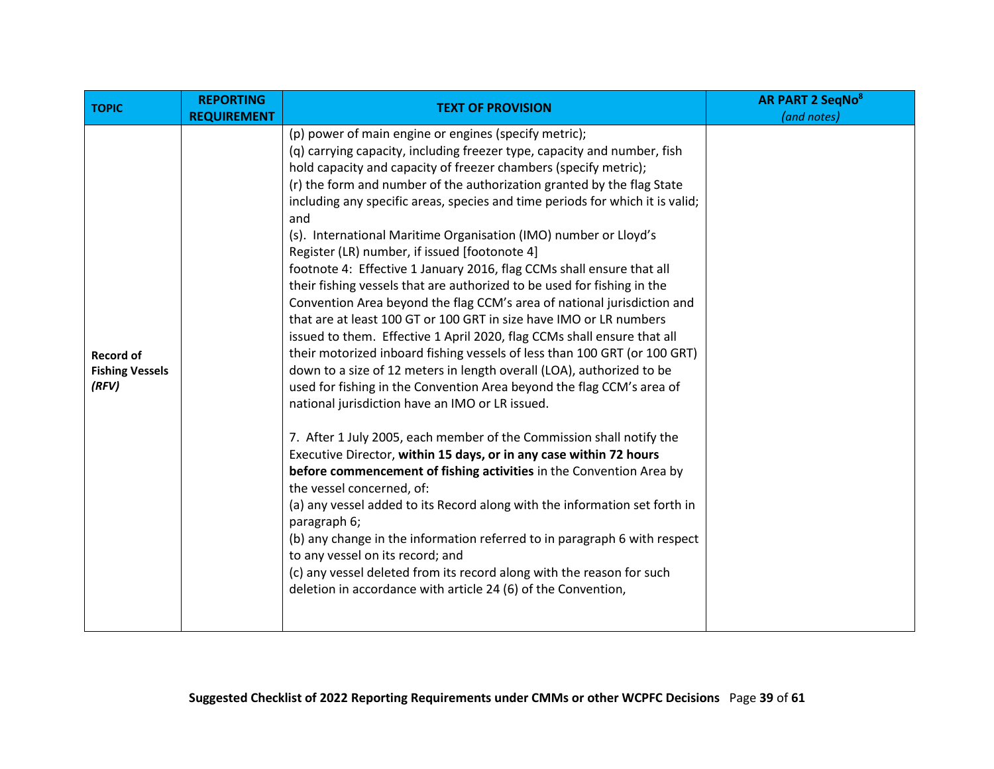| <b>TOPIC</b>                                        | <b>REPORTING</b><br><b>REQUIREMENT</b> | <b>TEXT OF PROVISION</b>                                                                                                                                                                                                                                                                                                                                                                                                                                                                                                                                                                                                                                                                                                                                                                                                                                                                                                                                                                                                                                                                                                                                                                                                                                                                                                                                                                                                                                                                                                                                                                                                                                                                                                                                                  | <b>AR PART 2 SeqNo<sup>8</sup></b><br>(and notes) |
|-----------------------------------------------------|----------------------------------------|---------------------------------------------------------------------------------------------------------------------------------------------------------------------------------------------------------------------------------------------------------------------------------------------------------------------------------------------------------------------------------------------------------------------------------------------------------------------------------------------------------------------------------------------------------------------------------------------------------------------------------------------------------------------------------------------------------------------------------------------------------------------------------------------------------------------------------------------------------------------------------------------------------------------------------------------------------------------------------------------------------------------------------------------------------------------------------------------------------------------------------------------------------------------------------------------------------------------------------------------------------------------------------------------------------------------------------------------------------------------------------------------------------------------------------------------------------------------------------------------------------------------------------------------------------------------------------------------------------------------------------------------------------------------------------------------------------------------------------------------------------------------------|---------------------------------------------------|
| <b>Record of</b><br><b>Fishing Vessels</b><br>(RFV) |                                        | (p) power of main engine or engines (specify metric);<br>(q) carrying capacity, including freezer type, capacity and number, fish<br>hold capacity and capacity of freezer chambers (specify metric);<br>(r) the form and number of the authorization granted by the flag State<br>including any specific areas, species and time periods for which it is valid;<br>and<br>(s). International Maritime Organisation (IMO) number or Lloyd's<br>Register (LR) number, if issued [footonote 4]<br>footnote 4: Effective 1 January 2016, flag CCMs shall ensure that all<br>their fishing vessels that are authorized to be used for fishing in the<br>Convention Area beyond the flag CCM's area of national jurisdiction and<br>that are at least 100 GT or 100 GRT in size have IMO or LR numbers<br>issued to them. Effective 1 April 2020, flag CCMs shall ensure that all<br>their motorized inboard fishing vessels of less than 100 GRT (or 100 GRT)<br>down to a size of 12 meters in length overall (LOA), authorized to be<br>used for fishing in the Convention Area beyond the flag CCM's area of<br>national jurisdiction have an IMO or LR issued.<br>7. After 1 July 2005, each member of the Commission shall notify the<br>Executive Director, within 15 days, or in any case within 72 hours<br>before commencement of fishing activities in the Convention Area by<br>the vessel concerned, of:<br>(a) any vessel added to its Record along with the information set forth in<br>paragraph 6;<br>(b) any change in the information referred to in paragraph 6 with respect<br>to any vessel on its record; and<br>(c) any vessel deleted from its record along with the reason for such<br>deletion in accordance with article 24 (6) of the Convention, |                                                   |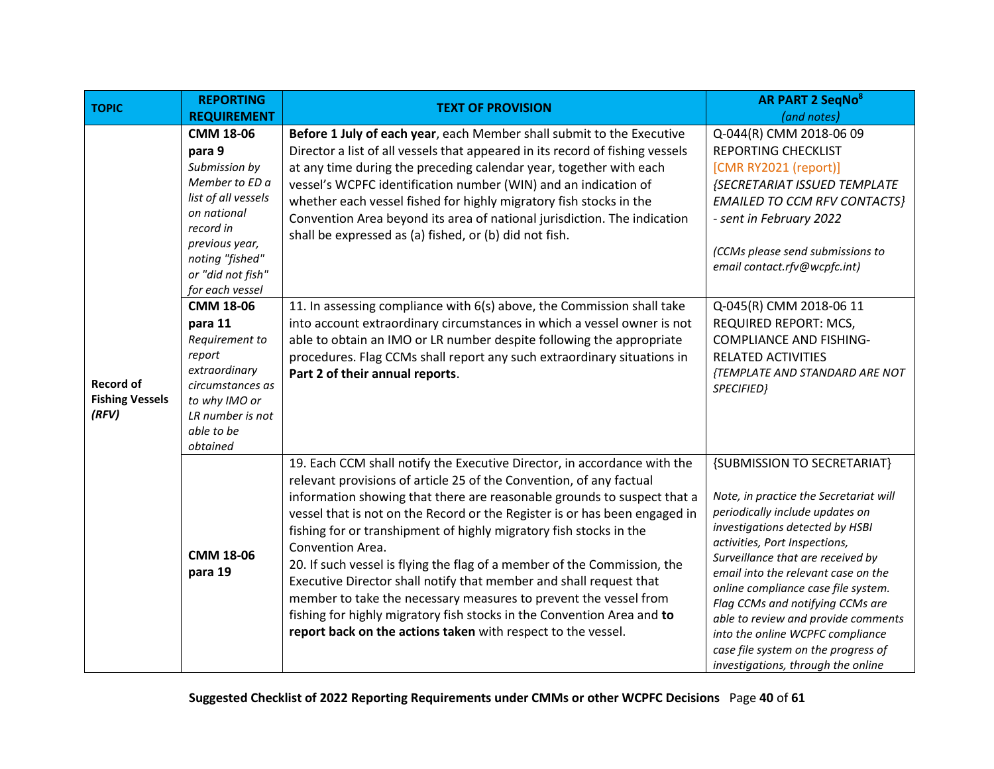| <b>TOPIC</b>                                        | <b>REPORTING</b>                                                                                                                                                                                                                                                                                                                                 | <b>TEXT OF PROVISION</b>                                                                                                                                                                                                                                                                                                                                                                                                                                                                                                                                                                                                                                                                                                                                                                                                                               | <b>AR PART 2 SeqNo<sup>8</sup></b>                                                                                                                                                                                                                                                                                                                                                                                                                                                          |
|-----------------------------------------------------|--------------------------------------------------------------------------------------------------------------------------------------------------------------------------------------------------------------------------------------------------------------------------------------------------------------------------------------------------|--------------------------------------------------------------------------------------------------------------------------------------------------------------------------------------------------------------------------------------------------------------------------------------------------------------------------------------------------------------------------------------------------------------------------------------------------------------------------------------------------------------------------------------------------------------------------------------------------------------------------------------------------------------------------------------------------------------------------------------------------------------------------------------------------------------------------------------------------------|---------------------------------------------------------------------------------------------------------------------------------------------------------------------------------------------------------------------------------------------------------------------------------------------------------------------------------------------------------------------------------------------------------------------------------------------------------------------------------------------|
|                                                     | <b>REQUIREMENT</b>                                                                                                                                                                                                                                                                                                                               |                                                                                                                                                                                                                                                                                                                                                                                                                                                                                                                                                                                                                                                                                                                                                                                                                                                        | (and notes)                                                                                                                                                                                                                                                                                                                                                                                                                                                                                 |
| <b>Record of</b><br><b>Fishing Vessels</b><br>(RFV) | <b>CMM 18-06</b><br>para 9<br>Submission by<br>Member to ED a<br>list of all vessels<br>on national<br>record in<br>previous year,<br>noting "fished"<br>or "did not fish"<br>for each vessel<br><b>CMM 18-06</b><br>para 11<br>Requirement to<br>report<br>extraordinary<br>circumstances as<br>to why IMO or<br>LR number is not<br>able to be | Before 1 July of each year, each Member shall submit to the Executive<br>Director a list of all vessels that appeared in its record of fishing vessels<br>at any time during the preceding calendar year, together with each<br>vessel's WCPFC identification number (WIN) and an indication of<br>whether each vessel fished for highly migratory fish stocks in the<br>Convention Area beyond its area of national jurisdiction. The indication<br>shall be expressed as (a) fished, or (b) did not fish.<br>11. In assessing compliance with 6(s) above, the Commission shall take<br>into account extraordinary circumstances in which a vessel owner is not<br>able to obtain an IMO or LR number despite following the appropriate<br>procedures. Flag CCMs shall report any such extraordinary situations in<br>Part 2 of their annual reports. | Q-044(R) CMM 2018-06 09<br><b>REPORTING CHECKLIST</b><br>[CMR RY2021 (report)]<br><b>{SECRETARIAT ISSUED TEMPLATE</b><br><b>EMAILED TO CCM RFV CONTACTS}</b><br>- sent in February 2022<br>(CCMs please send submissions to<br>email contact.rfv@wcpfc.int)<br>Q-045(R) CMM 2018-06 11<br>REQUIRED REPORT: MCS,<br><b>COMPLIANCE AND FISHING-</b><br>RELATED ACTIVITIES<br>{TEMPLATE AND STANDARD ARE NOT<br>SPECIFIED}                                                                     |
|                                                     | obtained<br>CMM 18-06<br>para 19                                                                                                                                                                                                                                                                                                                 | 19. Each CCM shall notify the Executive Director, in accordance with the<br>relevant provisions of article 25 of the Convention, of any factual<br>information showing that there are reasonable grounds to suspect that a<br>vessel that is not on the Record or the Register is or has been engaged in<br>fishing for or transhipment of highly migratory fish stocks in the<br>Convention Area.<br>20. If such vessel is flying the flag of a member of the Commission, the<br>Executive Director shall notify that member and shall request that<br>member to take the necessary measures to prevent the vessel from<br>fishing for highly migratory fish stocks in the Convention Area and to<br>report back on the actions taken with respect to the vessel.                                                                                     | {SUBMISSION TO SECRETARIAT}<br>Note, in practice the Secretariat will<br>periodically include updates on<br>investigations detected by HSBI<br>activities, Port Inspections,<br>Surveillance that are received by<br>email into the relevant case on the<br>online compliance case file system.<br>Flag CCMs and notifying CCMs are<br>able to review and provide comments<br>into the online WCPFC compliance<br>case file system on the progress of<br>investigations, through the online |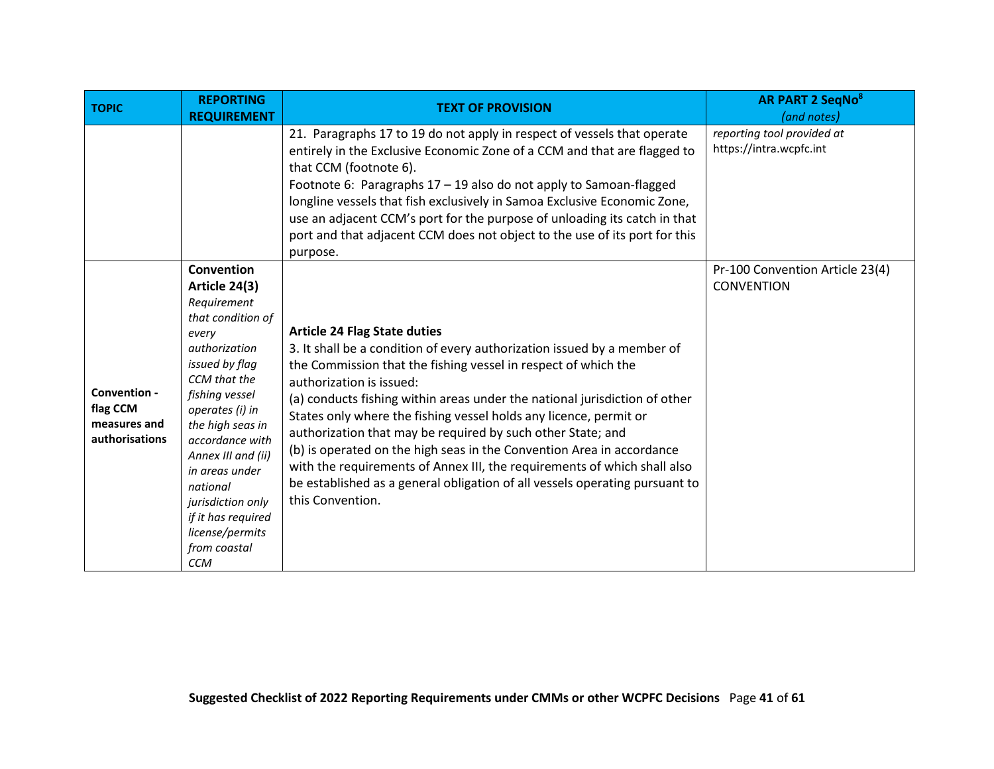<span id="page-40-0"></span>

| <b>TOPIC</b>                                               | <b>REPORTING</b><br><b>REQUIREMENT</b>                                                                                                                                                                                                                                                                                                                  | <b>TEXT OF PROVISION</b>                                                                                                                                                                                                                                                                                                                                                                                                                                                                                                                                                                                                                                                               | <b>AR PART 2 SeqNo<sup>8</sup></b><br>(and notes)     |
|------------------------------------------------------------|---------------------------------------------------------------------------------------------------------------------------------------------------------------------------------------------------------------------------------------------------------------------------------------------------------------------------------------------------------|----------------------------------------------------------------------------------------------------------------------------------------------------------------------------------------------------------------------------------------------------------------------------------------------------------------------------------------------------------------------------------------------------------------------------------------------------------------------------------------------------------------------------------------------------------------------------------------------------------------------------------------------------------------------------------------|-------------------------------------------------------|
|                                                            |                                                                                                                                                                                                                                                                                                                                                         | 21. Paragraphs 17 to 19 do not apply in respect of vessels that operate<br>entirely in the Exclusive Economic Zone of a CCM and that are flagged to<br>that CCM (footnote 6).<br>Footnote 6: Paragraphs 17 - 19 also do not apply to Samoan-flagged<br>longline vessels that fish exclusively in Samoa Exclusive Economic Zone,<br>use an adjacent CCM's port for the purpose of unloading its catch in that<br>port and that adjacent CCM does not object to the use of its port for this<br>purpose.                                                                                                                                                                                 | reporting tool provided at<br>https://intra.wcpfc.int |
| Convention -<br>flag CCM<br>measures and<br>authorisations | Convention<br>Article 24(3)<br>Requirement<br>that condition of<br>every<br>authorization<br>issued by flag<br>CCM that the<br>fishing vessel<br>operates (i) in<br>the high seas in<br>accordance with<br>Annex III and (ii)<br>in areas under<br>national<br>jurisdiction only<br>if it has required<br>license/permits<br>from coastal<br><b>CCM</b> | <b>Article 24 Flag State duties</b><br>3. It shall be a condition of every authorization issued by a member of<br>the Commission that the fishing vessel in respect of which the<br>authorization is issued:<br>(a) conducts fishing within areas under the national jurisdiction of other<br>States only where the fishing vessel holds any licence, permit or<br>authorization that may be required by such other State; and<br>(b) is operated on the high seas in the Convention Area in accordance<br>with the requirements of Annex III, the requirements of which shall also<br>be established as a general obligation of all vessels operating pursuant to<br>this Convention. | Pr-100 Convention Article 23(4)<br><b>CONVENTION</b>  |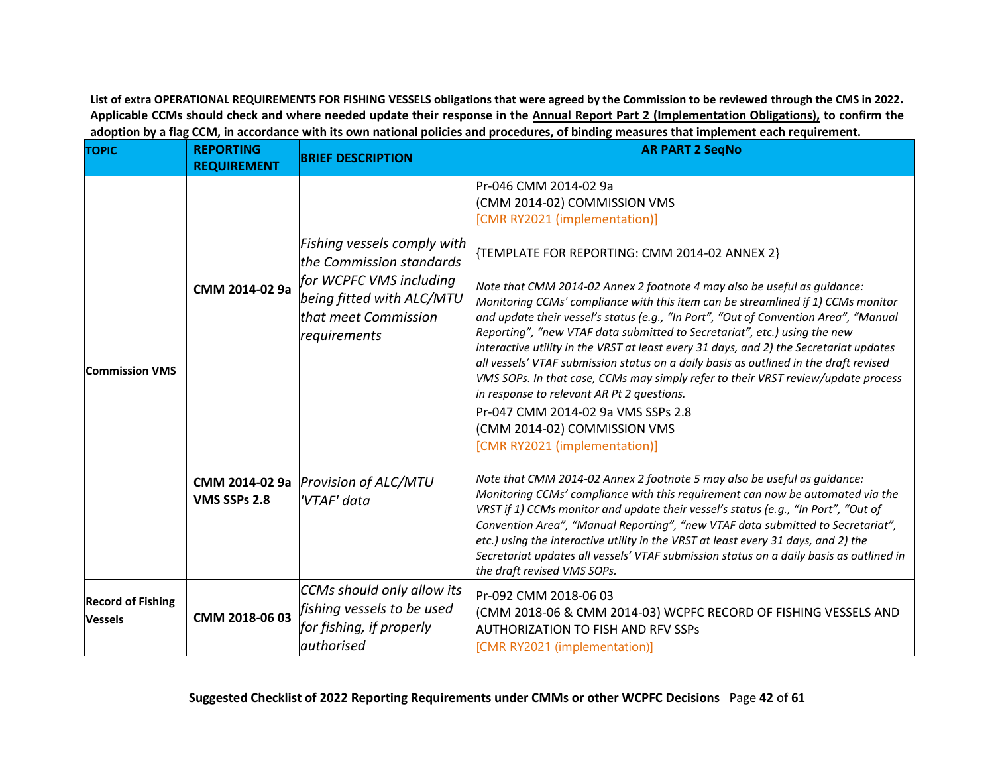**List of extra OPERATIONAL REQUIREMENTS FOR FISHING VESSELS obligations that were agreed by the Commission to be reviewed through the CMS in 2022. Applicable CCMs should check and where needed update their response in the Annual Report Part 2 (Implementation Obligations), to confirm the adoption by a flag CCM, in accordance with its own national policies and procedures, of binding measures that implement each requirement.**

<span id="page-41-2"></span><span id="page-41-1"></span><span id="page-41-0"></span>

| <b>TOPIC</b>                               | <b>REPORTING</b><br><b>REQUIREMENT</b> | <b>BRIEF DESCRIPTION</b>                                                                                                                                | <b>AR PART 2 SegNo</b>                                                                                                                                                                                                                                                                                                                                                                                                                                                                                                                                                                                                                                                                                                                                                                             |
|--------------------------------------------|----------------------------------------|---------------------------------------------------------------------------------------------------------------------------------------------------------|----------------------------------------------------------------------------------------------------------------------------------------------------------------------------------------------------------------------------------------------------------------------------------------------------------------------------------------------------------------------------------------------------------------------------------------------------------------------------------------------------------------------------------------------------------------------------------------------------------------------------------------------------------------------------------------------------------------------------------------------------------------------------------------------------|
| <b>Commission VMS</b>                      | CMM 2014-02 9a                         | Fishing vessels comply with<br>the Commission standards<br>for WCPFC VMS including<br>being fitted with ALC/MTU<br>that meet Commission<br>requirements | Pr-046 CMM 2014-02 9a<br>(CMM 2014-02) COMMISSION VMS<br>[CMR RY2021 (implementation)]<br>{TEMPLATE FOR REPORTING: CMM 2014-02 ANNEX 2}<br>Note that CMM 2014-02 Annex 2 footnote 4 may also be useful as guidance:<br>Monitoring CCMs' compliance with this item can be streamlined if 1) CCMs monitor<br>and update their vessel's status (e.g., "In Port", "Out of Convention Area", "Manual<br>Reporting", "new VTAF data submitted to Secretariat", etc.) using the new<br>interactive utility in the VRST at least every 31 days, and 2) the Secretariat updates<br>all vessels' VTAF submission status on a daily basis as outlined in the draft revised<br>VMS SOPs. In that case, CCMs may simply refer to their VRST review/update process<br>in response to relevant AR Pt 2 questions. |
|                                            | VMS SSPs 2.8                           | CMM 2014-02 9a <i>Provision of ALC/MTU</i><br>'VTAF' data                                                                                               | Pr-047 CMM 2014-02 9a VMS SSPs 2.8<br>(CMM 2014-02) COMMISSION VMS<br>[CMR RY2021 (implementation)]<br>Note that CMM 2014-02 Annex 2 footnote 5 may also be useful as guidance:<br>Monitoring CCMs' compliance with this requirement can now be automated via the<br>VRST if 1) CCMs monitor and update their vessel's status (e.g., "In Port", "Out of<br>Convention Area", "Manual Reporting", "new VTAF data submitted to Secretariat",<br>etc.) using the interactive utility in the VRST at least every 31 days, and 2) the<br>Secretariat updates all vessels' VTAF submission status on a daily basis as outlined in<br>the draft revised VMS SOPs.                                                                                                                                         |
| <b>Record of Fishing</b><br><b>Vessels</b> | CMM 2018-06 03                         | CCMs should only allow its<br>fishing vessels to be used<br>for fishing, if properly<br><b>authorised</b>                                               | Pr-092 CMM 2018-06 03<br>(CMM 2018-06 & CMM 2014-03) WCPFC RECORD OF FISHING VESSELS AND<br><b>AUTHORIZATION TO FISH AND RFV SSPS</b><br>[CMR RY2021 (implementation)]                                                                                                                                                                                                                                                                                                                                                                                                                                                                                                                                                                                                                             |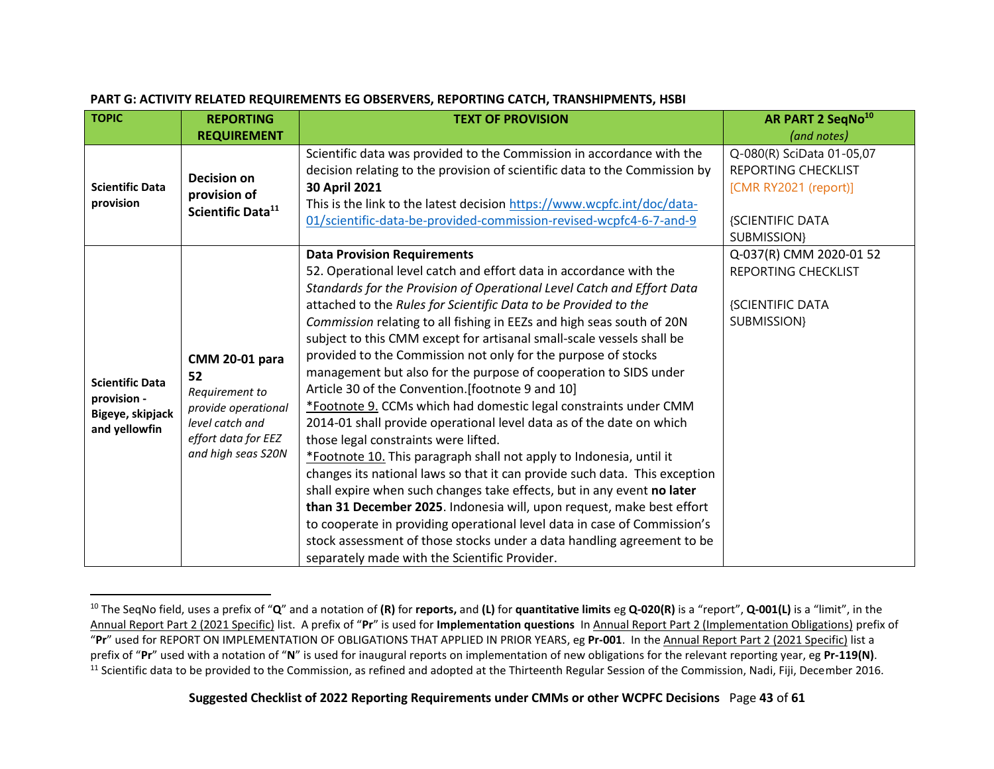<span id="page-42-0"></span>

| <b>TOPIC</b>                                                               | <b>REPORTING</b>                                                                                                                     | <b>TEXT OF PROVISION</b>                                                                                                                                                                                                                                                                                                                                                                                                                                                                                                                                                                                                                                                                                                                                                                                                                                                                                                                                                                                                                                                                                                                                                                                                                                                                             | AR PART 2 SeqNo <sup>10</sup>                                                                                              |
|----------------------------------------------------------------------------|--------------------------------------------------------------------------------------------------------------------------------------|------------------------------------------------------------------------------------------------------------------------------------------------------------------------------------------------------------------------------------------------------------------------------------------------------------------------------------------------------------------------------------------------------------------------------------------------------------------------------------------------------------------------------------------------------------------------------------------------------------------------------------------------------------------------------------------------------------------------------------------------------------------------------------------------------------------------------------------------------------------------------------------------------------------------------------------------------------------------------------------------------------------------------------------------------------------------------------------------------------------------------------------------------------------------------------------------------------------------------------------------------------------------------------------------------|----------------------------------------------------------------------------------------------------------------------------|
|                                                                            | <b>REQUIREMENT</b>                                                                                                                   |                                                                                                                                                                                                                                                                                                                                                                                                                                                                                                                                                                                                                                                                                                                                                                                                                                                                                                                                                                                                                                                                                                                                                                                                                                                                                                      | (and notes)                                                                                                                |
| <b>Scientific Data</b><br>provision                                        | <b>Decision on</b><br>provision of<br>Scientific Data <sup>11</sup>                                                                  | Scientific data was provided to the Commission in accordance with the<br>decision relating to the provision of scientific data to the Commission by<br>30 April 2021<br>This is the link to the latest decision https://www.wcpfc.int/doc/data-<br>01/scientific-data-be-provided-commission-revised-wcpfc4-6-7-and-9                                                                                                                                                                                                                                                                                                                                                                                                                                                                                                                                                                                                                                                                                                                                                                                                                                                                                                                                                                                | Q-080(R) SciData 01-05,07<br><b>REPORTING CHECKLIST</b><br>[CMR RY2021 (report)]<br><b>{SCIENTIFIC DATA</b><br>SUBMISSION} |
| <b>Scientific Data</b><br>provision -<br>Bigeye, skipjack<br>and yellowfin | <b>CMM 20-01 para</b><br>52<br>Requirement to<br>provide operational<br>level catch and<br>effort data for EEZ<br>and high seas S20N | <b>Data Provision Requirements</b><br>52. Operational level catch and effort data in accordance with the<br>Standards for the Provision of Operational Level Catch and Effort Data<br>attached to the Rules for Scientific Data to be Provided to the<br>Commission relating to all fishing in EEZs and high seas south of 20N<br>subject to this CMM except for artisanal small-scale vessels shall be<br>provided to the Commission not only for the purpose of stocks<br>management but also for the purpose of cooperation to SIDS under<br>Article 30 of the Convention. [footnote 9 and 10]<br>*Footnote 9. CCMs which had domestic legal constraints under CMM<br>2014-01 shall provide operational level data as of the date on which<br>those legal constraints were lifted.<br>*Footnote 10. This paragraph shall not apply to Indonesia, until it<br>changes its national laws so that it can provide such data. This exception<br>shall expire when such changes take effects, but in any event no later<br>than 31 December 2025. Indonesia will, upon request, make best effort<br>to cooperate in providing operational level data in case of Commission's<br>stock assessment of those stocks under a data handling agreement to be<br>separately made with the Scientific Provider. | Q-037(R) CMM 2020-01 52<br>REPORTING CHECKLIST<br><b>{SCIENTIFIC DATA</b><br><b>SUBMISSION}</b>                            |

#### **PART G: ACTIVITY RELATED REQUIREMENTS EG OBSERVERS, REPORTING CATCH, TRANSHIPMENTS, HSBI**

<span id="page-42-1"></span><sup>10</sup> The SeqNo field, uses a prefix of "**Q**" and a notation of **(R)** for **reports,** and **(L)** for **quantitative limits** eg **Q-020(R)** is a "report", **Q-001(L)** is a "limit", in the Annual Report Part 2 (2021 Specific) list. A prefix of "**Pr**" is used for **Implementation questions** In Annual Report Part 2 (Implementation Obligations) prefix of "**Pr**" used for REPORT ON IMPLEMENTATION OF OBLIGATIONS THAT APPLIED IN PRIOR YEARS, eg **Pr-001**. In the Annual Report Part 2 (2021 Specific) list a prefix of "**Pr**" used with a notation of "**N**" is used for inaugural reports on implementation of new obligations for the relevant reporting year, eg **Pr-119(N)**. <sup>11</sup> Scientific data to be provided to the Commission, as refined and adopted at the Thirteenth Regular Session of the Commission, Nadi, Fiji, December 2016.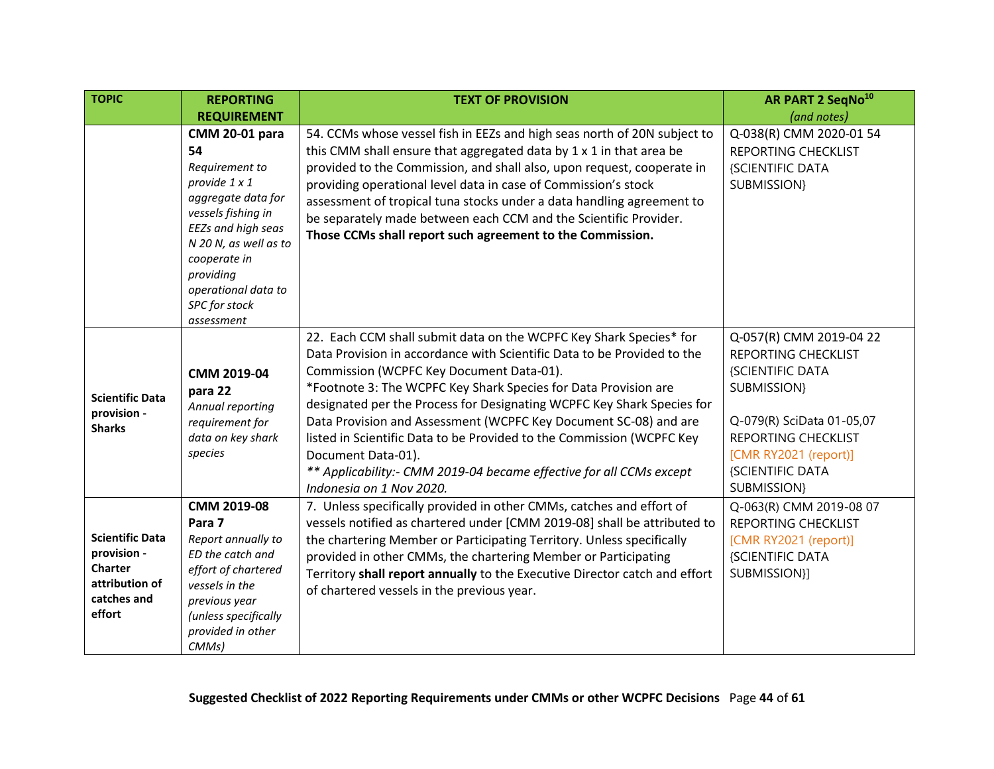| <b>TOPIC</b>                                                                                | <b>REPORTING</b>                                                                                                                                                                                                                             | <b>TEXT OF PROVISION</b>                                                                                                                                                                                                                                                                                                                                                                                                                                                                                                                                                                                     | AR PART 2 SeqNo <sup>10</sup>                                                                                                                                                                                          |
|---------------------------------------------------------------------------------------------|----------------------------------------------------------------------------------------------------------------------------------------------------------------------------------------------------------------------------------------------|--------------------------------------------------------------------------------------------------------------------------------------------------------------------------------------------------------------------------------------------------------------------------------------------------------------------------------------------------------------------------------------------------------------------------------------------------------------------------------------------------------------------------------------------------------------------------------------------------------------|------------------------------------------------------------------------------------------------------------------------------------------------------------------------------------------------------------------------|
|                                                                                             | <b>REQUIREMENT</b>                                                                                                                                                                                                                           |                                                                                                                                                                                                                                                                                                                                                                                                                                                                                                                                                                                                              | (and notes)                                                                                                                                                                                                            |
|                                                                                             | <b>CMM 20-01 para</b><br>54<br>Requirement to<br>provide 1 x 1<br>aggregate data for<br>vessels fishing in<br>EEZs and high seas<br>N 20 N, as well as to<br>cooperate in<br>providing<br>operational data to<br>SPC for stock<br>assessment | 54. CCMs whose vessel fish in EEZs and high seas north of 20N subject to<br>this CMM shall ensure that aggregated data by 1 x 1 in that area be<br>provided to the Commission, and shall also, upon request, cooperate in<br>providing operational level data in case of Commission's stock<br>assessment of tropical tuna stocks under a data handling agreement to<br>be separately made between each CCM and the Scientific Provider.<br>Those CCMs shall report such agreement to the Commission.                                                                                                        | Q-038(R) CMM 2020-01 54<br>REPORTING CHECKLIST<br>{SCIENTIFIC DATA<br>SUBMISSION}                                                                                                                                      |
| <b>Scientific Data</b><br>provision -<br><b>Sharks</b>                                      | CMM 2019-04<br>para 22<br>Annual reporting<br>requirement for<br>data on key shark<br>species                                                                                                                                                | 22. Each CCM shall submit data on the WCPFC Key Shark Species* for<br>Data Provision in accordance with Scientific Data to be Provided to the<br>Commission (WCPFC Key Document Data-01).<br>*Footnote 3: The WCPFC Key Shark Species for Data Provision are<br>designated per the Process for Designating WCPFC Key Shark Species for<br>Data Provision and Assessment (WCPFC Key Document SC-08) and are<br>listed in Scientific Data to be Provided to the Commission (WCPFC Key<br>Document Data-01).<br>** Applicability:- CMM 2019-04 became effective for all CCMs except<br>Indonesia on 1 Nov 2020. | Q-057(R) CMM 2019-04 22<br><b>REPORTING CHECKLIST</b><br>{SCIENTIFIC DATA<br>SUBMISSION}<br>Q-079(R) SciData 01-05,07<br><b>REPORTING CHECKLIST</b><br>[CMR RY2021 (report)]<br><b>{SCIENTIFIC DATA</b><br>SUBMISSION} |
| <b>Scientific Data</b><br>provision -<br>Charter<br>attribution of<br>catches and<br>effort | CMM 2019-08<br>Para 7<br>Report annually to<br>ED the catch and<br>effort of chartered<br>vessels in the<br>previous year<br>(unless specifically<br>provided in other<br>CMMs)                                                              | 7. Unless specifically provided in other CMMs, catches and effort of<br>vessels notified as chartered under [CMM 2019-08] shall be attributed to<br>the chartering Member or Participating Territory. Unless specifically<br>provided in other CMMs, the chartering Member or Participating<br>Territory shall report annually to the Executive Director catch and effort<br>of chartered vessels in the previous year.                                                                                                                                                                                      | Q-063(R) CMM 2019-08 07<br>REPORTING CHECKLIST<br>[CMR RY2021 (report)]<br>{SCIENTIFIC DATA<br>SUBMISSION}]                                                                                                            |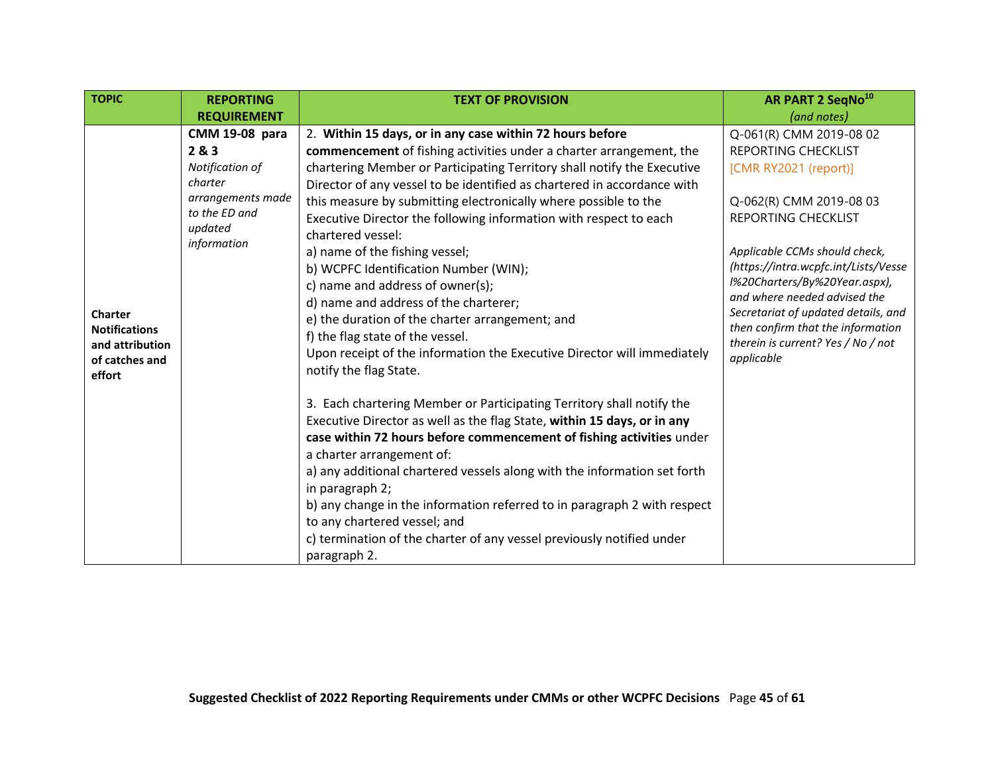<span id="page-44-0"></span>

| <b>TOPIC</b>                                                                          | <b>REPORTING</b>                                                                                                             | <b>TEXT OF PROVISION</b>                                                                                                                                                                                                                                                                                                                                                                                                                                                                                                                                                                                                                                                                                                                                                                                                                                                                                                                                                                                                                                                                                                                                                                                                                   | AR PART 2 SeqNo <sup>10</sup>                                                                                                                                                                                                                                                                                                                                                                              |
|---------------------------------------------------------------------------------------|------------------------------------------------------------------------------------------------------------------------------|--------------------------------------------------------------------------------------------------------------------------------------------------------------------------------------------------------------------------------------------------------------------------------------------------------------------------------------------------------------------------------------------------------------------------------------------------------------------------------------------------------------------------------------------------------------------------------------------------------------------------------------------------------------------------------------------------------------------------------------------------------------------------------------------------------------------------------------------------------------------------------------------------------------------------------------------------------------------------------------------------------------------------------------------------------------------------------------------------------------------------------------------------------------------------------------------------------------------------------------------|------------------------------------------------------------------------------------------------------------------------------------------------------------------------------------------------------------------------------------------------------------------------------------------------------------------------------------------------------------------------------------------------------------|
|                                                                                       | <b>REQUIREMENT</b>                                                                                                           |                                                                                                                                                                                                                                                                                                                                                                                                                                                                                                                                                                                                                                                                                                                                                                                                                                                                                                                                                                                                                                                                                                                                                                                                                                            | (and notes)                                                                                                                                                                                                                                                                                                                                                                                                |
| <b>Charter</b><br><b>Notifications</b><br>and attribution<br>of catches and<br>effort | <b>CMM 19-08 para</b><br>2 & 3<br>Notification of<br>charter<br>arrangements made<br>to the ED and<br>updated<br>information | 2. Within 15 days, or in any case within 72 hours before<br>commencement of fishing activities under a charter arrangement, the<br>chartering Member or Participating Territory shall notify the Executive<br>Director of any vessel to be identified as chartered in accordance with<br>this measure by submitting electronically where possible to the<br>Executive Director the following information with respect to each<br>chartered vessel:<br>a) name of the fishing vessel;<br>b) WCPFC Identification Number (WIN);<br>c) name and address of owner(s);<br>d) name and address of the charterer;<br>e) the duration of the charter arrangement; and<br>f) the flag state of the vessel.<br>Upon receipt of the information the Executive Director will immediately<br>notify the flag State.<br>3. Each chartering Member or Participating Territory shall notify the<br>Executive Director as well as the flag State, within 15 days, or in any<br>case within 72 hours before commencement of fishing activities under<br>a charter arrangement of:<br>a) any additional chartered vessels along with the information set forth<br>in paragraph 2;<br>b) any change in the information referred to in paragraph 2 with respect | Q-061(R) CMM 2019-08 02<br><b>REPORTING CHECKLIST</b><br>[CMR RY2021 (report)]<br>Q-062(R) CMM 2019-08 03<br>REPORTING CHECKLIST<br>Applicable CCMs should check,<br>(https://intra.wcpfc.int/Lists/Vesse<br>l%20Charters/By%20Year.aspx),<br>and where needed advised the<br>Secretariat of updated details, and<br>then confirm that the information<br>therein is current? Yes / No / not<br>applicable |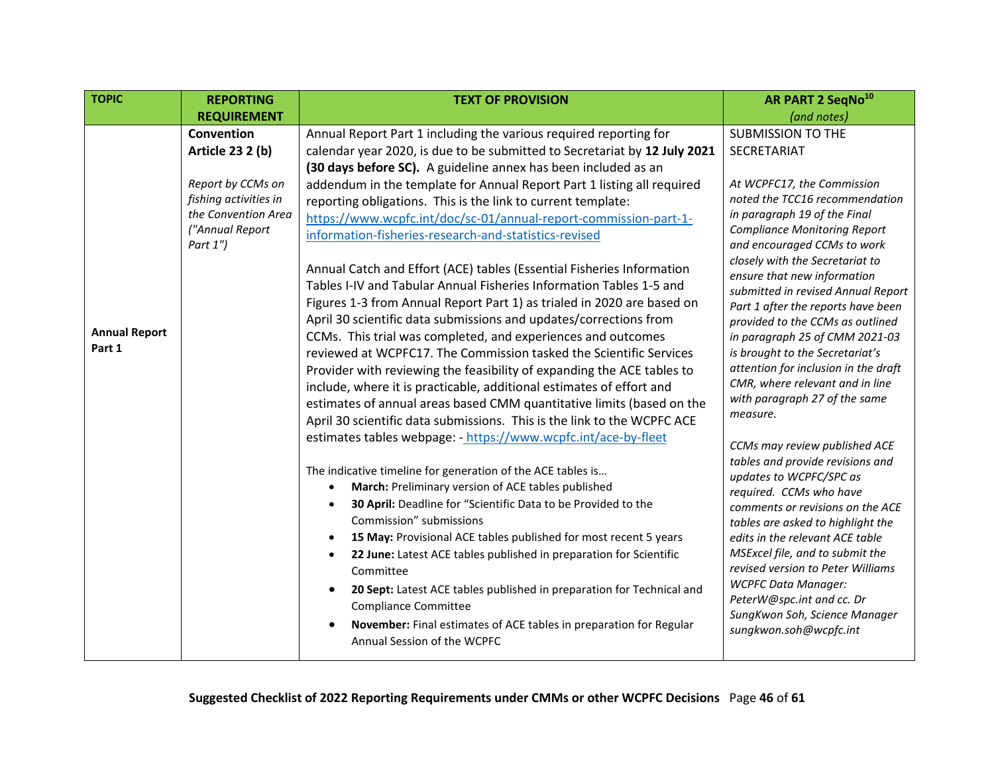<span id="page-45-0"></span>

| <b>TOPIC</b>         | <b>REPORTING</b>                           | <b>TEXT OF PROVISION</b>                                                                                                                            | AR PART 2 SeqNo <sup>10</sup>                                          |
|----------------------|--------------------------------------------|-----------------------------------------------------------------------------------------------------------------------------------------------------|------------------------------------------------------------------------|
|                      | <b>REQUIREMENT</b>                         |                                                                                                                                                     | (and notes)                                                            |
|                      | Convention                                 | Annual Report Part 1 including the various required reporting for                                                                                   | <b>SUBMISSION TO THE</b>                                               |
|                      | <b>Article 23 2 (b)</b>                    | calendar year 2020, is due to be submitted to Secretariat by 12 July 2021                                                                           | SECRETARIAT                                                            |
|                      |                                            | (30 days before SC). A guideline annex has been included as an                                                                                      |                                                                        |
|                      | Report by CCMs on<br>fishing activities in | addendum in the template for Annual Report Part 1 listing all required                                                                              | At WCPFC17, the Commission<br>noted the TCC16 recommendation           |
|                      | the Convention Area                        | reporting obligations. This is the link to current template:                                                                                        | in paragraph 19 of the Final                                           |
|                      | ("Annual Report                            | https://www.wcpfc.int/doc/sc-01/annual-report-commission-part-1-                                                                                    | <b>Compliance Monitoring Report</b>                                    |
|                      | Part $1"$ )                                | information-fisheries-research-and-statistics-revised                                                                                               | and encouraged CCMs to work                                            |
|                      |                                            | Annual Catch and Effort (ACE) tables (Essential Fisheries Information                                                                               | closely with the Secretariat to                                        |
|                      |                                            | Tables I-IV and Tabular Annual Fisheries Information Tables 1-5 and                                                                                 | ensure that new information                                            |
|                      |                                            | Figures 1-3 from Annual Report Part 1) as trialed in 2020 are based on                                                                              | submitted in revised Annual Report                                     |
|                      |                                            | April 30 scientific data submissions and updates/corrections from                                                                                   | Part 1 after the reports have been<br>provided to the CCMs as outlined |
| <b>Annual Report</b> |                                            | CCMs. This trial was completed, and experiences and outcomes                                                                                        | in paragraph 25 of CMM 2021-03                                         |
| Part 1               |                                            | reviewed at WCPFC17. The Commission tasked the Scientific Services                                                                                  | is brought to the Secretariat's                                        |
|                      |                                            | Provider with reviewing the feasibility of expanding the ACE tables to                                                                              | attention for inclusion in the draft                                   |
|                      |                                            | include, where it is practicable, additional estimates of effort and                                                                                | CMR, where relevant and in line                                        |
|                      |                                            | estimates of annual areas based CMM quantitative limits (based on the                                                                               | with paragraph 27 of the same                                          |
|                      |                                            | April 30 scientific data submissions. This is the link to the WCPFC ACE                                                                             | measure.                                                               |
|                      |                                            | estimates tables webpage: - https://www.wcpfc.int/ace-by-fleet                                                                                      | CCMs may review published ACE                                          |
|                      |                                            |                                                                                                                                                     | tables and provide revisions and                                       |
|                      |                                            | The indicative timeline for generation of the ACE tables is                                                                                         | updates to WCPFC/SPC as                                                |
|                      |                                            | March: Preliminary version of ACE tables published                                                                                                  | required. CCMs who have                                                |
|                      |                                            | 30 April: Deadline for "Scientific Data to be Provided to the<br>Commission" submissions                                                            | comments or revisions on the ACE                                       |
|                      |                                            |                                                                                                                                                     | tables are asked to highlight the                                      |
|                      |                                            | 15 May: Provisional ACE tables published for most recent 5 years<br>$\bullet$<br>22 June: Latest ACE tables published in preparation for Scientific | edits in the relevant ACE table<br>MSExcel file, and to submit the     |
|                      |                                            | Committee                                                                                                                                           | revised version to Peter Williams                                      |
|                      |                                            | 20 Sept: Latest ACE tables published in preparation for Technical and                                                                               | <b>WCPFC Data Manager:</b>                                             |
|                      |                                            | <b>Compliance Committee</b>                                                                                                                         | PeterW@spc.int and cc. Dr                                              |
|                      |                                            | November: Final estimates of ACE tables in preparation for Regular                                                                                  | SungKwon Soh, Science Manager                                          |
|                      |                                            | Annual Session of the WCPFC                                                                                                                         | sungkwon.soh@wcpfc.int                                                 |
|                      |                                            |                                                                                                                                                     |                                                                        |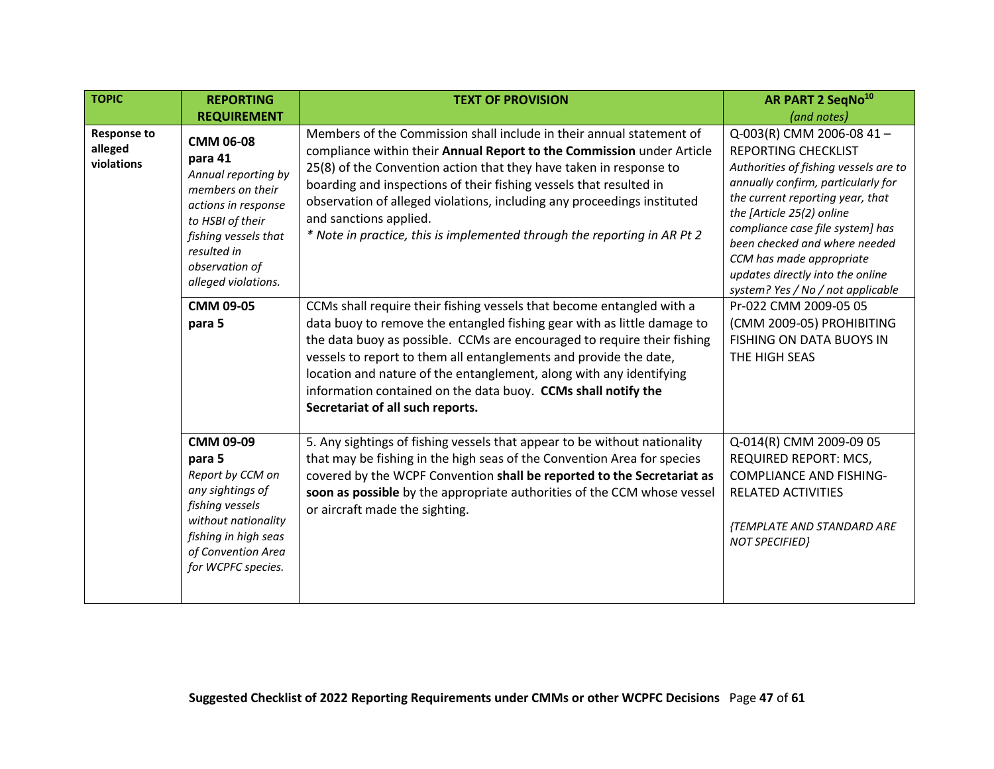<span id="page-46-0"></span>

| <b>TOPIC</b>                                | <b>REPORTING</b>                                                                                                                                                                                  | <b>TEXT OF PROVISION</b>                                                                                                                                                                                                                                                                                                                                                                                                                                                     | AR PART 2 SeqNo <sup>10</sup>                                                                                                                                                                                                                                                                                                                                                    |
|---------------------------------------------|---------------------------------------------------------------------------------------------------------------------------------------------------------------------------------------------------|------------------------------------------------------------------------------------------------------------------------------------------------------------------------------------------------------------------------------------------------------------------------------------------------------------------------------------------------------------------------------------------------------------------------------------------------------------------------------|----------------------------------------------------------------------------------------------------------------------------------------------------------------------------------------------------------------------------------------------------------------------------------------------------------------------------------------------------------------------------------|
|                                             | <b>REQUIREMENT</b>                                                                                                                                                                                |                                                                                                                                                                                                                                                                                                                                                                                                                                                                              | (and notes)                                                                                                                                                                                                                                                                                                                                                                      |
| <b>Response to</b><br>alleged<br>violations | <b>CMM 06-08</b><br>para 41<br>Annual reporting by<br>members on their<br>actions in response<br>to HSBI of their<br>fishing vessels that<br>resulted in<br>observation of<br>alleged violations. | Members of the Commission shall include in their annual statement of<br>compliance within their Annual Report to the Commission under Article<br>25(8) of the Convention action that they have taken in response to<br>boarding and inspections of their fishing vessels that resulted in<br>observation of alleged violations, including any proceedings instituted<br>and sanctions applied.<br>* Note in practice, this is implemented through the reporting in AR Pt 2   | Q-003(R) CMM 2006-08 41-<br><b>REPORTING CHECKLIST</b><br>Authorities of fishing vessels are to<br>annually confirm, particularly for<br>the current reporting year, that<br>the [Article 25(2) online<br>compliance case file system] has<br>been checked and where needed<br>CCM has made appropriate<br>updates directly into the online<br>system? Yes / No / not applicable |
|                                             | <b>CMM 09-05</b><br>para 5                                                                                                                                                                        | CCMs shall require their fishing vessels that become entangled with a<br>data buoy to remove the entangled fishing gear with as little damage to<br>the data buoy as possible. CCMs are encouraged to require their fishing<br>vessels to report to them all entanglements and provide the date,<br>location and nature of the entanglement, along with any identifying<br>information contained on the data buoy. CCMs shall notify the<br>Secretariat of all such reports. | Pr-022 CMM 2009-05 05<br>(CMM 2009-05) PROHIBITING<br>FISHING ON DATA BUOYS IN<br>THE HIGH SEAS                                                                                                                                                                                                                                                                                  |
|                                             | CMM 09-09<br>para 5<br>Report by CCM on<br>any sightings of<br>fishing vessels<br>without nationality<br>fishing in high seas<br>of Convention Area<br>for WCPFC species.                         | 5. Any sightings of fishing vessels that appear to be without nationality<br>that may be fishing in the high seas of the Convention Area for species<br>covered by the WCPF Convention shall be reported to the Secretariat as<br>soon as possible by the appropriate authorities of the CCM whose vessel<br>or aircraft made the sighting.                                                                                                                                  | Q-014(R) CMM 2009-09 05<br>REQUIRED REPORT: MCS,<br><b>COMPLIANCE AND FISHING-</b><br><b>RELATED ACTIVITIES</b><br>{TEMPLATE AND STANDARD ARE<br><b>NOT SPECIFIED}</b>                                                                                                                                                                                                           |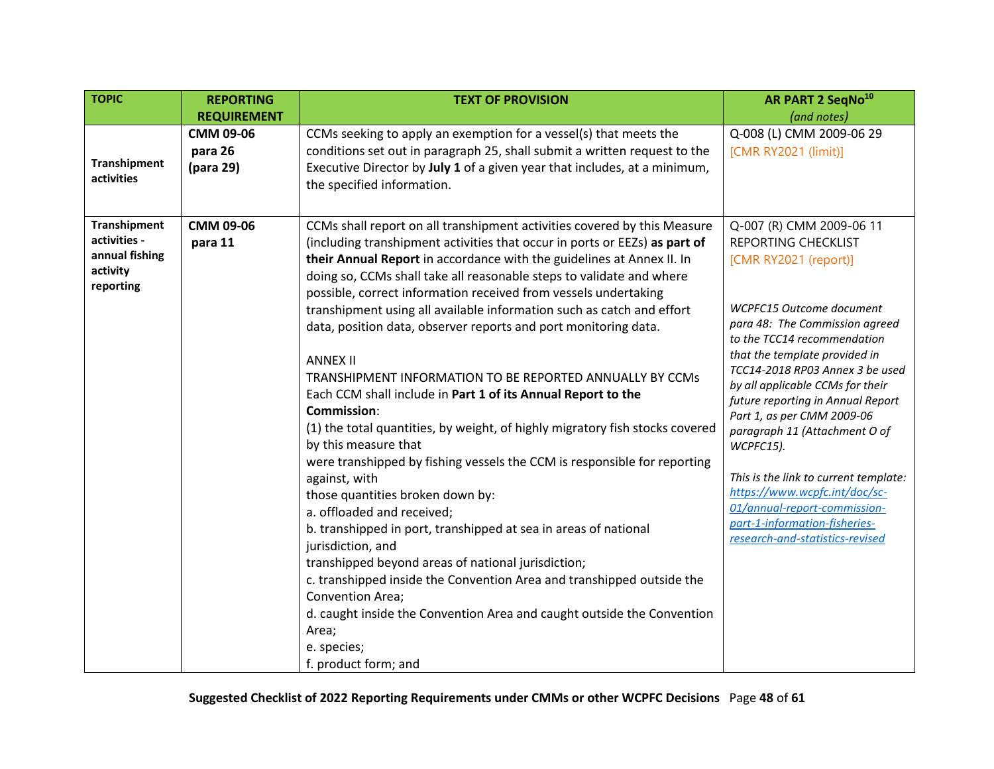<span id="page-47-1"></span><span id="page-47-0"></span>

| <b>TOPIC</b>                      | <b>REPORTING</b>   | <b>TEXT OF PROVISION</b>                                                                         | AR PART 2 SeqNo <sup>10</sup>                                 |
|-----------------------------------|--------------------|--------------------------------------------------------------------------------------------------|---------------------------------------------------------------|
|                                   | <b>REQUIREMENT</b> |                                                                                                  | (and notes)                                                   |
|                                   | CMM 09-06          | CCMs seeking to apply an exemption for a vessel(s) that meets the                                | Q-008 (L) CMM 2009-06 29                                      |
|                                   | para 26            | conditions set out in paragraph 25, shall submit a written request to the                        | [CMR RY2021 (limit)]                                          |
| <b>Transhipment</b><br>activities | (para 29)          | Executive Director by July 1 of a given year that includes, at a minimum,                        |                                                               |
|                                   |                    | the specified information.                                                                       |                                                               |
|                                   |                    |                                                                                                  |                                                               |
| <b>Transhipment</b>               | CMM 09-06          | CCMs shall report on all transhipment activities covered by this Measure                         | Q-007 (R) CMM 2009-06 11                                      |
| activities -                      | para 11            | (including transhipment activities that occur in ports or EEZs) as part of                       | <b>REPORTING CHECKLIST</b>                                    |
| annual fishing                    |                    | their Annual Report in accordance with the guidelines at Annex II. In                            | [CMR RY2021 (report)]                                         |
| activity                          |                    | doing so, CCMs shall take all reasonable steps to validate and where                             |                                                               |
| reporting                         |                    | possible, correct information received from vessels undertaking                                  |                                                               |
|                                   |                    | transhipment using all available information such as catch and effort                            | WCPFC15 Outcome document                                      |
|                                   |                    | data, position data, observer reports and port monitoring data.                                  | para 48: The Commission agreed<br>to the TCC14 recommendation |
|                                   |                    |                                                                                                  | that the template provided in                                 |
|                                   |                    | <b>ANNEX II</b>                                                                                  | TCC14-2018 RP03 Annex 3 be used                               |
|                                   |                    | TRANSHIPMENT INFORMATION TO BE REPORTED ANNUALLY BY CCMS                                         | by all applicable CCMs for their                              |
|                                   |                    | Each CCM shall include in Part 1 of its Annual Report to the                                     | future reporting in Annual Report                             |
|                                   |                    | <b>Commission:</b>                                                                               | Part 1, as per CMM 2009-06                                    |
|                                   |                    | (1) the total quantities, by weight, of highly migratory fish stocks covered                     | paragraph 11 (Attachment O of                                 |
|                                   |                    | by this measure that<br>were transhipped by fishing vessels the CCM is responsible for reporting | WCPFC15).                                                     |
|                                   |                    | against, with                                                                                    | This is the link to current template:                         |
|                                   |                    | those quantities broken down by:                                                                 | https://www.wcpfc.int/doc/sc-                                 |
|                                   |                    | a. offloaded and received;                                                                       | 01/annual-report-commission-                                  |
|                                   |                    | b. transhipped in port, transhipped at sea in areas of national                                  | part-1-information-fisheries-                                 |
|                                   |                    | jurisdiction, and                                                                                | research-and-statistics-revised                               |
|                                   |                    | transhipped beyond areas of national jurisdiction;                                               |                                                               |
|                                   |                    | c. transhipped inside the Convention Area and transhipped outside the                            |                                                               |
|                                   |                    | Convention Area;                                                                                 |                                                               |
|                                   |                    | d. caught inside the Convention Area and caught outside the Convention                           |                                                               |
|                                   |                    | Area;                                                                                            |                                                               |
|                                   |                    | e. species;                                                                                      |                                                               |
|                                   |                    | f. product form; and                                                                             |                                                               |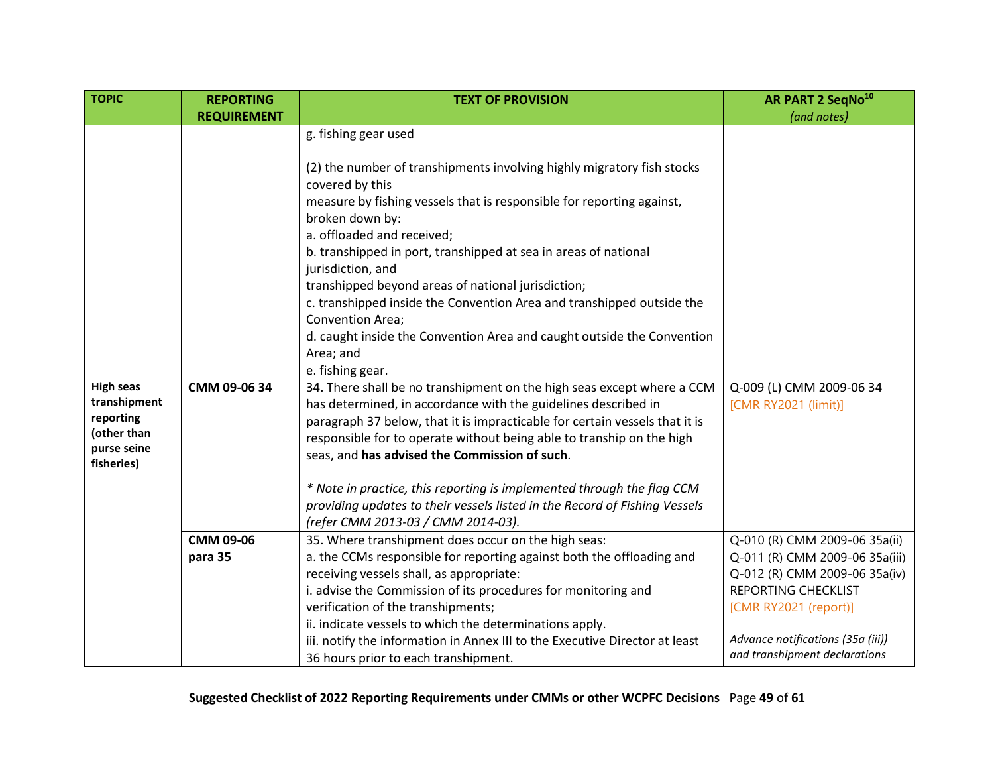<span id="page-48-0"></span>

| <b>TOPIC</b>                                                                              | <b>REPORTING</b>     | <b>TEXT OF PROVISION</b>                                                                                                                                                                                                                                                                                                                                                                                                                                                                                                                        | <b>AR PART 2 SeqNo<sup>10</sup></b>                                                                                                                                                                                           |
|-------------------------------------------------------------------------------------------|----------------------|-------------------------------------------------------------------------------------------------------------------------------------------------------------------------------------------------------------------------------------------------------------------------------------------------------------------------------------------------------------------------------------------------------------------------------------------------------------------------------------------------------------------------------------------------|-------------------------------------------------------------------------------------------------------------------------------------------------------------------------------------------------------------------------------|
|                                                                                           | <b>REQUIREMENT</b>   |                                                                                                                                                                                                                                                                                                                                                                                                                                                                                                                                                 | (and notes)                                                                                                                                                                                                                   |
|                                                                                           |                      | g. fishing gear used<br>(2) the number of transhipments involving highly migratory fish stocks<br>covered by this<br>measure by fishing vessels that is responsible for reporting against,<br>broken down by:<br>a. offloaded and received;<br>b. transhipped in port, transhipped at sea in areas of national<br>jurisdiction, and                                                                                                                                                                                                             |                                                                                                                                                                                                                               |
|                                                                                           |                      | transhipped beyond areas of national jurisdiction;<br>c. transhipped inside the Convention Area and transhipped outside the<br>Convention Area;<br>d. caught inside the Convention Area and caught outside the Convention<br>Area; and<br>e. fishing gear.                                                                                                                                                                                                                                                                                      |                                                                                                                                                                                                                               |
| <b>High seas</b><br>transhipment<br>reporting<br>(other than<br>purse seine<br>fisheries) | CMM 09-06 34         | 34. There shall be no transhipment on the high seas except where a CCM<br>has determined, in accordance with the guidelines described in<br>paragraph 37 below, that it is impracticable for certain vessels that it is<br>responsible for to operate without being able to tranship on the high<br>seas, and has advised the Commission of such.<br>* Note in practice, this reporting is implemented through the flag CCM<br>providing updates to their vessels listed in the Record of Fishing Vessels<br>(refer CMM 2013-03 / CMM 2014-03). | Q-009 (L) CMM 2009-06 34<br>[CMR RY2021 (limit)]                                                                                                                                                                              |
|                                                                                           | CMM 09-06<br>para 35 | 35. Where transhipment does occur on the high seas:<br>a. the CCMs responsible for reporting against both the offloading and<br>receiving vessels shall, as appropriate:<br>i. advise the Commission of its procedures for monitoring and<br>verification of the transhipments;<br>ii. indicate vessels to which the determinations apply.<br>iii. notify the information in Annex III to the Executive Director at least<br>36 hours prior to each transhipment.                                                                               | Q-010 (R) CMM 2009-06 35a(ii)<br>Q-011 (R) CMM 2009-06 35a(iii)<br>Q-012 (R) CMM 2009-06 35a(iv)<br><b>REPORTING CHECKLIST</b><br>[CMR RY2021 (report)]<br>Advance notifications (35a (iii))<br>and transhipment declarations |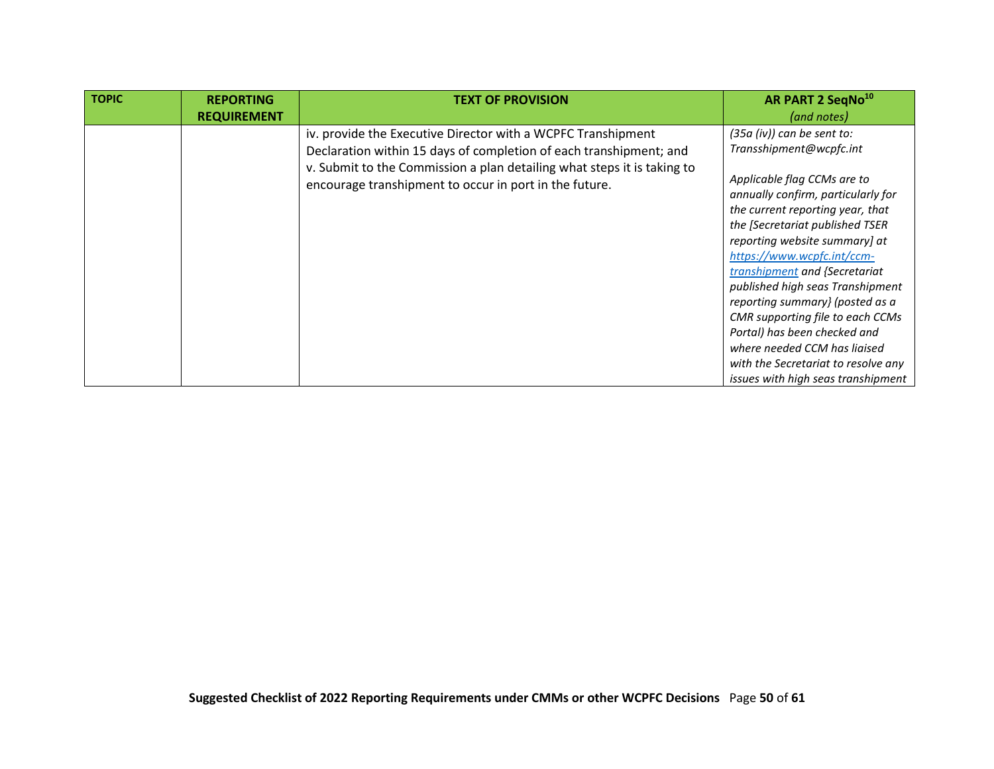| <b>TOPIC</b> | <b>REPORTING</b><br><b>REQUIREMENT</b> | <b>TEXT OF PROVISION</b>                                                                                                                                                                                                                                                | AR PART 2 SeqNo <sup>10</sup><br>(and notes)                                                                                                                                                                                                                                                                                                                                                                                                                                                                                                                |
|--------------|----------------------------------------|-------------------------------------------------------------------------------------------------------------------------------------------------------------------------------------------------------------------------------------------------------------------------|-------------------------------------------------------------------------------------------------------------------------------------------------------------------------------------------------------------------------------------------------------------------------------------------------------------------------------------------------------------------------------------------------------------------------------------------------------------------------------------------------------------------------------------------------------------|
|              |                                        | iv. provide the Executive Director with a WCPFC Transhipment<br>Declaration within 15 days of completion of each transhipment; and<br>v. Submit to the Commission a plan detailing what steps it is taking to<br>encourage transhipment to occur in port in the future. | $(35a (iv))$ can be sent to:<br>Transshipment@wcpfc.int<br>Applicable flag CCMs are to<br>annually confirm, particularly for<br>the current reporting year, that<br>the [Secretariat published TSER<br>reporting website summary] at<br>https://www.wcpfc.int/ccm-<br>transhipment and {Secretariat<br>published high seas Transhipment<br>reporting summary} (posted as a<br>CMR supporting file to each CCMs<br>Portal) has been checked and<br>where needed CCM has ligised<br>with the Secretariat to resolve any<br>issues with high seas transhipment |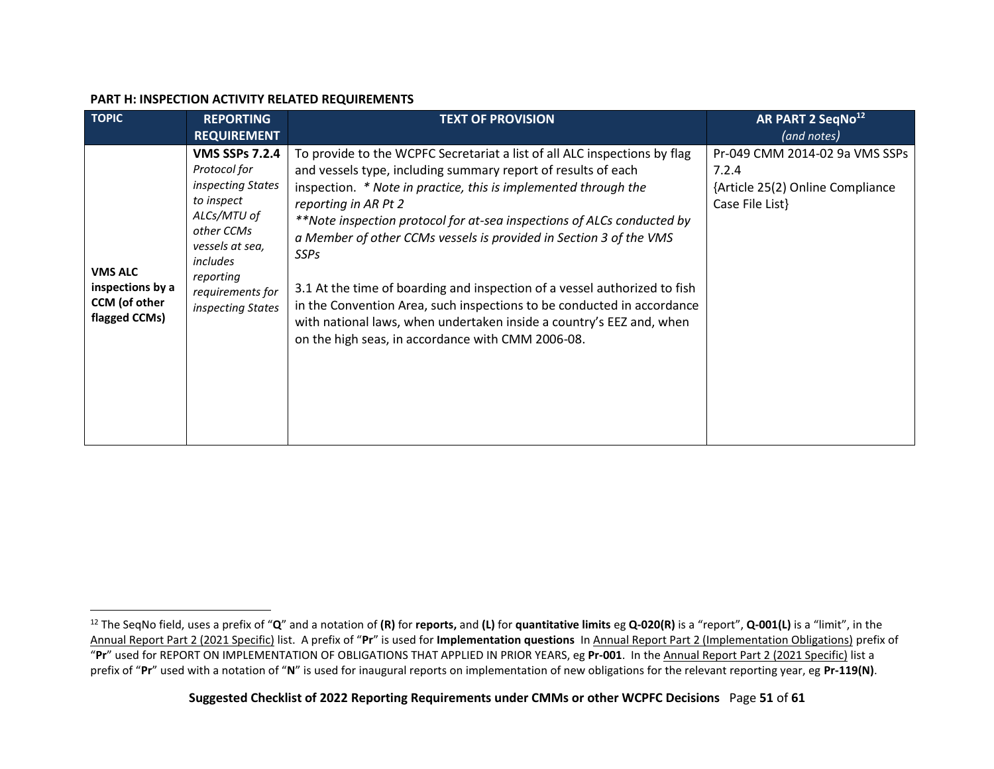#### **PART H: INSPECTION ACTIVITY RELATED REQUIREMENTS**

<span id="page-50-0"></span>

| <b>TOPIC</b>                                                         | <b>REPORTING</b>                                                                                                                                                                           | <b>TEXT OF PROVISION</b>                                                                                                                                                                                                                                                                                                                                                                                                                                                                                                                                                                                                                                                                 | AR PART 2 SeqNo <sup>12</sup>                                                                  |
|----------------------------------------------------------------------|--------------------------------------------------------------------------------------------------------------------------------------------------------------------------------------------|------------------------------------------------------------------------------------------------------------------------------------------------------------------------------------------------------------------------------------------------------------------------------------------------------------------------------------------------------------------------------------------------------------------------------------------------------------------------------------------------------------------------------------------------------------------------------------------------------------------------------------------------------------------------------------------|------------------------------------------------------------------------------------------------|
|                                                                      | <b>REQUIREMENT</b>                                                                                                                                                                         |                                                                                                                                                                                                                                                                                                                                                                                                                                                                                                                                                                                                                                                                                          | (and notes)                                                                                    |
| <b>VMS ALC</b><br>inspections by a<br>CCM (of other<br>flagged CCMs) | <b>VMS SSPs 7.2.4</b><br>Protocol for<br>inspecting States<br>to inspect<br>ALCs/MTU of<br>other CCMs<br>vessels at sea,<br>includes<br>reporting<br>requirements for<br>inspecting States | To provide to the WCPFC Secretariat a list of all ALC inspections by flag<br>and vessels type, including summary report of results of each<br>inspection. * Note in practice, this is implemented through the<br>reporting in AR Pt 2<br>**Note inspection protocol for at-sea inspections of ALCs conducted by<br>a Member of other CCMs vessels is provided in Section 3 of the VMS<br><b>SSPs</b><br>3.1 At the time of boarding and inspection of a vessel authorized to fish<br>in the Convention Area, such inspections to be conducted in accordance<br>with national laws, when undertaken inside a country's EEZ and, when<br>on the high seas, in accordance with CMM 2006-08. | Pr-049 CMM 2014-02 9a VMS SSPs<br>7.2.4<br>{Article 25(2) Online Compliance<br>Case File List} |

<span id="page-50-1"></span><sup>12</sup> The SeqNo field, uses a prefix of "**Q**" and a notation of **(R)** for **reports,** and **(L)** for **quantitative limits** eg **Q-020(R)** is a "report", **Q-001(L)** is a "limit", in the Annual Report Part 2 (2021 Specific) list. A prefix of "**Pr**" is used for **Implementation questions** In Annual Report Part 2 (Implementation Obligations) prefix of "**Pr**" used for REPORT ON IMPLEMENTATION OF OBLIGATIONS THAT APPLIED IN PRIOR YEARS, eg **Pr-001**. In the Annual Report Part 2 (2021 Specific) list a prefix of "**Pr**" used with a notation of "**N**" is used for inaugural reports on implementation of new obligations for the relevant reporting year, eg **Pr-119(N)**.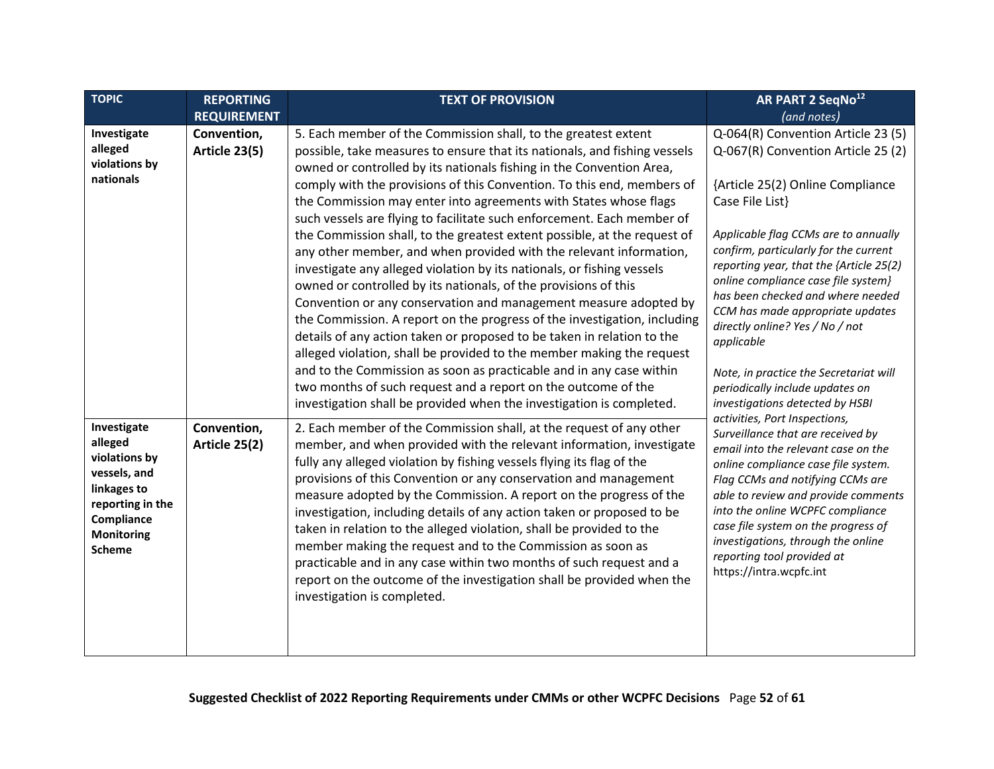<span id="page-51-0"></span>

| <b>TOPIC</b>                                                                                                                                   | <b>REPORTING</b>             | <b>TEXT OF PROVISION</b>                                                                                                                                                                                                                                                                                                                                                                                                                                                                                                                                                                                                                                                                                                                                                                                                                                                                                                                                                                                                                                                                                                                                                              | AR PART 2 SeqNo <sup>12</sup>                                                                                                                                                                                                                                                                                                                                                                                                                                               |
|------------------------------------------------------------------------------------------------------------------------------------------------|------------------------------|---------------------------------------------------------------------------------------------------------------------------------------------------------------------------------------------------------------------------------------------------------------------------------------------------------------------------------------------------------------------------------------------------------------------------------------------------------------------------------------------------------------------------------------------------------------------------------------------------------------------------------------------------------------------------------------------------------------------------------------------------------------------------------------------------------------------------------------------------------------------------------------------------------------------------------------------------------------------------------------------------------------------------------------------------------------------------------------------------------------------------------------------------------------------------------------|-----------------------------------------------------------------------------------------------------------------------------------------------------------------------------------------------------------------------------------------------------------------------------------------------------------------------------------------------------------------------------------------------------------------------------------------------------------------------------|
|                                                                                                                                                | <b>REQUIREMENT</b>           |                                                                                                                                                                                                                                                                                                                                                                                                                                                                                                                                                                                                                                                                                                                                                                                                                                                                                                                                                                                                                                                                                                                                                                                       | (and notes)                                                                                                                                                                                                                                                                                                                                                                                                                                                                 |
| Investigate<br>alleged<br>violations by<br>nationals                                                                                           | Convention,<br>Article 23(5) | 5. Each member of the Commission shall, to the greatest extent<br>possible, take measures to ensure that its nationals, and fishing vessels<br>owned or controlled by its nationals fishing in the Convention Area,<br>comply with the provisions of this Convention. To this end, members of<br>the Commission may enter into agreements with States whose flags<br>such vessels are flying to facilitate such enforcement. Each member of<br>the Commission shall, to the greatest extent possible, at the request of<br>any other member, and when provided with the relevant information,<br>investigate any alleged violation by its nationals, or fishing vessels<br>owned or controlled by its nationals, of the provisions of this<br>Convention or any conservation and management measure adopted by<br>the Commission. A report on the progress of the investigation, including<br>details of any action taken or proposed to be taken in relation to the<br>alleged violation, shall be provided to the member making the request<br>and to the Commission as soon as practicable and in any case within<br>two months of such request and a report on the outcome of the | Q-064(R) Convention Article 23 (5)<br>Q-067(R) Convention Article 25 (2)<br>{Article 25(2) Online Compliance<br>Case File List}<br>Applicable flag CCMs are to annually<br>confirm, particularly for the current<br>reporting year, that the {Article 25(2)<br>online compliance case file system}<br>has been checked and where needed<br>CCM has made appropriate updates<br>directly online? Yes / No / not<br>applicable<br>Note, in practice the Secretariat will      |
| Investigate<br>alleged<br>violations by<br>vessels, and<br>linkages to<br>reporting in the<br>Compliance<br><b>Monitoring</b><br><b>Scheme</b> | Convention,<br>Article 25(2) | investigation shall be provided when the investigation is completed.<br>2. Each member of the Commission shall, at the request of any other<br>member, and when provided with the relevant information, investigate<br>fully any alleged violation by fishing vessels flying its flag of the<br>provisions of this Convention or any conservation and management<br>measure adopted by the Commission. A report on the progress of the<br>investigation, including details of any action taken or proposed to be<br>taken in relation to the alleged violation, shall be provided to the<br>member making the request and to the Commission as soon as<br>practicable and in any case within two months of such request and a<br>report on the outcome of the investigation shall be provided when the<br>investigation is completed.                                                                                                                                                                                                                                                                                                                                                 | periodically include updates on<br>investigations detected by HSBI<br>activities, Port Inspections,<br>Surveillance that are received by<br>email into the relevant case on the<br>online compliance case file system.<br>Flag CCMs and notifying CCMs are<br>able to review and provide comments<br>into the online WCPFC compliance<br>case file system on the progress of<br>investigations, through the online<br>reporting tool provided at<br>https://intra.wcpfc.int |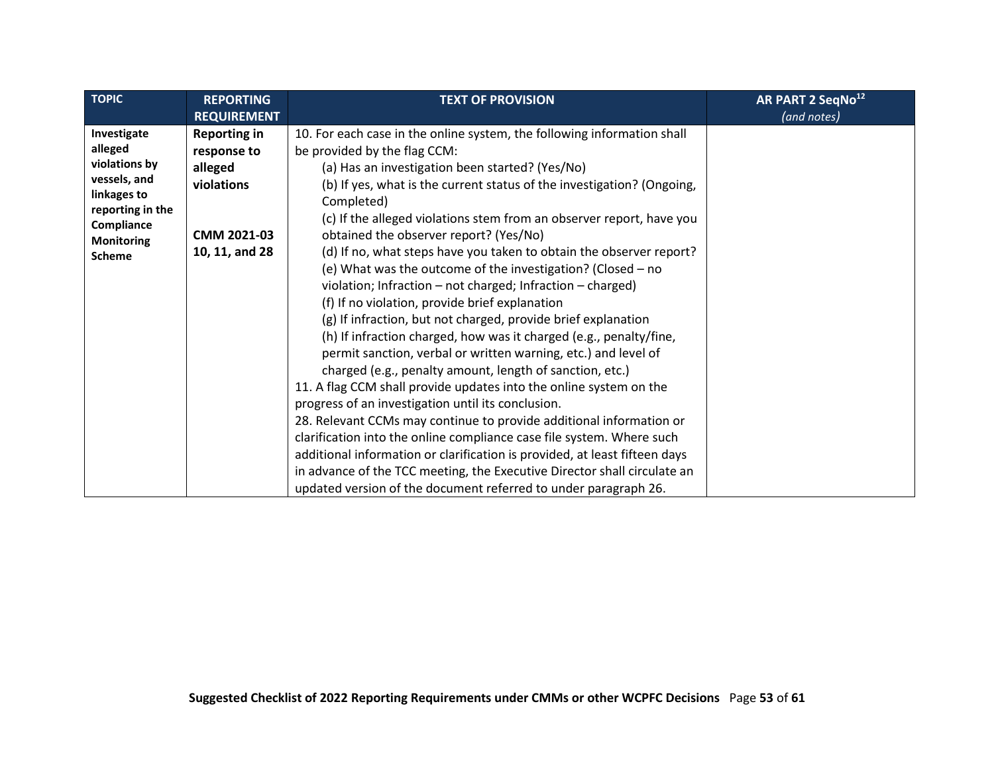| TOPIC                          | <b>REPORTING</b>    | <b>TEXT OF PROVISION</b>                                                   | AR PART 2 SeqNo <sup>12</sup> |
|--------------------------------|---------------------|----------------------------------------------------------------------------|-------------------------------|
|                                | <b>REQUIREMENT</b>  |                                                                            | (and notes)                   |
| Investigate                    | <b>Reporting in</b> | 10. For each case in the online system, the following information shall    |                               |
| alleged                        | response to         | be provided by the flag CCM:                                               |                               |
| violations by                  | alleged             | (a) Has an investigation been started? (Yes/No)                            |                               |
| vessels, and                   | violations          | (b) If yes, what is the current status of the investigation? (Ongoing,     |                               |
| linkages to                    |                     | Completed)                                                                 |                               |
| reporting in the<br>Compliance |                     | (c) If the alleged violations stem from an observer report, have you       |                               |
| <b>Monitoring</b>              | CMM 2021-03         | obtained the observer report? (Yes/No)                                     |                               |
| <b>Scheme</b>                  | 10, 11, and 28      | (d) If no, what steps have you taken to obtain the observer report?        |                               |
|                                |                     | (e) What was the outcome of the investigation? (Closed – no                |                               |
|                                |                     | violation; Infraction – not charged; Infraction – charged)                 |                               |
|                                |                     | (f) If no violation, provide brief explanation                             |                               |
|                                |                     | (g) If infraction, but not charged, provide brief explanation              |                               |
|                                |                     | (h) If infraction charged, how was it charged (e.g., penalty/fine,         |                               |
|                                |                     | permit sanction, verbal or written warning, etc.) and level of             |                               |
|                                |                     | charged (e.g., penalty amount, length of sanction, etc.)                   |                               |
|                                |                     | 11. A flag CCM shall provide updates into the online system on the         |                               |
|                                |                     | progress of an investigation until its conclusion.                         |                               |
|                                |                     | 28. Relevant CCMs may continue to provide additional information or        |                               |
|                                |                     | clarification into the online compliance case file system. Where such      |                               |
|                                |                     | additional information or clarification is provided, at least fifteen days |                               |
|                                |                     | in advance of the TCC meeting, the Executive Director shall circulate an   |                               |
|                                |                     | updated version of the document referred to under paragraph 26.            |                               |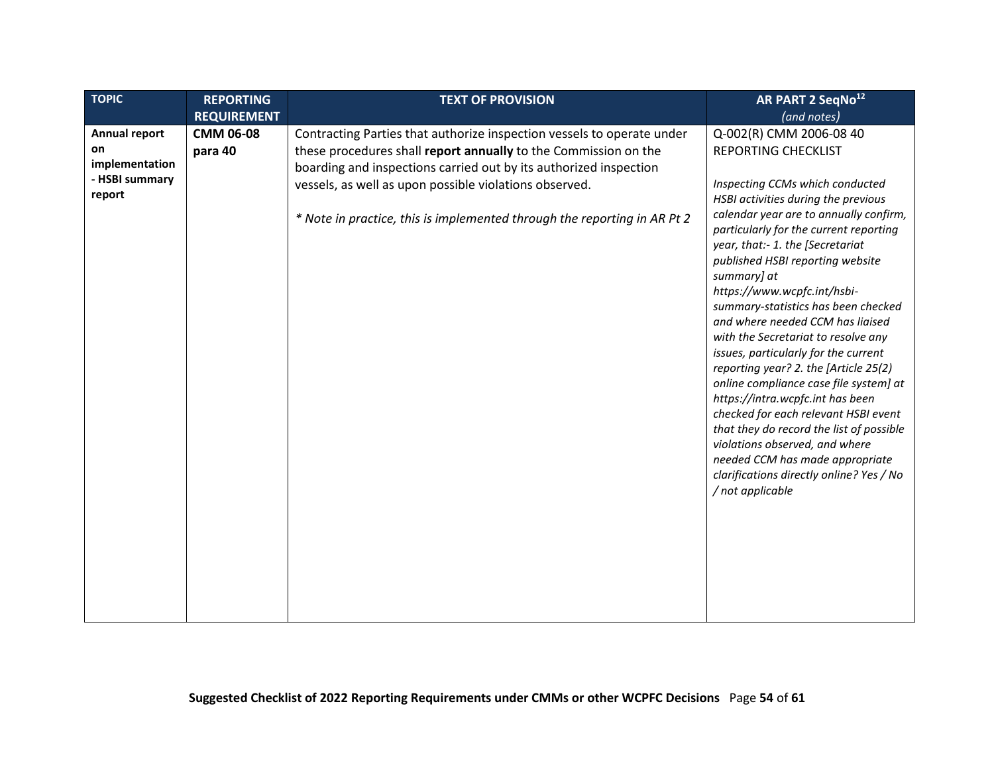<span id="page-53-0"></span>

| <b>TOPIC</b><br><b>REPORTING</b><br>AR PART 2 SeqNo <sup>12</sup><br><b>TEXT OF PROVISION</b>                                                                                                                                                                                                                                                                                                                                                                                                                                                                                                                                                                                                                                                                                                                                                                                                                                                                                                                                                                                                                                                                                                                                                                                                            |  |
|----------------------------------------------------------------------------------------------------------------------------------------------------------------------------------------------------------------------------------------------------------------------------------------------------------------------------------------------------------------------------------------------------------------------------------------------------------------------------------------------------------------------------------------------------------------------------------------------------------------------------------------------------------------------------------------------------------------------------------------------------------------------------------------------------------------------------------------------------------------------------------------------------------------------------------------------------------------------------------------------------------------------------------------------------------------------------------------------------------------------------------------------------------------------------------------------------------------------------------------------------------------------------------------------------------|--|
| <b>REQUIREMENT</b><br>(and notes)                                                                                                                                                                                                                                                                                                                                                                                                                                                                                                                                                                                                                                                                                                                                                                                                                                                                                                                                                                                                                                                                                                                                                                                                                                                                        |  |
| CMM 06-08<br>Contracting Parties that authorize inspection vessels to operate under<br>Q-002(R) CMM 2006-08 40<br>Annual report<br>these procedures shall report annually to the Commission on the<br>on<br><b>REPORTING CHECKLIST</b><br>para 40<br>implementation<br>boarding and inspections carried out by its authorized inspection<br>- HSBI summary<br>vessels, as well as upon possible violations observed.<br>Inspecting CCMs which conducted<br>report<br>HSBI activities during the previous<br>calendar year are to annually confirm,<br>* Note in practice, this is implemented through the reporting in AR Pt 2<br>particularly for the current reporting<br>year, that:- 1. the [Secretariat<br>published HSBI reporting website<br>summary] at<br>https://www.wcpfc.int/hsbi-<br>summary-statistics has been checked<br>and where needed CCM has liaised<br>with the Secretariat to resolve any<br>issues, particularly for the current<br>reporting year? 2. the [Article 25(2)<br>online compliance case file system] at<br>https://intra.wcpfc.int has been<br>checked for each relevant HSBI event<br>that they do record the list of possible<br>violations observed, and where<br>needed CCM has made appropriate<br>clarifications directly online? Yes / No<br>/ not applicable |  |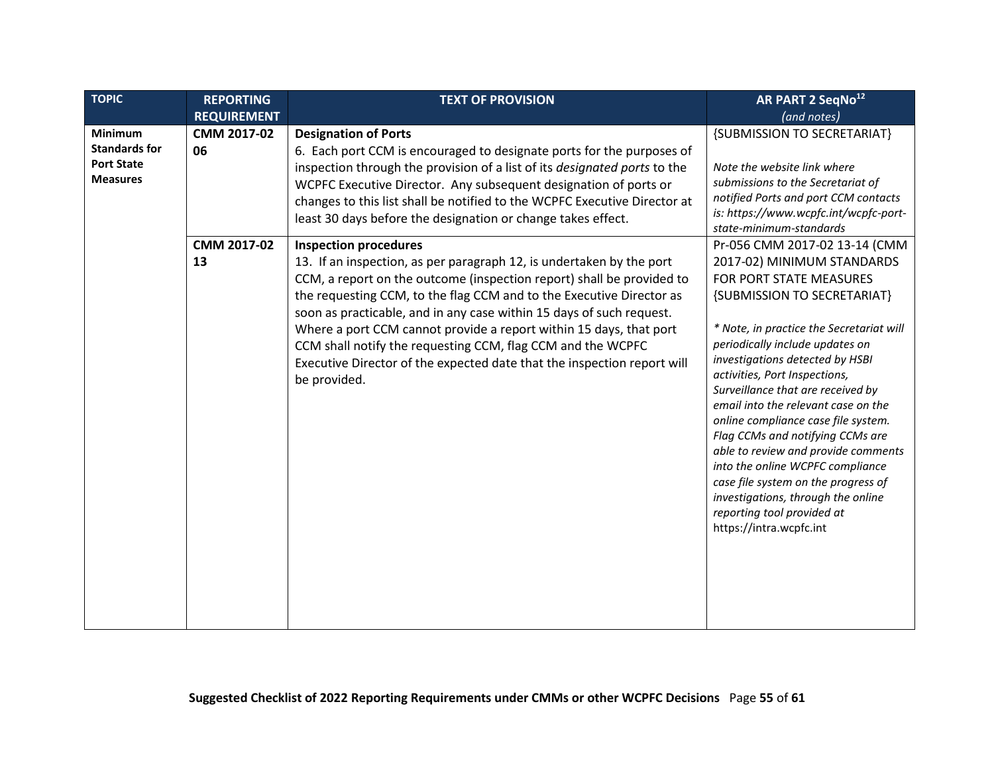<span id="page-54-0"></span>

| <b>TOPIC</b>                                                                   | <b>REPORTING</b>   | <b>TEXT OF PROVISION</b>                                                                                                                                                                                                                                                                                                                                                                                                                                                                                                      | AR PART 2 SeqNo <sup>12</sup>                                                                                                                                                                                                                                                                                                                                                                                                                                                                                                                                                                                   |
|--------------------------------------------------------------------------------|--------------------|-------------------------------------------------------------------------------------------------------------------------------------------------------------------------------------------------------------------------------------------------------------------------------------------------------------------------------------------------------------------------------------------------------------------------------------------------------------------------------------------------------------------------------|-----------------------------------------------------------------------------------------------------------------------------------------------------------------------------------------------------------------------------------------------------------------------------------------------------------------------------------------------------------------------------------------------------------------------------------------------------------------------------------------------------------------------------------------------------------------------------------------------------------------|
|                                                                                | <b>REQUIREMENT</b> |                                                                                                                                                                                                                                                                                                                                                                                                                                                                                                                               | (and notes)                                                                                                                                                                                                                                                                                                                                                                                                                                                                                                                                                                                                     |
| <b>Minimum</b><br><b>Standards for</b><br><b>Port State</b><br><b>Measures</b> | CMM 2017-02<br>06  | <b>Designation of Ports</b><br>6. Each port CCM is encouraged to designate ports for the purposes of<br>inspection through the provision of a list of its designated ports to the<br>WCPFC Executive Director. Any subsequent designation of ports or<br>changes to this list shall be notified to the WCPFC Executive Director at<br>least 30 days before the designation or change takes effect.                                                                                                                            | {SUBMISSION TO SECRETARIAT}<br>Note the website link where<br>submissions to the Secretariat of<br>notified Ports and port CCM contacts<br>is: https://www.wcpfc.int/wcpfc-port-<br>state-minimum-standards                                                                                                                                                                                                                                                                                                                                                                                                     |
|                                                                                | CMM 2017-02        | <b>Inspection procedures</b>                                                                                                                                                                                                                                                                                                                                                                                                                                                                                                  | Pr-056 CMM 2017-02 13-14 (CMM                                                                                                                                                                                                                                                                                                                                                                                                                                                                                                                                                                                   |
|                                                                                | 13                 | 13. If an inspection, as per paragraph 12, is undertaken by the port<br>CCM, a report on the outcome (inspection report) shall be provided to<br>the requesting CCM, to the flag CCM and to the Executive Director as<br>soon as practicable, and in any case within 15 days of such request.<br>Where a port CCM cannot provide a report within 15 days, that port<br>CCM shall notify the requesting CCM, flag CCM and the WCPFC<br>Executive Director of the expected date that the inspection report will<br>be provided. | 2017-02) MINIMUM STANDARDS<br>FOR PORT STATE MEASURES<br>{SUBMISSION TO SECRETARIAT}<br>* Note, in practice the Secretariat will<br>periodically include updates on<br>investigations detected by HSBI<br>activities, Port Inspections,<br>Surveillance that are received by<br>email into the relevant case on the<br>online compliance case file system.<br>Flag CCMs and notifying CCMs are<br>able to review and provide comments<br>into the online WCPFC compliance<br>case file system on the progress of<br>investigations, through the online<br>reporting tool provided at<br>https://intra.wcpfc.int |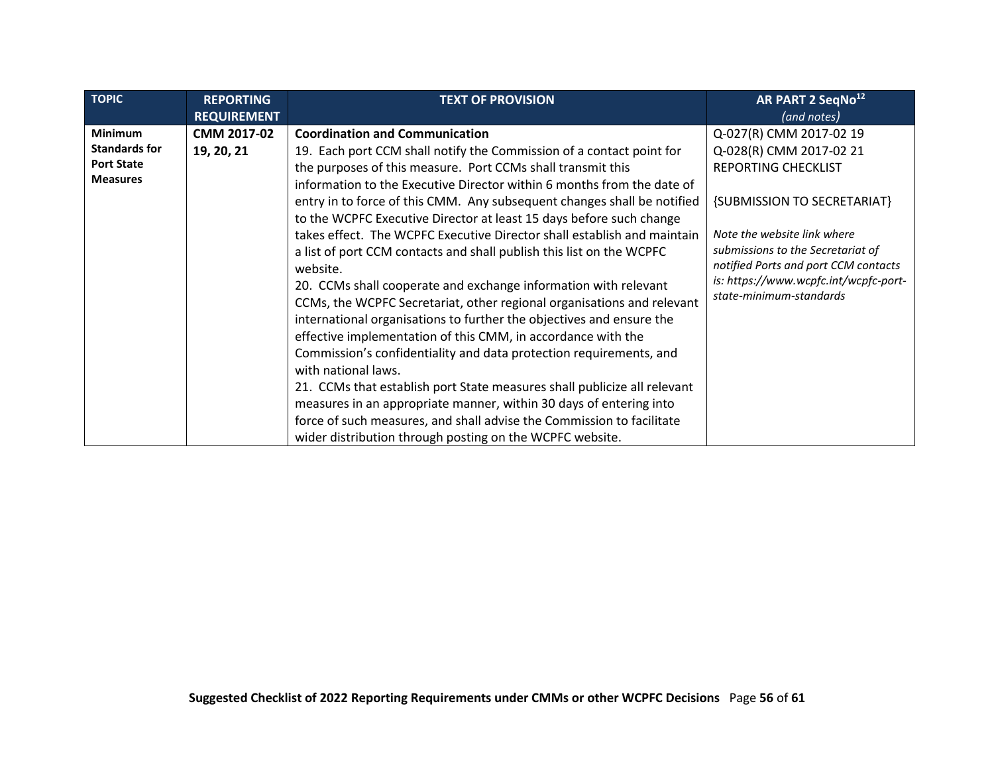| <b>REQUIREMENT</b><br>(and notes)                                                                                                                                                                                                                                                                                                                                                                                                                                                                                                                                                                                                                                                                                                                                                                                                                                                                                                                                                                                                                                                                                                                                                                                                                                                                                                                                                                                                                                                                                                                                                                                                                                  | <b>TOPIC</b> |
|--------------------------------------------------------------------------------------------------------------------------------------------------------------------------------------------------------------------------------------------------------------------------------------------------------------------------------------------------------------------------------------------------------------------------------------------------------------------------------------------------------------------------------------------------------------------------------------------------------------------------------------------------------------------------------------------------------------------------------------------------------------------------------------------------------------------------------------------------------------------------------------------------------------------------------------------------------------------------------------------------------------------------------------------------------------------------------------------------------------------------------------------------------------------------------------------------------------------------------------------------------------------------------------------------------------------------------------------------------------------------------------------------------------------------------------------------------------------------------------------------------------------------------------------------------------------------------------------------------------------------------------------------------------------|--------------|
| <b>Minimum</b><br>CMM 2017-02<br><b>Coordination and Communication</b><br>Q-027(R) CMM 2017-02 19<br><b>Standards for</b><br>19, 20, 21<br>19. Each port CCM shall notify the Commission of a contact point for<br>Q-028(R) CMM 2017-02 21<br><b>Port State</b><br>the purposes of this measure. Port CCMs shall transmit this<br><b>REPORTING CHECKLIST</b><br><b>Measures</b><br>information to the Executive Director within 6 months from the date of<br>entry in to force of this CMM. Any subsequent changes shall be notified<br>{SUBMISSION TO SECRETARIAT}<br>to the WCPFC Executive Director at least 15 days before such change<br>takes effect. The WCPFC Executive Director shall establish and maintain<br>Note the website link where<br>submissions to the Secretariat of<br>a list of port CCM contacts and shall publish this list on the WCPFC<br>notified Ports and port CCM contacts<br>website.<br>is: https://www.wcpfc.int/wcpfc-port-<br>20. CCMs shall cooperate and exchange information with relevant<br>state-minimum-standards<br>CCMs, the WCPFC Secretariat, other regional organisations and relevant<br>international organisations to further the objectives and ensure the<br>effective implementation of this CMM, in accordance with the<br>Commission's confidentiality and data protection requirements, and<br>with national laws.<br>21. CCMs that establish port State measures shall publicize all relevant<br>measures in an appropriate manner, within 30 days of entering into<br>force of such measures, and shall advise the Commission to facilitate<br>wider distribution through posting on the WCPFC website. |              |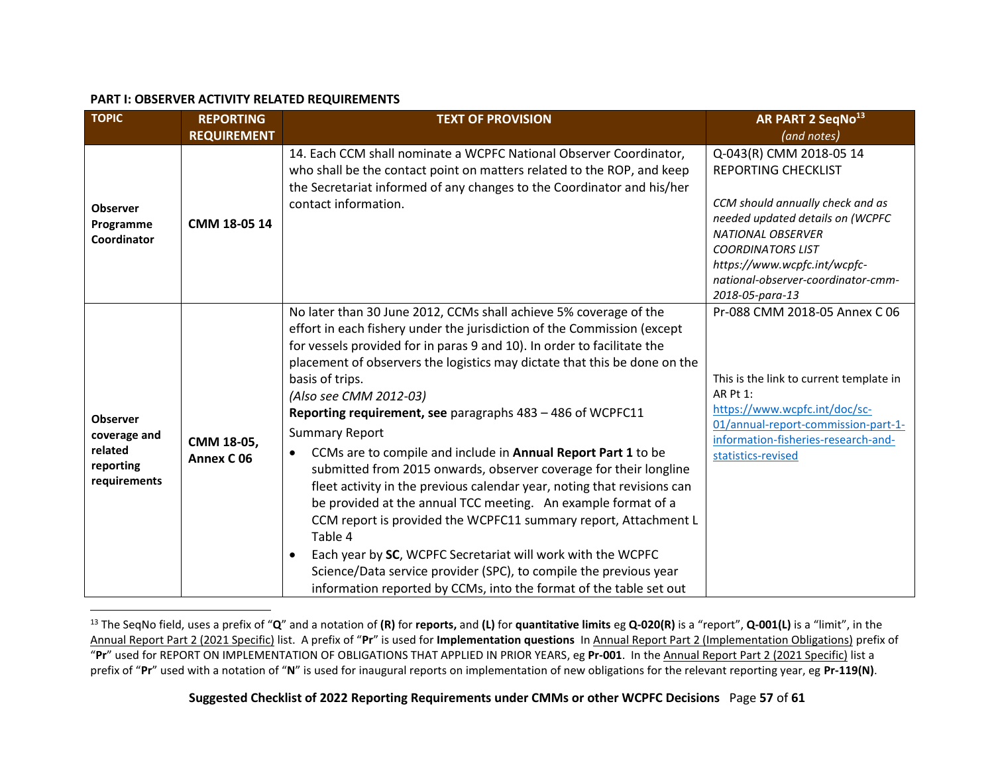#### **PART I: OBSERVER ACTIVITY RELATED REQUIREMENTS**

<span id="page-56-0"></span>

| <b>TOPIC</b>                                                            | <b>REPORTING</b>                    | <b>TEXT OF PROVISION</b>                                                                                                                                                                                                                                                                                                                                                                                                                                                                                                                                                                                                                                                                                                                                                                                                                                                                                                                                                                                                        | AR PART 2 SeqNo <sup>13</sup>                                                                                                                                                                                                                                                  |
|-------------------------------------------------------------------------|-------------------------------------|---------------------------------------------------------------------------------------------------------------------------------------------------------------------------------------------------------------------------------------------------------------------------------------------------------------------------------------------------------------------------------------------------------------------------------------------------------------------------------------------------------------------------------------------------------------------------------------------------------------------------------------------------------------------------------------------------------------------------------------------------------------------------------------------------------------------------------------------------------------------------------------------------------------------------------------------------------------------------------------------------------------------------------|--------------------------------------------------------------------------------------------------------------------------------------------------------------------------------------------------------------------------------------------------------------------------------|
|                                                                         | <b>REQUIREMENT</b>                  |                                                                                                                                                                                                                                                                                                                                                                                                                                                                                                                                                                                                                                                                                                                                                                                                                                                                                                                                                                                                                                 | (and notes)                                                                                                                                                                                                                                                                    |
| <b>Observer</b><br>Programme<br>Coordinator                             | CMM 18-05 14                        | 14. Each CCM shall nominate a WCPFC National Observer Coordinator,<br>who shall be the contact point on matters related to the ROP, and keep<br>the Secretariat informed of any changes to the Coordinator and his/her<br>contact information.                                                                                                                                                                                                                                                                                                                                                                                                                                                                                                                                                                                                                                                                                                                                                                                  | Q-043(R) CMM 2018-05 14<br><b>REPORTING CHECKLIST</b><br>CCM should annually check and as<br>needed updated details on (WCPFC<br><b>NATIONAL OBSERVER</b><br><b>COORDINATORS LIST</b><br>https://www.wcpfc.int/wcpfc-<br>national-observer-coordinator-cmm-<br>2018-05-para-13 |
| <b>Observer</b><br>coverage and<br>related<br>reporting<br>requirements | CMM 18-05,<br>Annex C <sub>06</sub> | No later than 30 June 2012, CCMs shall achieve 5% coverage of the<br>effort in each fishery under the jurisdiction of the Commission (except<br>for vessels provided for in paras 9 and 10). In order to facilitate the<br>placement of observers the logistics may dictate that this be done on the<br>basis of trips.<br>(Also see CMM 2012-03)<br>Reporting requirement, see paragraphs 483 - 486 of WCPFC11<br><b>Summary Report</b><br>CCMs are to compile and include in Annual Report Part 1 to be<br>$\bullet$<br>submitted from 2015 onwards, observer coverage for their longline<br>fleet activity in the previous calendar year, noting that revisions can<br>be provided at the annual TCC meeting. An example format of a<br>CCM report is provided the WCPFC11 summary report, Attachment L<br>Table 4<br>Each year by SC, WCPFC Secretariat will work with the WCPFC<br>Science/Data service provider (SPC), to compile the previous year<br>information reported by CCMs, into the format of the table set out | Pr-088 CMM 2018-05 Annex C 06<br>This is the link to current template in<br>AR Pt 1:<br>https://www.wcpfc.int/doc/sc-<br>01/annual-report-commission-part-1-<br>information-fisheries-research-and-<br>statistics-revised                                                      |

<span id="page-56-2"></span><span id="page-56-1"></span><sup>13</sup> The SeqNo field, uses a prefix of "**Q**" and a notation of **(R)** for **reports,** and **(L)** for **quantitative limits** eg **Q-020(R)** is a "report", **Q-001(L)** is a "limit", in the Annual Report Part 2 (2021 Specific) list. A prefix of "**Pr**" is used for **Implementation questions** In Annual Report Part 2 (Implementation Obligations) prefix of "**Pr**" used for REPORT ON IMPLEMENTATION OF OBLIGATIONS THAT APPLIED IN PRIOR YEARS, eg **Pr-001**. In the Annual Report Part 2 (2021 Specific) list a prefix of "**Pr**" used with a notation of "**N**" is used for inaugural reports on implementation of new obligations for the relevant reporting year, eg **Pr-119(N)**.

**Suggested Checklist of 2022 Reporting Requirements under CMMs or other WCPFC Decisions** Page **57** of **61**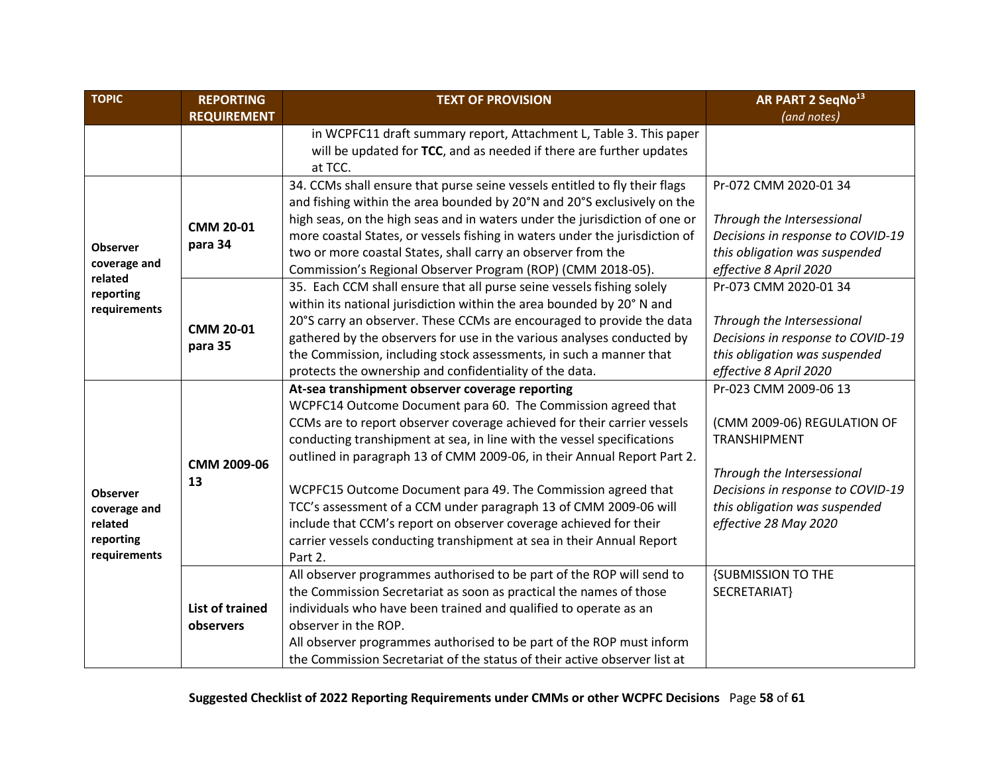| <b>TOPIC</b>              | <b>REPORTING</b><br><b>TEXT OF PROVISION</b> |                                                                             | AR PART 2 SeqNo <sup>13</sup>     |
|---------------------------|----------------------------------------------|-----------------------------------------------------------------------------|-----------------------------------|
|                           | <b>REQUIREMENT</b>                           |                                                                             | (and notes)                       |
|                           |                                              | in WCPFC11 draft summary report, Attachment L, Table 3. This paper          |                                   |
|                           |                                              | will be updated for TCC, and as needed if there are further updates         |                                   |
|                           |                                              | at TCC.                                                                     |                                   |
|                           |                                              | 34. CCMs shall ensure that purse seine vessels entitled to fly their flags  | Pr-072 CMM 2020-01 34             |
|                           |                                              | and fishing within the area bounded by 20°N and 20°S exclusively on the     |                                   |
|                           | <b>CMM 20-01</b>                             | high seas, on the high seas and in waters under the jurisdiction of one or  | Through the Intersessional        |
|                           | para 34                                      | more coastal States, or vessels fishing in waters under the jurisdiction of | Decisions in response to COVID-19 |
| <b>Observer</b>           |                                              | two or more coastal States, shall carry an observer from the                | this obligation was suspended     |
| coverage and<br>related   |                                              | Commission's Regional Observer Program (ROP) (CMM 2018-05).                 | effective 8 April 2020            |
| reporting                 |                                              | 35. Each CCM shall ensure that all purse seine vessels fishing solely       | Pr-073 CMM 2020-01 34             |
| requirements              |                                              | within its national jurisdiction within the area bounded by 20° N and       |                                   |
|                           | <b>CMM 20-01</b><br>para 35                  | 20°S carry an observer. These CCMs are encouraged to provide the data       | Through the Intersessional        |
|                           |                                              | gathered by the observers for use in the various analyses conducted by      | Decisions in response to COVID-19 |
|                           |                                              | the Commission, including stock assessments, in such a manner that          | this obligation was suspended     |
|                           |                                              | protects the ownership and confidentiality of the data.                     | effective 8 April 2020            |
|                           |                                              | At-sea transhipment observer coverage reporting                             | Pr-023 CMM 2009-06 13             |
|                           |                                              | WCPFC14 Outcome Document para 60. The Commission agreed that                |                                   |
|                           | CMM 2009-06<br>13                            | CCMs are to report observer coverage achieved for their carrier vessels     | (CMM 2009-06) REGULATION OF       |
|                           |                                              | conducting transhipment at sea, in line with the vessel specifications      | <b>TRANSHIPMENT</b>               |
|                           |                                              | outlined in paragraph 13 of CMM 2009-06, in their Annual Report Part 2.     |                                   |
|                           |                                              |                                                                             | Through the Intersessional        |
| <b>Observer</b>           |                                              | WCPFC15 Outcome Document para 49. The Commission agreed that                | Decisions in response to COVID-19 |
| coverage and              |                                              | TCC's assessment of a CCM under paragraph 13 of CMM 2009-06 will            | this obligation was suspended     |
| related                   |                                              | include that CCM's report on observer coverage achieved for their           | effective 28 May 2020             |
| reporting<br>requirements |                                              | carrier vessels conducting transhipment at sea in their Annual Report       |                                   |
|                           |                                              | Part 2.                                                                     |                                   |
|                           |                                              | All observer programmes authorised to be part of the ROP will send to       | <b>{SUBMISSION TO THE</b>         |
|                           |                                              | the Commission Secretariat as soon as practical the names of those          | SECRETARIAT}                      |
|                           | <b>List of trained</b>                       | individuals who have been trained and qualified to operate as an            |                                   |
|                           | observers                                    | observer in the ROP.                                                        |                                   |
|                           |                                              | All observer programmes authorised to be part of the ROP must inform        |                                   |
|                           |                                              | the Commission Secretariat of the status of their active observer list at   |                                   |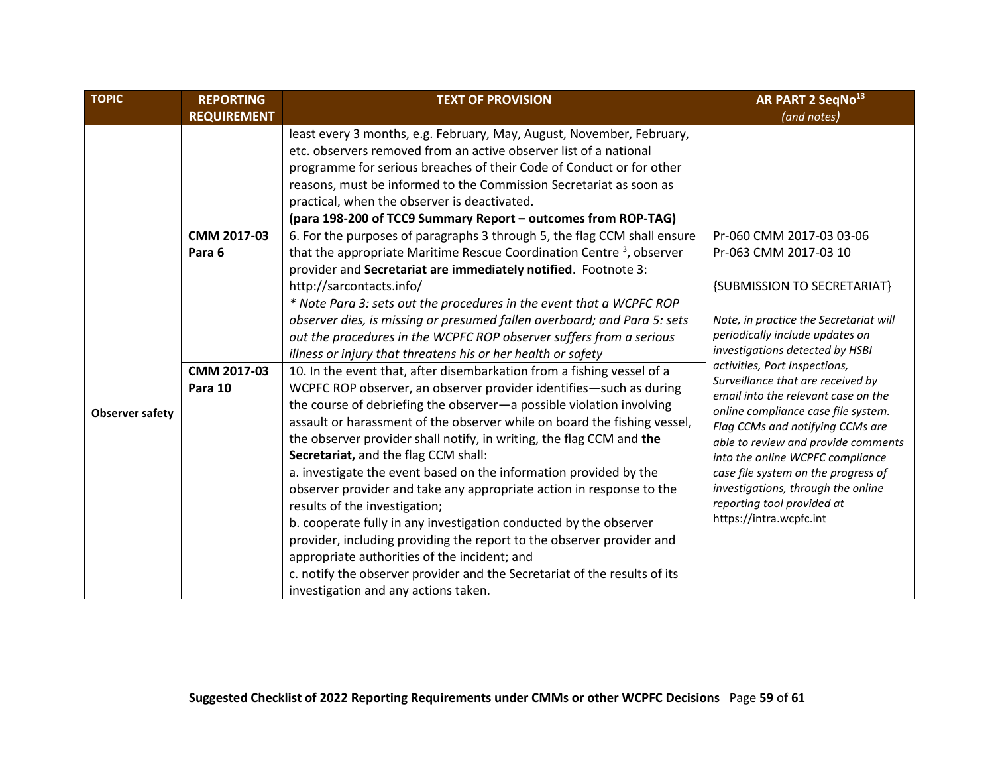<span id="page-58-0"></span>

| <b>TOPIC</b>           | <b>REPORTING</b>   | <b>TEXT OF PROVISION</b>                                                                                                                                                                                                                                                                                                                                                                                                                                                                                                                                                                                                                                                                                                                                          | AR PART 2 SeqNo <sup>13</sup>                                                                                                                                                                                                                                                            |
|------------------------|--------------------|-------------------------------------------------------------------------------------------------------------------------------------------------------------------------------------------------------------------------------------------------------------------------------------------------------------------------------------------------------------------------------------------------------------------------------------------------------------------------------------------------------------------------------------------------------------------------------------------------------------------------------------------------------------------------------------------------------------------------------------------------------------------|------------------------------------------------------------------------------------------------------------------------------------------------------------------------------------------------------------------------------------------------------------------------------------------|
|                        | <b>REQUIREMENT</b> |                                                                                                                                                                                                                                                                                                                                                                                                                                                                                                                                                                                                                                                                                                                                                                   | (and notes)                                                                                                                                                                                                                                                                              |
|                        |                    | least every 3 months, e.g. February, May, August, November, February,<br>etc. observers removed from an active observer list of a national<br>programme for serious breaches of their Code of Conduct or for other<br>reasons, must be informed to the Commission Secretariat as soon as<br>practical, when the observer is deactivated.<br>(para 198-200 of TCC9 Summary Report - outcomes from ROP-TAG)                                                                                                                                                                                                                                                                                                                                                         |                                                                                                                                                                                                                                                                                          |
|                        | CMM 2017-03        | 6. For the purposes of paragraphs 3 through 5, the flag CCM shall ensure                                                                                                                                                                                                                                                                                                                                                                                                                                                                                                                                                                                                                                                                                          | Pr-060 CMM 2017-03 03-06                                                                                                                                                                                                                                                                 |
|                        | Para 6             | that the appropriate Maritime Rescue Coordination Centre <sup>3</sup> , observer                                                                                                                                                                                                                                                                                                                                                                                                                                                                                                                                                                                                                                                                                  | Pr-063 CMM 2017-03 10                                                                                                                                                                                                                                                                    |
|                        |                    | provider and Secretariat are immediately notified. Footnote 3:                                                                                                                                                                                                                                                                                                                                                                                                                                                                                                                                                                                                                                                                                                    |                                                                                                                                                                                                                                                                                          |
|                        |                    | http://sarcontacts.info/                                                                                                                                                                                                                                                                                                                                                                                                                                                                                                                                                                                                                                                                                                                                          | {SUBMISSION TO SECRETARIAT}                                                                                                                                                                                                                                                              |
|                        |                    | * Note Para 3: sets out the procedures in the event that a WCPFC ROP                                                                                                                                                                                                                                                                                                                                                                                                                                                                                                                                                                                                                                                                                              |                                                                                                                                                                                                                                                                                          |
|                        |                    | observer dies, is missing or presumed fallen overboard; and Para 5: sets                                                                                                                                                                                                                                                                                                                                                                                                                                                                                                                                                                                                                                                                                          | Note, in practice the Secretariat will                                                                                                                                                                                                                                                   |
|                        |                    | out the procedures in the WCPFC ROP observer suffers from a serious                                                                                                                                                                                                                                                                                                                                                                                                                                                                                                                                                                                                                                                                                               | periodically include updates on                                                                                                                                                                                                                                                          |
|                        |                    | illness or injury that threatens his or her health or safety                                                                                                                                                                                                                                                                                                                                                                                                                                                                                                                                                                                                                                                                                                      | investigations detected by HSBI<br>activities, Port Inspections,<br>Surveillance that are received by<br>email into the relevant case on the                                                                                                                                             |
|                        | CMM 2017-03        | 10. In the event that, after disembarkation from a fishing vessel of a                                                                                                                                                                                                                                                                                                                                                                                                                                                                                                                                                                                                                                                                                            |                                                                                                                                                                                                                                                                                          |
|                        | Para 10            | WCPFC ROP observer, an observer provider identifies-such as during                                                                                                                                                                                                                                                                                                                                                                                                                                                                                                                                                                                                                                                                                                |                                                                                                                                                                                                                                                                                          |
| <b>Observer safety</b> |                    | the course of debriefing the observer-a possible violation involving<br>assault or harassment of the observer while on board the fishing vessel,<br>the observer provider shall notify, in writing, the flag CCM and the<br>Secretariat, and the flag CCM shall:<br>a. investigate the event based on the information provided by the<br>observer provider and take any appropriate action in response to the<br>results of the investigation;<br>b. cooperate fully in any investigation conducted by the observer<br>provider, including providing the report to the observer provider and<br>appropriate authorities of the incident; and<br>c. notify the observer provider and the Secretariat of the results of its<br>investigation and any actions taken. | online compliance case file system.<br>Flag CCMs and notifying CCMs are<br>able to review and provide comments<br>into the online WCPFC compliance<br>case file system on the progress of<br>investigations, through the online<br>reporting tool provided at<br>https://intra.wcpfc.int |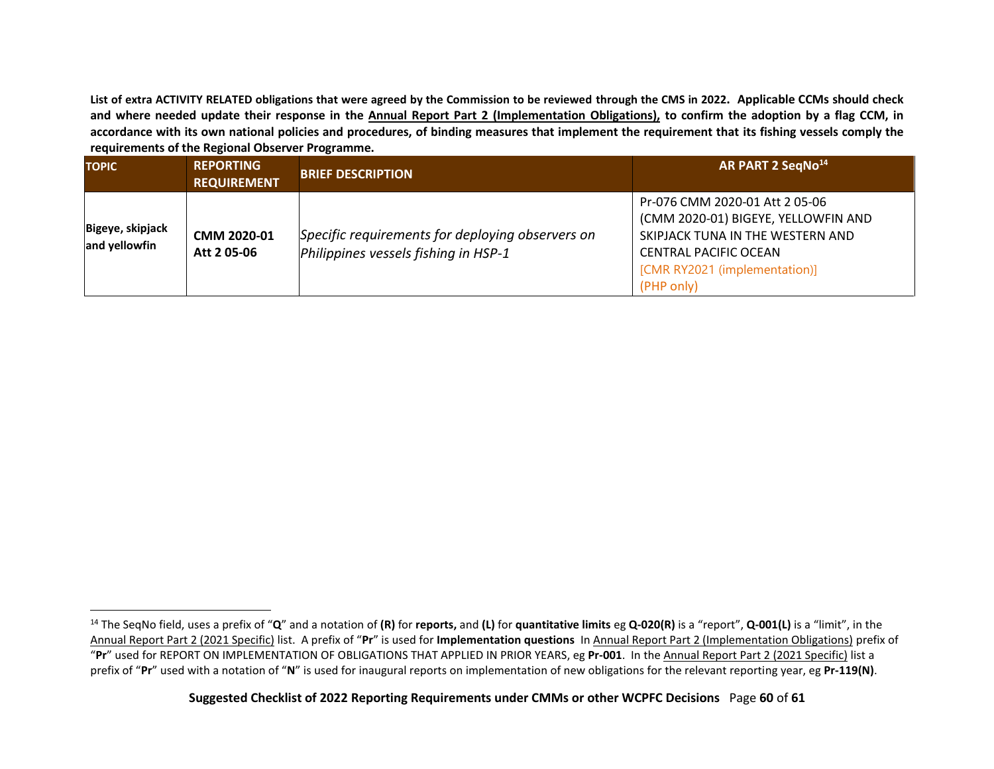**List of extra ACTIVITY RELATED obligations that were agreed by the Commission to be reviewed through the CMS in 2022. Applicable CCMs should check and where needed update their response in the Annual Report Part 2 (Implementation Obligations), to confirm the adoption by a flag CCM, in accordance with its own national policies and procedures, of binding measures that implement the requirement that its fishing vessels comply the requirements of the Regional Observer Programme.**

<span id="page-59-0"></span>

| <b>TOPIC</b>                      | <b>REPORTING</b><br><b>REQUIREMENT</b> | <b>BRIEF DESCRIPTION</b>                                                                 | AR PART 2 SegNo <sup>14</sup>                                                                                                                                                            |
|-----------------------------------|----------------------------------------|------------------------------------------------------------------------------------------|------------------------------------------------------------------------------------------------------------------------------------------------------------------------------------------|
| Bigeye, skipjack<br>and yellowfin | CMM 2020-01<br>Att 205-06              | Specific requirements for deploying observers on<br>Philippines vessels fishing in HSP-1 | Pr-076 CMM 2020-01 Att 2 05-06<br>(CMM 2020-01) BIGEYE, YELLOWFIN AND<br>SKIPJACK TUNA IN THE WESTERN AND<br><b>CENTRAL PACIFIC OCEAN</b><br>[CMR RY2021 (implementation)]<br>(PHP only) |

<span id="page-59-1"></span><sup>14</sup> The SeqNo field, uses a prefix of "**Q**" and a notation of **(R)** for **reports,** and **(L)** for **quantitative limits** eg **Q-020(R)** is a "report", **Q-001(L)** is a "limit", in the Annual Report Part 2 (2021 Specific) list. A prefix of "**Pr**" is used for **Implementation questions** In Annual Report Part 2 (Implementation Obligations) prefix of "**Pr**" used for REPORT ON IMPLEMENTATION OF OBLIGATIONS THAT APPLIED IN PRIOR YEARS, eg **Pr-001**. In the Annual Report Part 2 (2021 Specific) list a prefix of "**Pr**" used with a notation of "**N**" is used for inaugural reports on implementation of new obligations for the relevant reporting year, eg **Pr-119(N)**.